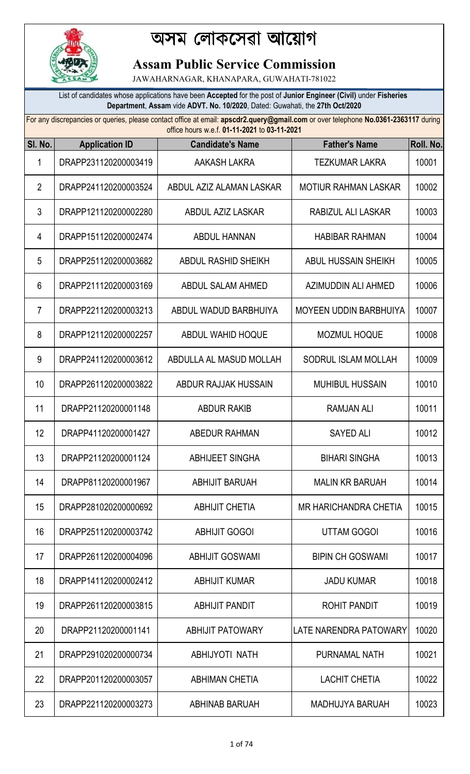

## অসম েলাকেসৱা আেয়াগ

## **Assam Public Service Commission**

JAWAHARNAGAR, KHANAPARA, GUWAHATI-781022

List of candidates whose applications have been **Accepted** for the post of **Junior Engineer (Civil)** under **Fisheries Department**, **Assam** vide **ADVT. No. 10/2020**, Dated: Guwahati, the **27th Oct/2020**

For any discrepancies or queries, please contact office at email: **apscdr2.query@gmail.com** or over telephone **No.0361-2363117** during office hours w.e.f. **01-11-2021** to **03-11-2021**

| SI. No.        | <b>Application ID</b> | <u>UNICE NUULS W.C.I. UI-LI-ZUZ LIU UJ-LI-ZUZ I</u><br><b>Candidate's Name</b> | <b>Father's Name</b>          | Roll. No. |
|----------------|-----------------------|--------------------------------------------------------------------------------|-------------------------------|-----------|
| 1              | DRAPP231120200003419  | AAKASH LAKRA                                                                   | <b>TEZKUMAR LAKRA</b>         | 10001     |
| $\overline{2}$ | DRAPP241120200003524  | ABDUL AZIZ ALAMAN LASKAR                                                       | <b>MOTIUR RAHMAN LASKAR</b>   | 10002     |
| 3              | DRAPP121120200002280  | <b>ABDUL AZIZ LASKAR</b>                                                       | RABIZUL ALI LASKAR            | 10003     |
| 4              | DRAPP151120200002474  | <b>ABDUL HANNAN</b>                                                            | <b>HABIBAR RAHMAN</b>         | 10004     |
| 5              | DRAPP251120200003682  | <b>ABDUL RASHID SHEIKH</b>                                                     | <b>ABUL HUSSAIN SHEIKH</b>    | 10005     |
| 6              | DRAPP211120200003169  | ABDUL SALAM AHMED                                                              | AZIMUDDIN ALI AHMED           | 10006     |
| $\overline{7}$ | DRAPP221120200003213  | ABDUL WADUD BARBHUIYA                                                          | <b>MOYEEN UDDIN BARBHUIYA</b> | 10007     |
| 8              | DRAPP121120200002257  | ABDUL WAHID HOQUE                                                              | <b>MOZMUL HOQUE</b>           | 10008     |
| 9              | DRAPP241120200003612  | ABDULLA AL MASUD MOLLAH                                                        | SODRUL ISLAM MOLLAH           | 10009     |
| 10             | DRAPP261120200003822  | ABDUR RAJJAK HUSSAIN                                                           | <b>MUHIBUL HUSSAIN</b>        | 10010     |
| 11             | DRAPP21120200001148   | <b>ABDUR RAKIB</b>                                                             | <b>RAMJAN ALI</b>             | 10011     |
| 12             | DRAPP41120200001427   | ABEDUR RAHMAN                                                                  | <b>SAYED ALI</b>              | 10012     |
| 13             | DRAPP21120200001124   | <b>ABHIJEET SINGHA</b>                                                         | <b>BIHARI SINGHA</b>          | 10013     |
| 14             | DRAPP81120200001967   | <b>ABHIJIT BARUAH</b>                                                          | <b>MALIN KR BARUAH</b>        | 10014     |
| 15             | DRAPP281020200000692  | <b>ABHIJIT CHETIA</b>                                                          | MR HARICHANDRA CHETIA         | 10015     |
| 16             | DRAPP251120200003742  | <b>ABHIJIT GOGOI</b>                                                           | <b>UTTAM GOGOI</b>            | 10016     |
| 17             | DRAPP261120200004096  | <b>ABHIJIT GOSWAMI</b>                                                         | <b>BIPIN CH GOSWAMI</b>       | 10017     |
| 18             | DRAPP141120200002412  | <b>ABHIJIT KUMAR</b>                                                           | <b>JADU KUMAR</b>             | 10018     |
| 19             | DRAPP261120200003815  | <b>ABHIJIT PANDIT</b>                                                          | <b>ROHIT PANDIT</b>           | 10019     |
| 20             | DRAPP21120200001141   | <b>ABHIJIT PATOWARY</b>                                                        | LATE NARENDRA PATOWARY        | 10020     |
| 21             | DRAPP291020200000734  | ABHIJYOTI NATH                                                                 | PURNAMAL NATH                 | 10021     |
| 22             | DRAPP201120200003057  | <b>ABHIMAN CHETIA</b>                                                          | <b>LACHIT CHETIA</b>          | 10022     |
| 23             | DRAPP221120200003273  | <b>ABHINAB BARUAH</b>                                                          | <b>MADHUJYA BARUAH</b>        | 10023     |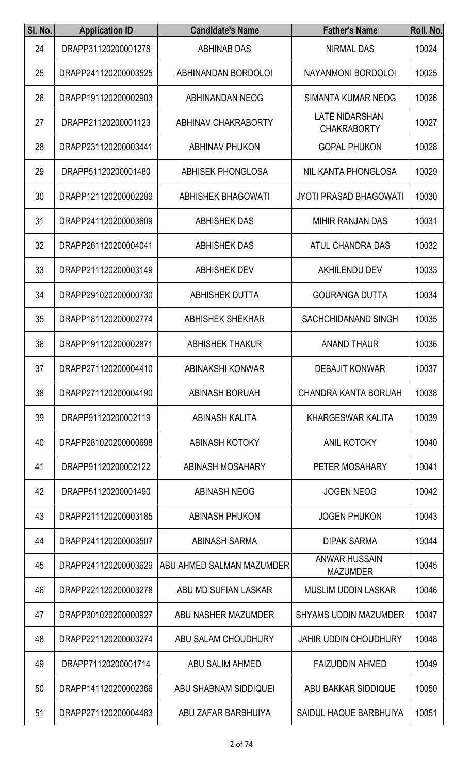| SI. No. | <b>Application ID</b> | <b>Candidate's Name</b>          | <b>Father's Name</b>                        | Roll. No. |
|---------|-----------------------|----------------------------------|---------------------------------------------|-----------|
| 24      | DRAPP31120200001278   | <b>ABHINAB DAS</b>               | <b>NIRMAL DAS</b>                           | 10024     |
| 25      | DRAPP241120200003525  | ABHINANDAN BORDOLOI              | NAYANMONI BORDOLOI                          | 10025     |
| 26      | DRAPP191120200002903  | <b>ABHINANDAN NEOG</b>           | <b>SIMANTA KUMAR NEOG</b>                   | 10026     |
| 27      | DRAPP21120200001123   | ABHINAV CHAKRABORTY              | <b>LATE NIDARSHAN</b><br><b>CHAKRABORTY</b> | 10027     |
| 28      | DRAPP231120200003441  | <b>ABHINAV PHUKON</b>            | <b>GOPAL PHUKON</b>                         | 10028     |
| 29      | DRAPP51120200001480   | <b>ABHISEK PHONGLOSA</b>         | NIL KANTA PHONGLOSA                         | 10029     |
| 30      | DRAPP121120200002289  | <b>ABHISHEK BHAGOWATI</b>        | <b>JYOTI PRASAD BHAGOWATI</b>               | 10030     |
| 31      | DRAPP241120200003609  | <b>ABHISHEK DAS</b>              | <b>MIHIR RANJAN DAS</b>                     | 10031     |
| 32      | DRAPP261120200004041  | <b>ABHISHEK DAS</b>              | <b>ATUL CHANDRA DAS</b>                     | 10032     |
| 33      | DRAPP211120200003149  | <b>ABHISHEK DEV</b>              | <b>AKHILENDU DEV</b>                        | 10033     |
| 34      | DRAPP291020200000730  | <b>ABHISHEK DUTTA</b>            | <b>GOURANGA DUTTA</b>                       | 10034     |
| 35      | DRAPP181120200002774  | <b>ABHISHEK SHEKHAR</b>          | SACHCHIDANAND SINGH                         | 10035     |
| 36      | DRAPP191120200002871  | <b>ABHISHEK THAKUR</b>           | <b>ANAND THAUR</b>                          | 10036     |
| 37      | DRAPP271120200004410  | <b>ABINAKSHI KONWAR</b>          | <b>DEBAJIT KONWAR</b>                       | 10037     |
| 38      | DRAPP271120200004190  | <b>ABINASH BORUAH</b>            | CHANDRA KANTA BORUAH                        | 10038     |
| 39      | DRAPP91120200002119   | <b>ABINASH KALITA</b>            | <b>KHARGESWAR KALITA</b>                    | 10039     |
| 40      | DRAPP281020200000698  | <b>ABINASH KOTOKY</b>            | <b>ANIL KOTOKY</b>                          | 10040     |
| 41      | DRAPP91120200002122   | <b>ABINASH MOSAHARY</b>          | PETER MOSAHARY                              | 10041     |
| 42      | DRAPP51120200001490   | <b>ABINASH NEOG</b>              | <b>JOGEN NEOG</b>                           | 10042     |
| 43      | DRAPP211120200003185  | <b>ABINASH PHUKON</b>            | <b>JOGEN PHUKON</b>                         | 10043     |
| 44      | DRAPP241120200003507  | <b>ABINASH SARMA</b>             | <b>DIPAK SARMA</b>                          | 10044     |
| 45      | DRAPP241120200003629  | <b>ABU AHMED SALMAN MAZUMDER</b> | <b>ANWAR HUSSAIN</b><br><b>MAZUMDER</b>     | 10045     |
| 46      | DRAPP221120200003278  | ABU MD SUFIAN LASKAR             | <b>MUSLIM UDDIN LASKAR</b>                  | 10046     |
| 47      | DRAPP301020200000927  | ABU NASHER MAZUMDER              | <b>SHYAMS UDDIN MAZUMDER</b>                | 10047     |
| 48      | DRAPP221120200003274  | ABU SALAM CHOUDHURY              | <b>JAHIR UDDIN CHOUDHURY</b>                | 10048     |
| 49      | DRAPP71120200001714   | ABU SALIM AHMED                  | <b>FAIZUDDIN AHMED</b>                      | 10049     |
| 50      | DRAPP141120200002366  | ABU SHABNAM SIDDIQUEI            | ABU BAKKAR SIDDIQUE                         | 10050     |
| 51      | DRAPP271120200004483  | ABU ZAFAR BARBHUIYA              | SAIDUL HAQUE BARBHUIYA                      | 10051     |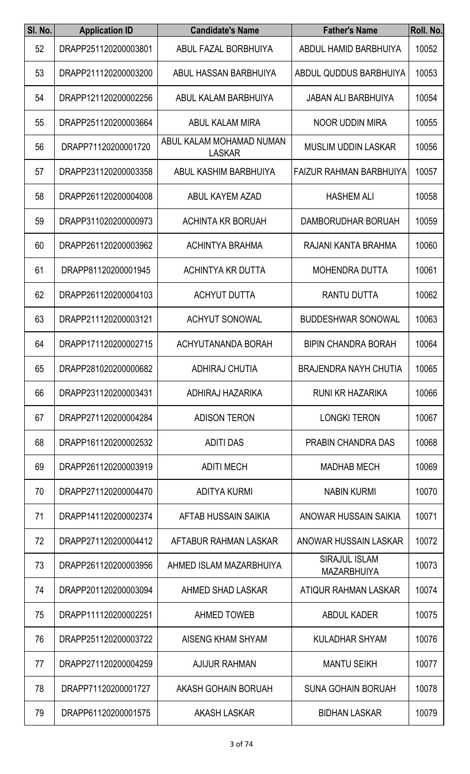| SI. No. | <b>Application ID</b> | <b>Candidate's Name</b>                   | <b>Father's Name</b>                       | Roll. No. |
|---------|-----------------------|-------------------------------------------|--------------------------------------------|-----------|
| 52      | DRAPP251120200003801  | ABUL FAZAL BORBHUIYA                      | ABDUL HAMID BARBHUIYA                      | 10052     |
| 53      | DRAPP211120200003200  | ABUL HASSAN BARBHUIYA                     | ABDUL QUDDUS BARBHUIYA                     | 10053     |
| 54      | DRAPP121120200002256  | ABUL KALAM BARBHUIYA                      | <b>JABAN ALI BARBHUIYA</b>                 | 10054     |
| 55      | DRAPP251120200003664  | ABUL KALAM MIRA                           | <b>NOOR UDDIN MIRA</b>                     | 10055     |
| 56      | DRAPP71120200001720   | ABUL KALAM MOHAMAD NUMAN<br><b>LASKAR</b> | MUSLIM UDDIN LASKAR                        | 10056     |
| 57      | DRAPP231120200003358  | ABUL KASHIM BARBHUIYA                     | <b>FAIZUR RAHMAN BARBHUIYA</b>             | 10057     |
| 58      | DRAPP261120200004008  | <b>ABUL KAYEM AZAD</b>                    | <b>HASHEM ALI</b>                          | 10058     |
| 59      | DRAPP311020200000973  | <b>ACHINTA KR BORUAH</b>                  | DAMBORUDHAR BORUAH                         | 10059     |
| 60      | DRAPP261120200003962  | <b>ACHINTYA BRAHMA</b>                    | RAJANI KANTA BRAHMA                        | 10060     |
| 61      | DRAPP81120200001945   | ACHINTYA KR DUTTA                         | <b>MOHENDRA DUTTA</b>                      | 10061     |
| 62      | DRAPP261120200004103  | <b>ACHYUT DUTTA</b>                       | <b>RANTU DUTTA</b>                         | 10062     |
| 63      | DRAPP211120200003121  | <b>ACHYUT SONOWAL</b>                     | <b>BUDDESHWAR SONOWAL</b>                  | 10063     |
| 64      | DRAPP171120200002715  | ACHYUTANANDA BORAH                        | <b>BIPIN CHANDRA BORAH</b>                 | 10064     |
| 65      | DRAPP281020200000682  | <b>ADHIRAJ CHUTIA</b>                     | <b>BRAJENDRA NAYH CHUTIA</b>               | 10065     |
| 66      | DRAPP231120200003431  | ADHIRAJ HAZARIKA                          | <b>RUNI KR HAZARIKA</b>                    | 10066     |
| 67      | DRAPP271120200004284  | <b>ADISON TERON</b>                       | <b>LONGKI TERON</b>                        | 10067     |
| 68      | DRAPP161120200002532  | <b>ADITI DAS</b>                          | PRABIN CHANDRA DAS                         | 10068     |
| 69      | DRAPP261120200003919  | <b>ADITI MECH</b>                         | <b>MADHAB MECH</b>                         | 10069     |
| 70      | DRAPP271120200004470  | <b>ADITYA KURMI</b>                       | <b>NABIN KURMI</b>                         | 10070     |
| 71      | DRAPP141120200002374  | AFTAB HUSSAIN SAIKIA                      | ANOWAR HUSSAIN SAIKIA                      | 10071     |
| 72      | DRAPP271120200004412  | AFTABUR RAHMAN LASKAR                     | ANOWAR HUSSAIN LASKAR                      | 10072     |
| 73      | DRAPP261120200003956  | AHMED ISLAM MAZARBHUIYA                   | <b>SIRAJUL ISLAM</b><br><b>MAZARBHUIYA</b> | 10073     |
| 74      | DRAPP201120200003094  | AHMED SHAD LASKAR                         | ATIQUR RAHMAN LASKAR                       | 10074     |
| 75      | DRAPP111120200002251  | <b>AHMED TOWEB</b>                        | <b>ABDUL KADER</b>                         | 10075     |
| 76      | DRAPP251120200003722  | <b>AISENG KHAM SHYAM</b>                  | KULADHAR SHYAM                             | 10076     |
| 77      | DRAPP271120200004259  | <b>AJIJUR RAHMAN</b>                      | <b>MANTU SEIKH</b>                         | 10077     |
| 78      | DRAPP71120200001727   | <b>AKASH GOHAIN BORUAH</b>                | <b>SUNA GOHAIN BORUAH</b>                  | 10078     |
| 79      | DRAPP61120200001575   | AKASH LASKAR                              | <b>BIDHAN LASKAR</b>                       | 10079     |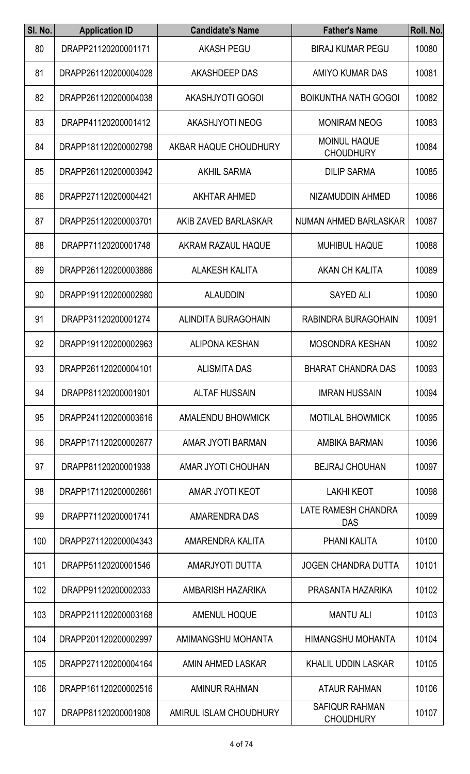| SI. No. | <b>Application ID</b> | <b>Candidate's Name</b> | <b>Father's Name</b>                      | Roll. No. |
|---------|-----------------------|-------------------------|-------------------------------------------|-----------|
| 80      | DRAPP21120200001171   | <b>AKASH PEGU</b>       | <b>BIRAJ KUMAR PEGU</b>                   | 10080     |
| 81      | DRAPP261120200004028  | AKASHDEEP DAS           | AMIYO KUMAR DAS                           | 10081     |
| 82      | DRAPP261120200004038  | <b>AKASHJYOTI GOGOI</b> | <b>BOIKUNTHA NATH GOGOI</b>               | 10082     |
| 83      | DRAPP41120200001412   | <b>AKASHJYOTI NEOG</b>  | <b>MONIRAM NEOG</b>                       | 10083     |
| 84      | DRAPP181120200002798  | AKBAR HAQUE CHOUDHURY   | <b>MOINUL HAQUE</b><br><b>CHOUDHURY</b>   | 10084     |
| 85      | DRAPP261120200003942  | <b>AKHIL SARMA</b>      | <b>DILIP SARMA</b>                        | 10085     |
| 86      | DRAPP271120200004421  | <b>AKHTAR AHMED</b>     | NIZAMUDDIN AHMED                          | 10086     |
| 87      | DRAPP251120200003701  | AKIB ZAVED BARLASKAR    | NUMAN AHMED BARLASKAR                     | 10087     |
| 88      | DRAPP71120200001748   | AKRAM RAZAUL HAQUE      | <b>MUHIBUL HAQUE</b>                      | 10088     |
| 89      | DRAPP261120200003886  | <b>ALAKESH KALITA</b>   | <b>AKAN CH KALITA</b>                     | 10089     |
| 90      | DRAPP191120200002980  | <b>ALAUDDIN</b>         | <b>SAYED ALI</b>                          | 10090     |
| 91      | DRAPP31120200001274   | ALINDITA BURAGOHAIN     | RABINDRA BURAGOHAIN                       | 10091     |
| 92      | DRAPP191120200002963  | <b>ALIPONA KESHAN</b>   | <b>MOSONDRA KESHAN</b>                    | 10092     |
| 93      | DRAPP261120200004101  | <b>ALISMITA DAS</b>     | <b>BHARAT CHANDRA DAS</b>                 | 10093     |
| 94      | DRAPP81120200001901   | <b>ALTAF HUSSAIN</b>    | <b>IMRAN HUSSAIN</b>                      | 10094     |
| 95      | DRAPP241120200003616  | AMALENDU BHOWMICK       | <b>MOTILAL BHOWMICK</b>                   | 10095     |
| 96      | DRAPP171120200002677  | AMAR JYOTI BARMAN       | AMBIKA BARMAN                             | 10096     |
| 97      | DRAPP81120200001938   | AMAR JYOTI CHOUHAN      | <b>BEJRAJ CHOUHAN</b>                     | 10097     |
| 98      | DRAPP171120200002661  | <b>AMAR JYOTI KEOT</b>  | <b>LAKHI KEOT</b>                         | 10098     |
| 99      | DRAPP71120200001741   | AMARENDRA DAS           | LATE RAMESH CHANDRA<br><b>DAS</b>         | 10099     |
| 100     | DRAPP271120200004343  | AMARENDRA KALITA        | PHANI KALITA                              | 10100     |
| 101     | DRAPP51120200001546   | AMARJYOTI DUTTA         | <b>JOGEN CHANDRA DUTTA</b>                | 10101     |
| 102     | DRAPP91120200002033   | AMBARISH HAZARIKA       | PRASANTA HAZARIKA                         | 10102     |
| 103     | DRAPP211120200003168  | <b>AMENUL HOQUE</b>     | <b>MANTU ALI</b>                          | 10103     |
| 104     | DRAPP201120200002997  | AMIMANGSHU MOHANTA      | <b>HIMANGSHU MOHANTA</b>                  | 10104     |
| 105     | DRAPP271120200004164  | AMIN AHMED LASKAR       | <b>KHALIL UDDIN LASKAR</b>                | 10105     |
| 106     | DRAPP161120200002516  | <b>AMINUR RAHMAN</b>    | <b>ATAUR RAHMAN</b>                       | 10106     |
| 107     | DRAPP81120200001908   | AMIRUL ISLAM CHOUDHURY  | <b>SAFIQUR RAHMAN</b><br><b>CHOUDHURY</b> | 10107     |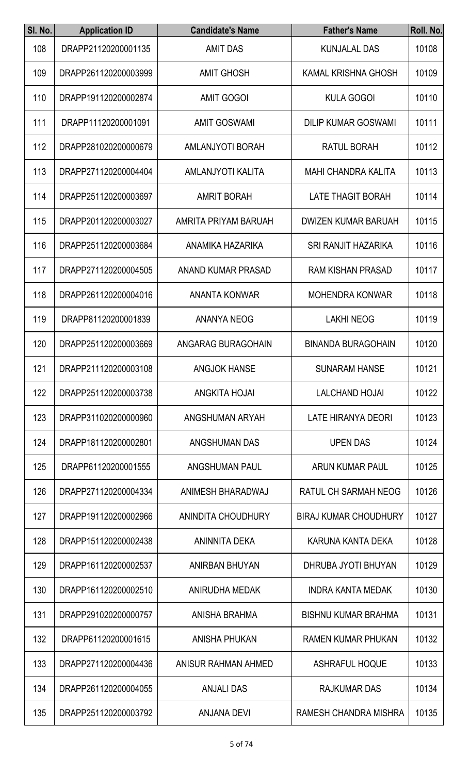| SI. No. | <b>Application ID</b> | <b>Candidate's Name</b>  | <b>Father's Name</b>         | Roll. No. |
|---------|-----------------------|--------------------------|------------------------------|-----------|
| 108     | DRAPP21120200001135   | <b>AMIT DAS</b>          | <b>KUNJALAL DAS</b>          | 10108     |
| 109     | DRAPP261120200003999  | <b>AMIT GHOSH</b>        | KAMAL KRISHNA GHOSH          | 10109     |
| 110     | DRAPP191120200002874  | <b>AMIT GOGOI</b>        | <b>KULA GOGOI</b>            | 10110     |
| 111     | DRAPP11120200001091   | <b>AMIT GOSWAMI</b>      | <b>DILIP KUMAR GOSWAMI</b>   | 10111     |
| 112     | DRAPP281020200000679  | <b>AMLANJYOTI BORAH</b>  | <b>RATUL BORAH</b>           | 10112     |
| 113     | DRAPP271120200004404  | <b>AMLANJYOTI KALITA</b> | <b>MAHI CHANDRA KALITA</b>   | 10113     |
| 114     | DRAPP251120200003697  | <b>AMRIT BORAH</b>       | <b>LATE THAGIT BORAH</b>     | 10114     |
| 115     | DRAPP201120200003027  | AMRITA PRIYAM BARUAH     | <b>DWIZEN KUMAR BARUAH</b>   | 10115     |
| 116     | DRAPP251120200003684  | ANAMIKA HAZARIKA         | <b>SRI RANJIT HAZARIKA</b>   | 10116     |
| 117     | DRAPP271120200004505  | ANAND KUMAR PRASAD       | <b>RAM KISHAN PRASAD</b>     | 10117     |
| 118     | DRAPP261120200004016  | <b>ANANTA KONWAR</b>     | <b>MOHENDRA KONWAR</b>       | 10118     |
| 119     | DRAPP81120200001839   | <b>ANANYA NEOG</b>       | <b>LAKHI NEOG</b>            | 10119     |
| 120     | DRAPP251120200003669  | ANGARAG BURAGOHAIN       | <b>BINANDA BURAGOHAIN</b>    | 10120     |
| 121     | DRAPP211120200003108  | <b>ANGJOK HANSE</b>      | <b>SUNARAM HANSE</b>         | 10121     |
| 122     | DRAPP251120200003738  | <b>ANGKITA HOJAI</b>     | <b>LALCHAND HOJAI</b>        | 10122     |
| 123     | DRAPP311020200000960  | ANGSHUMAN ARYAH          | LATE HIRANYA DEORI           | 10123     |
| 124     | DRAPP181120200002801  | <b>ANGSHUMAN DAS</b>     | <b>UPEN DAS</b>              | 10124     |
| 125     | DRAPP61120200001555   | <b>ANGSHUMAN PAUL</b>    | <b>ARUN KUMAR PAUL</b>       | 10125     |
| 126     | DRAPP271120200004334  | ANIMESH BHARADWAJ        | RATUL CH SARMAH NEOG         | 10126     |
| 127     | DRAPP191120200002966  | ANINDITA CHOUDHURY       | <b>BIRAJ KUMAR CHOUDHURY</b> | 10127     |
| 128     | DRAPP151120200002438  | ANINNITA DEKA            | KARUNA KANTA DEKA            | 10128     |
| 129     | DRAPP161120200002537  | ANIRBAN BHUYAN           | DHRUBA JYOTI BHUYAN          | 10129     |
| 130     | DRAPP161120200002510  | <b>ANIRUDHA MEDAK</b>    | <b>INDRA KANTA MEDAK</b>     | 10130     |
| 131     | DRAPP291020200000757  | ANISHA BRAHMA            | <b>BISHNU KUMAR BRAHMA</b>   | 10131     |
| 132     | DRAPP61120200001615   | <b>ANISHA PHUKAN</b>     | <b>RAMEN KUMAR PHUKAN</b>    | 10132     |
| 133     | DRAPP271120200004436  | ANISUR RAHMAN AHMED      | <b>ASHRAFUL HOQUE</b>        | 10133     |
| 134     | DRAPP261120200004055  | <b>ANJALI DAS</b>        | <b>RAJKUMAR DAS</b>          | 10134     |
| 135     | DRAPP251120200003792  | ANJANA DEVI              | RAMESH CHANDRA MISHRA        | 10135     |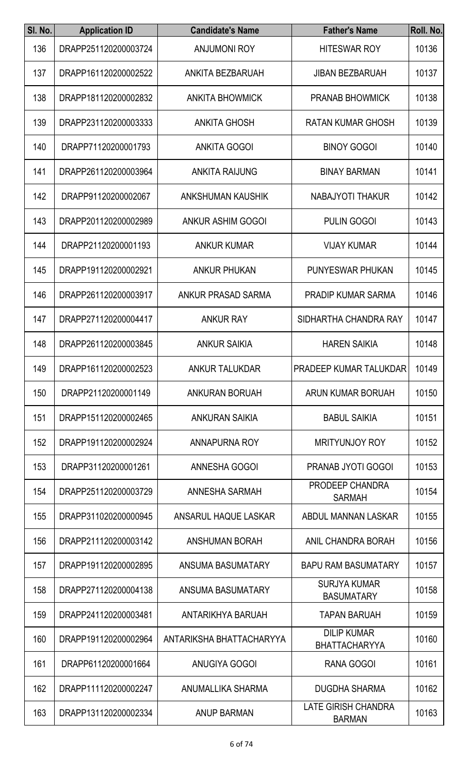| SI. No. | <b>Application ID</b> | <b>Candidate's Name</b>  | <b>Father's Name</b>                        | Roll. No. |
|---------|-----------------------|--------------------------|---------------------------------------------|-----------|
| 136     | DRAPP251120200003724  | <b>ANJUMONI ROY</b>      | <b>HITESWAR ROY</b>                         | 10136     |
| 137     | DRAPP161120200002522  | ANKITA BEZBARUAH         | <b>JIBAN BEZBARUAH</b>                      | 10137     |
| 138     | DRAPP181120200002832  | <b>ANKITA BHOWMICK</b>   | <b>PRANAB BHOWMICK</b>                      | 10138     |
| 139     | DRAPP231120200003333  | <b>ANKITA GHOSH</b>      | <b>RATAN KUMAR GHOSH</b>                    | 10139     |
| 140     | DRAPP71120200001793   | <b>ANKITA GOGOI</b>      | <b>BINOY GOGOI</b>                          | 10140     |
| 141     | DRAPP261120200003964  | <b>ANKITA RAIJUNG</b>    | <b>BINAY BARMAN</b>                         | 10141     |
| 142     | DRAPP91120200002067   | <b>ANKSHUMAN KAUSHIK</b> | <b>NABAJYOTI THAKUR</b>                     | 10142     |
| 143     | DRAPP201120200002989  | <b>ANKUR ASHIM GOGOI</b> | <b>PULIN GOGOI</b>                          | 10143     |
| 144     | DRAPP21120200001193   | <b>ANKUR KUMAR</b>       | <b>VIJAY KUMAR</b>                          | 10144     |
| 145     | DRAPP191120200002921  | <b>ANKUR PHUKAN</b>      | <b>PUNYESWAR PHUKAN</b>                     | 10145     |
| 146     | DRAPP261120200003917  | ANKUR PRASAD SARMA       | <b>PRADIP KUMAR SARMA</b>                   | 10146     |
| 147     | DRAPP271120200004417  | <b>ANKUR RAY</b>         | SIDHARTHA CHANDRA RAY                       | 10147     |
| 148     | DRAPP261120200003845  | <b>ANKUR SAIKIA</b>      | <b>HAREN SAIKIA</b>                         | 10148     |
| 149     | DRAPP161120200002523  | <b>ANKUR TALUKDAR</b>    | <b>PRADEEP KUMAR TALUKDAR</b>               | 10149     |
| 150     | DRAPP21120200001149   | <b>ANKURAN BORUAH</b>    | ARUN KUMAR BORUAH                           | 10150     |
| 151     | DRAPP151120200002465  | <b>ANKURAN SAIKIA</b>    | <b>BABUL SAIKIA</b>                         | 10151     |
| 152     | DRAPP191120200002924  | <b>ANNAPURNA ROY</b>     | <b>MRITYUNJOY ROY</b>                       | 10152     |
| 153     | DRAPP31120200001261   | ANNESHA GOGOI            | <b>PRANAB JYOTI GOGOI</b>                   | 10153     |
| 154     | DRAPP251120200003729  | ANNESHA SARMAH           | PRODEEP CHANDRA<br><b>SARMAH</b>            | 10154     |
| 155     | DRAPP311020200000945  | ANSARUL HAQUE LASKAR     | ABDUL MANNAN LASKAR                         | 10155     |
| 156     | DRAPP211120200003142  | <b>ANSHUMAN BORAH</b>    | ANIL CHANDRA BORAH                          | 10156     |
| 157     | DRAPP191120200002895  | ANSUMA BASUMATARY        | <b>BAPU RAM BASUMATARY</b>                  | 10157     |
| 158     | DRAPP271120200004138  | ANSUMA BASUMATARY        | <b>SURJYA KUMAR</b><br><b>BASUMATARY</b>    | 10158     |
| 159     | DRAPP241120200003481  | ANTARIKHYA BARUAH        | <b>TAPAN BARUAH</b>                         | 10159     |
| 160     | DRAPP191120200002964  | ANTARIKSHA BHATTACHARYYA | <b>DILIP KUMAR</b><br><b>BHATTACHARYYA</b>  | 10160     |
| 161     | DRAPP61120200001664   | <b>ANUGIYA GOGOI</b>     | RANA GOGOI                                  | 10161     |
| 162     | DRAPP111120200002247  | ANUMALLIKA SHARMA        | <b>DUGDHA SHARMA</b>                        | 10162     |
| 163     | DRAPP131120200002334  | ANUP BARMAN              | <b>LATE GIRISH CHANDRA</b><br><b>BARMAN</b> | 10163     |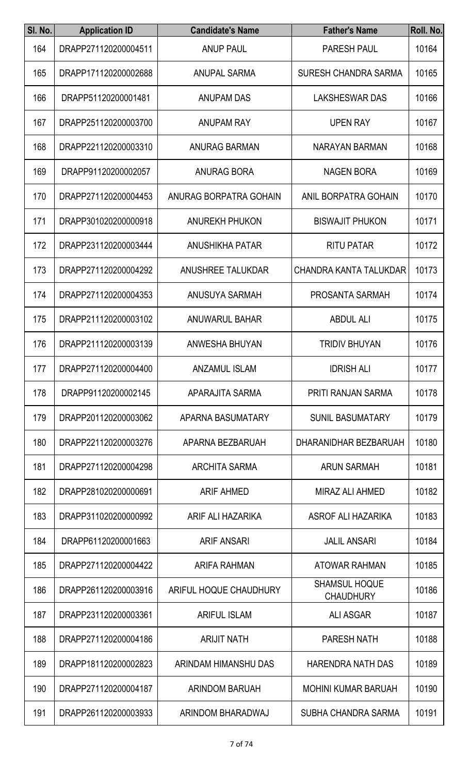| SI. No. | <b>Application ID</b> | <b>Candidate's Name</b>  | <b>Father's Name</b>                     | Roll. No. |
|---------|-----------------------|--------------------------|------------------------------------------|-----------|
| 164     | DRAPP271120200004511  | <b>ANUP PAUL</b>         | <b>PARESH PAUL</b>                       | 10164     |
| 165     | DRAPP171120200002688  | <b>ANUPAL SARMA</b>      | SURESH CHANDRA SARMA                     | 10165     |
| 166     | DRAPP51120200001481   | <b>ANUPAM DAS</b>        | <b>LAKSHESWAR DAS</b>                    | 10166     |
| 167     | DRAPP251120200003700  | <b>ANUPAM RAY</b>        | <b>UPEN RAY</b>                          | 10167     |
| 168     | DRAPP221120200003310  | <b>ANURAG BARMAN</b>     | NARAYAN BARMAN                           | 10168     |
| 169     | DRAPP91120200002057   | <b>ANURAG BORA</b>       | <b>NAGEN BORA</b>                        | 10169     |
| 170     | DRAPP271120200004453  | ANURAG BORPATRA GOHAIN   | ANIL BORPATRA GOHAIN                     | 10170     |
| 171     | DRAPP301020200000918  | <b>ANUREKH PHUKON</b>    | <b>BISWAJIT PHUKON</b>                   | 10171     |
| 172     | DRAPP231120200003444  | <b>ANUSHIKHA PATAR</b>   | <b>RITU PATAR</b>                        | 10172     |
| 173     | DRAPP271120200004292  | <b>ANUSHREE TALUKDAR</b> | CHANDRA KANTA TALUKDAR                   | 10173     |
| 174     | DRAPP271120200004353  | ANUSUYA SARMAH           | PROSANTA SARMAH                          | 10174     |
| 175     | DRAPP211120200003102  | <b>ANUWARUL BAHAR</b>    | <b>ABDUL ALI</b>                         | 10175     |
| 176     | DRAPP211120200003139  | ANWESHA BHUYAN           | <b>TRIDIV BHUYAN</b>                     | 10176     |
| 177     | DRAPP271120200004400  | <b>ANZAMUL ISLAM</b>     | <b>IDRISH ALI</b>                        | 10177     |
| 178     | DRAPP91120200002145   | APARAJITA SARMA          | PRITI RANJAN SARMA                       | 10178     |
| 179     | DRAPP201120200003062  | APARNA BASUMATARY        | <b>SUNIL BASUMATARY</b>                  | 10179     |
| 180     | DRAPP221120200003276  | APARNA BEZBARUAH         | DHARANIDHAR BEZBARUAH                    | 10180     |
| 181     | DRAPP271120200004298  | <b>ARCHITA SARMA</b>     | <b>ARUN SARMAH</b>                       | 10181     |
| 182     | DRAPP281020200000691  | <b>ARIF AHMED</b>        | MIRAZ ALI AHMED                          | 10182     |
| 183     | DRAPP311020200000992  | ARIF ALI HAZARIKA        | ASROF ALI HAZARIKA                       | 10183     |
| 184     | DRAPP61120200001663   | <b>ARIF ANSARI</b>       | <b>JALIL ANSARI</b>                      | 10184     |
| 185     | DRAPP271120200004422  | ARIFA RAHMAN             | <b>ATOWAR RAHMAN</b>                     | 10185     |
| 186     | DRAPP261120200003916  | ARIFUL HOQUE CHAUDHURY   | <b>SHAMSUL HOQUE</b><br><b>CHAUDHURY</b> | 10186     |
| 187     | DRAPP231120200003361  | <b>ARIFUL ISLAM</b>      | <b>ALI ASGAR</b>                         | 10187     |
| 188     | DRAPP271120200004186  | <b>ARIJIT NATH</b>       | <b>PARESH NATH</b>                       | 10188     |
| 189     | DRAPP181120200002823  | ARINDAM HIMANSHU DAS     | <b>HARENDRA NATH DAS</b>                 | 10189     |
| 190     | DRAPP271120200004187  | <b>ARINDOM BARUAH</b>    | <b>MOHINI KUMAR BARUAH</b>               | 10190     |
| 191     | DRAPP261120200003933  | ARINDOM BHARADWAJ        | SUBHA CHANDRA SARMA                      | 10191     |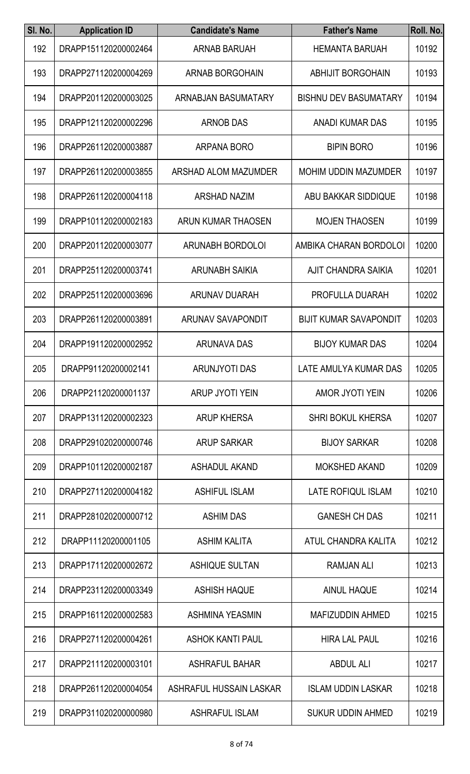| SI. No. | <b>Application ID</b> | <b>Candidate's Name</b>  | <b>Father's Name</b>          | Roll. No. |
|---------|-----------------------|--------------------------|-------------------------------|-----------|
| 192     | DRAPP151120200002464  | <b>ARNAB BARUAH</b>      | <b>HEMANTA BARUAH</b>         | 10192     |
| 193     | DRAPP271120200004269  | <b>ARNAB BORGOHAIN</b>   | <b>ABHIJIT BORGOHAIN</b>      | 10193     |
| 194     | DRAPP201120200003025  | ARNABJAN BASUMATARY      | <b>BISHNU DEV BASUMATARY</b>  | 10194     |
| 195     | DRAPP121120200002296  | <b>ARNOB DAS</b>         | <b>ANADI KUMAR DAS</b>        | 10195     |
| 196     | DRAPP261120200003887  | ARPANA BORO              | <b>BIPIN BORO</b>             | 10196     |
| 197     | DRAPP261120200003855  | ARSHAD ALOM MAZUMDER     | <b>MOHIM UDDIN MAZUMDER</b>   | 10197     |
| 198     | DRAPP261120200004118  | <b>ARSHAD NAZIM</b>      | ABU BAKKAR SIDDIQUE           | 10198     |
| 199     | DRAPP101120200002183  | ARUN KUMAR THAOSEN       | <b>MOJEN THAOSEN</b>          | 10199     |
| 200     | DRAPP201120200003077  | <b>ARUNABH BORDOLOI</b>  | AMBIKA CHARAN BORDOLOI        | 10200     |
| 201     | DRAPP251120200003741  | <b>ARUNABH SAIKIA</b>    | <b>AJIT CHANDRA SAIKIA</b>    | 10201     |
| 202     | DRAPP251120200003696  | <b>ARUNAV DUARAH</b>     | PROFULLA DUARAH               | 10202     |
| 203     | DRAPP261120200003891  | <b>ARUNAV SAVAPONDIT</b> | <b>BIJIT KUMAR SAVAPONDIT</b> | 10203     |
| 204     | DRAPP191120200002952  | <b>ARUNAVA DAS</b>       | <b>BIJOY KUMAR DAS</b>        | 10204     |
| 205     | DRAPP91120200002141   | <b>ARUNJYOTI DAS</b>     | LATE AMULYA KUMAR DAS         | 10205     |
| 206     | DRAPP21120200001137   | ARUP JYOTI YEIN          | <b>AMOR JYOTI YEIN</b>        | 10206     |
| 207     | DRAPP131120200002323  | <b>ARUP KHERSA</b>       | <b>SHRI BOKUL KHERSA</b>      | 10207     |
| 208     | DRAPP291020200000746  | <b>ARUP SARKAR</b>       | <b>BIJOY SARKAR</b>           | 10208     |
| 209     | DRAPP101120200002187  | <b>ASHADUL AKAND</b>     | <b>MOKSHED AKAND</b>          | 10209     |
| 210     | DRAPP271120200004182  | <b>ASHIFUL ISLAM</b>     | LATE ROFIQUL ISLAM            | 10210     |
| 211     | DRAPP281020200000712  | <b>ASHIM DAS</b>         | <b>GANESH CH DAS</b>          | 10211     |
| 212     | DRAPP11120200001105   | <b>ASHIM KALITA</b>      | ATUL CHANDRA KALITA           | 10212     |
| 213     | DRAPP171120200002672  | <b>ASHIQUE SULTAN</b>    | <b>RAMJAN ALI</b>             | 10213     |
| 214     | DRAPP231120200003349  | <b>ASHISH HAQUE</b>      | <b>AINUL HAQUE</b>            | 10214     |
| 215     | DRAPP161120200002583  | <b>ASHMINA YEASMIN</b>   | <b>MAFIZUDDIN AHMED</b>       | 10215     |
| 216     | DRAPP271120200004261  | <b>ASHOK KANTI PAUL</b>  | <b>HIRA LAL PAUL</b>          | 10216     |
| 217     | DRAPP211120200003101  | <b>ASHRAFUL BAHAR</b>    | <b>ABDUL ALI</b>              | 10217     |
| 218     | DRAPP261120200004054  | ASHRAFUL HUSSAIN LASKAR  | <b>ISLAM UDDIN LASKAR</b>     | 10218     |
| 219     | DRAPP311020200000980  | ASHRAFUL ISLAM           | SUKUR UDDIN AHMED             | 10219     |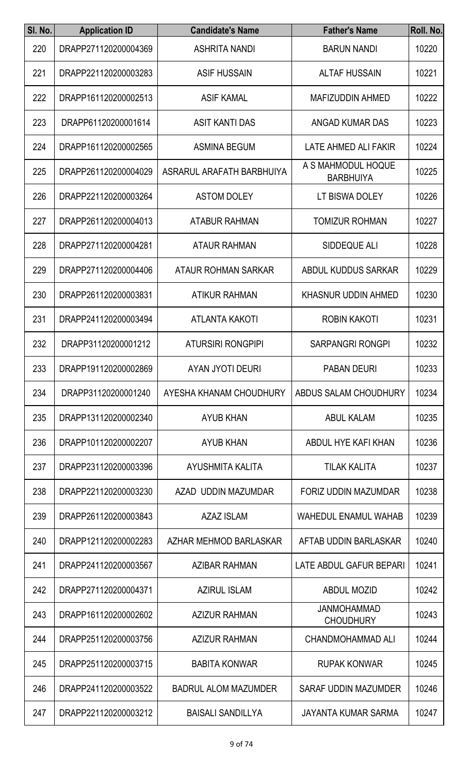| SI. No. | <b>Application ID</b> | <b>Candidate's Name</b>     | <b>Father's Name</b>                   | Roll. No. |
|---------|-----------------------|-----------------------------|----------------------------------------|-----------|
| 220     | DRAPP271120200004369  | <b>ASHRITA NANDI</b>        | <b>BARUN NANDI</b>                     | 10220     |
| 221     | DRAPP221120200003283  | <b>ASIF HUSSAIN</b>         | <b>ALTAF HUSSAIN</b>                   | 10221     |
| 222     | DRAPP161120200002513  | <b>ASIF KAMAL</b>           | <b>MAFIZUDDIN AHMED</b>                | 10222     |
| 223     | DRAPP61120200001614   | <b>ASIT KANTI DAS</b>       | ANGAD KUMAR DAS                        | 10223     |
| 224     | DRAPP161120200002565  | <b>ASMINA BEGUM</b>         | LATE AHMED ALI FAKIR                   | 10224     |
| 225     | DRAPP261120200004029  | ASRARUL ARAFATH BARBHUIYA   | A S MAHMODUL HOQUE<br><b>BARBHUIYA</b> | 10225     |
| 226     | DRAPP221120200003264  | <b>ASTOM DOLEY</b>          | LT BISWA DOLEY                         | 10226     |
| 227     | DRAPP261120200004013  | <b>ATABUR RAHMAN</b>        | <b>TOMIZUR ROHMAN</b>                  | 10227     |
| 228     | DRAPP271120200004281  | <b>ATAUR RAHMAN</b>         | SIDDEQUE ALI                           | 10228     |
| 229     | DRAPP271120200004406  | <b>ATAUR ROHMAN SARKAR</b>  | ABDUL KUDDUS SARKAR                    | 10229     |
| 230     | DRAPP261120200003831  | <b>ATIKUR RAHMAN</b>        | <b>KHASNUR UDDIN AHMED</b>             | 10230     |
| 231     | DRAPP241120200003494  | <b>ATLANTA KAKOTI</b>       | <b>ROBIN KAKOTI</b>                    | 10231     |
| 232     | DRAPP31120200001212   | <b>ATURSIRI RONGPIPI</b>    | <b>SARPANGRI RONGPI</b>                | 10232     |
| 233     | DRAPP191120200002869  | AYAN JYOTI DEURI            | <b>PABAN DEURI</b>                     | 10233     |
| 234     | DRAPP31120200001240   | AYESHA KHANAM CHOUDHURY     | ABDUS SALAM CHOUDHURY                  | 10234     |
| 235     | DRAPP131120200002340  | <b>AYUB KHAN</b>            | <b>ABUL KALAM</b>                      | 10235     |
| 236     | DRAPP101120200002207  | <b>AYUB KHAN</b>            | ABDUL HYE KAFI KHAN                    | 10236     |
| 237     | DRAPP231120200003396  | AYUSHMITA KALITA            | <b>TILAK KALITA</b>                    | 10237     |
| 238     | DRAPP221120200003230  | AZAD UDDIN MAZUMDAR         | <b>FORIZ UDDIN MAZUMDAR</b>            | 10238     |
| 239     | DRAPP261120200003843  | <b>AZAZ ISLAM</b>           | <b>WAHEDUL ENAMUL WAHAB</b>            | 10239     |
| 240     | DRAPP121120200002283  | AZHAR MEHMOD BARLASKAR      | AFTAB UDDIN BARLASKAR                  | 10240     |
| 241     | DRAPP241120200003567  | <b>AZIBAR RAHMAN</b>        | LATE ABDUL GAFUR BEPARI                | 10241     |
| 242     | DRAPP271120200004371  | <b>AZIRUL ISLAM</b>         | <b>ABDUL MOZID</b>                     | 10242     |
| 243     | DRAPP161120200002602  | <b>AZIZUR RAHMAN</b>        | <b>JANMOHAMMAD</b><br><b>CHOUDHURY</b> | 10243     |
| 244     | DRAPP251120200003756  | <b>AZIZUR RAHMAN</b>        | <b>CHANDMOHAMMAD ALI</b>               | 10244     |
| 245     | DRAPP251120200003715  | <b>BABITA KONWAR</b>        | <b>RUPAK KONWAR</b>                    | 10245     |
| 246     | DRAPP241120200003522  | <b>BADRUL ALOM MAZUMDER</b> | SARAF UDDIN MAZUMDER                   | 10246     |
| 247     | DRAPP221120200003212  | <b>BAISALI SANDILLYA</b>    | JAYANTA KUMAR SARMA                    | 10247     |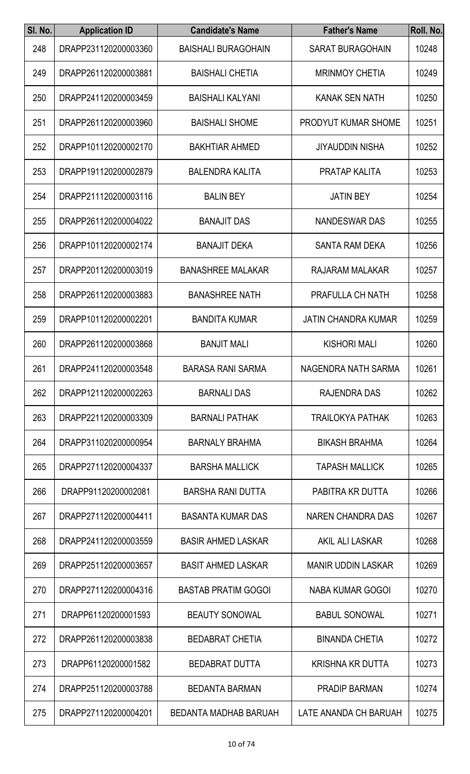| SI. No. | <b>Application ID</b> | <b>Candidate's Name</b>    | <b>Father's Name</b>       | Roll. No. |
|---------|-----------------------|----------------------------|----------------------------|-----------|
| 248     | DRAPP231120200003360  | <b>BAISHALI BURAGOHAIN</b> | <b>SARAT BURAGOHAIN</b>    | 10248     |
| 249     | DRAPP261120200003881  | <b>BAISHALI CHETIA</b>     | <b>MRINMOY CHETIA</b>      | 10249     |
| 250     | DRAPP241120200003459  | <b>BAISHALI KALYANI</b>    | <b>KANAK SEN NATH</b>      | 10250     |
| 251     | DRAPP261120200003960  | <b>BAISHALI SHOME</b>      | <b>PRODYUT KUMAR SHOME</b> | 10251     |
| 252     | DRAPP101120200002170  | <b>BAKHTIAR AHMED</b>      | <b>JIYAUDDIN NISHA</b>     | 10252     |
| 253     | DRAPP191120200002879  | <b>BALENDRA KALITA</b>     | <b>PRATAP KALITA</b>       | 10253     |
| 254     | DRAPP211120200003116  | <b>BALIN BEY</b>           | <b>JATIN BEY</b>           | 10254     |
| 255     | DRAPP261120200004022  | <b>BANAJIT DAS</b>         | <b>NANDESWAR DAS</b>       | 10255     |
| 256     | DRAPP101120200002174  | <b>BANAJIT DEKA</b>        | <b>SANTA RAM DEKA</b>      | 10256     |
| 257     | DRAPP201120200003019  | <b>BANASHREE MALAKAR</b>   | RAJARAM MALAKAR            | 10257     |
| 258     | DRAPP261120200003883  | <b>BANASHREE NATH</b>      | PRAFULLA CH NATH           | 10258     |
| 259     | DRAPP101120200002201  | <b>BANDITA KUMAR</b>       | <b>JATIN CHANDRA KUMAR</b> | 10259     |
| 260     | DRAPP261120200003868  | <b>BANJIT MALI</b>         | <b>KISHORI MALI</b>        | 10260     |
| 261     | DRAPP241120200003548  | <b>BARASA RANI SARMA</b>   | NAGENDRA NATH SARMA        | 10261     |
| 262     | DRAPP121120200002263  | <b>BARNALI DAS</b>         | RAJENDRA DAS               | 10262     |
| 263     | DRAPP221120200003309  | <b>BARNALI PATHAK</b>      | <b>TRAILOKYA PATHAK</b>    | 10263     |
| 264     | DRAPP311020200000954  | <b>BARNALY BRAHMA</b>      | <b>BIKASH BRAHMA</b>       | 10264     |
| 265     | DRAPP271120200004337  | <b>BARSHA MALLICK</b>      | <b>TAPASH MALLICK</b>      | 10265     |
| 266     | DRAPP91120200002081   | <b>BARSHA RANI DUTTA</b>   | PABITRA KR DUTTA           | 10266     |
| 267     | DRAPP271120200004411  | <b>BASANTA KUMAR DAS</b>   | NAREN CHANDRA DAS          | 10267     |
| 268     | DRAPP241120200003559  | <b>BASIR AHMED LASKAR</b>  | AKIL ALI LASKAR            | 10268     |
| 269     | DRAPP251120200003657  | <b>BASIT AHMED LASKAR</b>  | <b>MANIR UDDIN LASKAR</b>  | 10269     |
| 270     | DRAPP271120200004316  | <b>BASTAB PRATIM GOGOI</b> | <b>NABA KUMAR GOGOI</b>    | 10270     |
| 271     | DRAPP61120200001593   | <b>BEAUTY SONOWAL</b>      | <b>BABUL SONOWAL</b>       | 10271     |
| 272     | DRAPP261120200003838  | <b>BEDABRAT CHETIA</b>     | <b>BINANDA CHETIA</b>      | 10272     |
| 273     | DRAPP61120200001582   | <b>BEDABRAT DUTTA</b>      | <b>KRISHNA KR DUTTA</b>    | 10273     |
| 274     | DRAPP251120200003788  | <b>BEDANTA BARMAN</b>      | <b>PRADIP BARMAN</b>       | 10274     |
| 275     | DRAPP271120200004201  | BEDANTA MADHAB BARUAH      | LATE ANANDA CH BARUAH      | 10275     |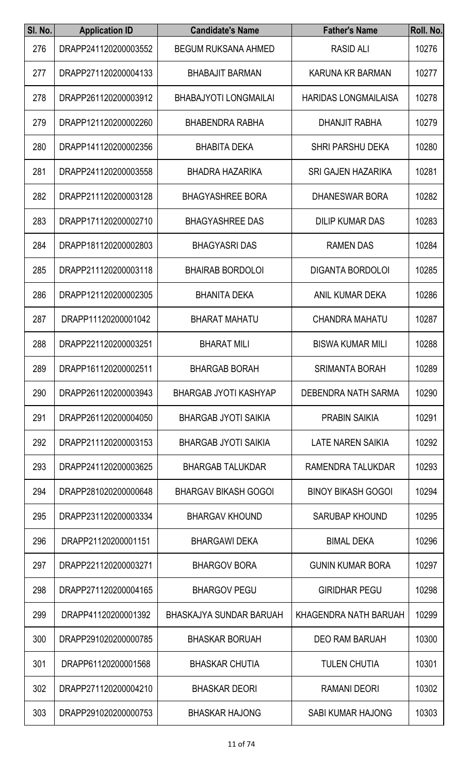| SI. No. | <b>Application ID</b> | <b>Candidate's Name</b>        | <b>Father's Name</b>        | Roll. No. |
|---------|-----------------------|--------------------------------|-----------------------------|-----------|
| 276     | DRAPP241120200003552  | <b>BEGUM RUKSANA AHMED</b>     | <b>RASID ALI</b>            | 10276     |
| 277     | DRAPP271120200004133  | <b>BHABAJIT BARMAN</b>         | KARUNA KR BARMAN            | 10277     |
| 278     | DRAPP261120200003912  | <b>BHABAJYOTI LONGMAILAI</b>   | <b>HARIDAS LONGMAILAISA</b> | 10278     |
| 279     | DRAPP121120200002260  | <b>BHABENDRA RABHA</b>         | <b>DHANJIT RABHA</b>        | 10279     |
| 280     | DRAPP141120200002356  | <b>BHABITA DEKA</b>            | <b>SHRI PARSHU DEKA</b>     | 10280     |
| 281     | DRAPP241120200003558  | <b>BHADRA HAZARIKA</b>         | <b>SRI GAJEN HAZARIKA</b>   | 10281     |
| 282     | DRAPP211120200003128  | <b>BHAGYASHREE BORA</b>        | <b>DHANESWAR BORA</b>       | 10282     |
| 283     | DRAPP171120200002710  | <b>BHAGYASHREE DAS</b>         | <b>DILIP KUMAR DAS</b>      | 10283     |
| 284     | DRAPP181120200002803  | <b>BHAGYASRI DAS</b>           | <b>RAMEN DAS</b>            | 10284     |
| 285     | DRAPP211120200003118  | <b>BHAIRAB BORDOLOI</b>        | <b>DIGANTA BORDOLOI</b>     | 10285     |
| 286     | DRAPP121120200002305  | <b>BHANITA DEKA</b>            | ANIL KUMAR DEKA             | 10286     |
| 287     | DRAPP11120200001042   | <b>BHARAT MAHATU</b>           | <b>CHANDRA MAHATU</b>       | 10287     |
| 288     | DRAPP221120200003251  | <b>BHARAT MILI</b>             | <b>BISWA KUMAR MILI</b>     | 10288     |
| 289     | DRAPP161120200002511  | <b>BHARGAB BORAH</b>           | <b>SRIMANTA BORAH</b>       | 10289     |
| 290     | DRAPP261120200003943  | <b>BHARGAB JYOTI KASHYAP</b>   | DEBENDRA NATH SARMA         | 10290     |
| 291     | DRAPP261120200004050  | <b>BHARGAB JYOTI SAIKIA</b>    | <b>PRABIN SAIKIA</b>        | 10291     |
| 292     | DRAPP211120200003153  | <b>BHARGAB JYOTI SAIKIA</b>    | LATE NAREN SAIKIA           | 10292     |
| 293     | DRAPP241120200003625  | <b>BHARGAB TALUKDAR</b>        | RAMENDRA TALUKDAR           | 10293     |
| 294     | DRAPP281020200000648  | <b>BHARGAV BIKASH GOGOI</b>    | <b>BINOY BIKASH GOGOI</b>   | 10294     |
| 295     | DRAPP231120200003334  | <b>BHARGAV KHOUND</b>          | <b>SARUBAP KHOUND</b>       | 10295     |
| 296     | DRAPP21120200001151   | <b>BHARGAWI DEKA</b>           | <b>BIMAL DEKA</b>           | 10296     |
| 297     | DRAPP221120200003271  | <b>BHARGOV BORA</b>            | <b>GUNIN KUMAR BORA</b>     | 10297     |
| 298     | DRAPP271120200004165  | <b>BHARGOV PEGU</b>            | <b>GIRIDHAR PEGU</b>        | 10298     |
| 299     | DRAPP41120200001392   | <b>BHASKAJYA SUNDAR BARUAH</b> | KHAGENDRA NATH BARUAH       | 10299     |
| 300     | DRAPP291020200000785  | <b>BHASKAR BORUAH</b>          | <b>DEO RAM BARUAH</b>       | 10300     |
| 301     | DRAPP61120200001568   | <b>BHASKAR CHUTIA</b>          | <b>TULEN CHUTIA</b>         | 10301     |
| 302     | DRAPP271120200004210  | <b>BHASKAR DEORI</b>           | <b>RAMANI DEORI</b>         | 10302     |
| 303     | DRAPP291020200000753  | <b>BHASKAR HAJONG</b>          | SABI KUMAR HAJONG           | 10303     |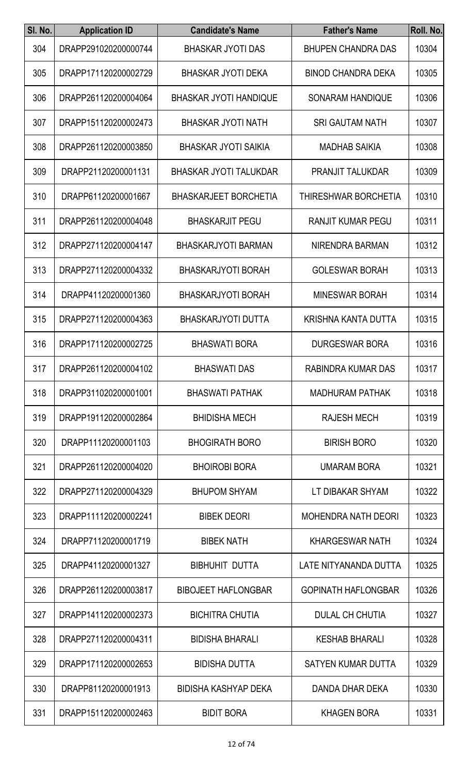| SI. No. | <b>Application ID</b> | <b>Candidate's Name</b>       | <b>Father's Name</b>       | Roll. No. |
|---------|-----------------------|-------------------------------|----------------------------|-----------|
| 304     | DRAPP291020200000744  | <b>BHASKAR JYOTI DAS</b>      | <b>BHUPEN CHANDRA DAS</b>  | 10304     |
| 305     | DRAPP171120200002729  | <b>BHASKAR JYOTI DEKA</b>     | <b>BINOD CHANDRA DEKA</b>  | 10305     |
| 306     | DRAPP261120200004064  | <b>BHASKAR JYOTI HANDIQUE</b> | <b>SONARAM HANDIQUE</b>    | 10306     |
| 307     | DRAPP151120200002473  | <b>BHASKAR JYOTI NATH</b>     | <b>SRI GAUTAM NATH</b>     | 10307     |
| 308     | DRAPP261120200003850  | <b>BHASKAR JYOTI SAIKIA</b>   | <b>MADHAB SAIKIA</b>       | 10308     |
| 309     | DRAPP21120200001131   | <b>BHASKAR JYOTI TALUKDAR</b> | <b>PRANJIT TALUKDAR</b>    | 10309     |
| 310     | DRAPP61120200001667   | <b>BHASKARJEET BORCHETIA</b>  | THIRESHWAR BORCHETIA       | 10310     |
| 311     | DRAPP261120200004048  | <b>BHASKARJIT PEGU</b>        | <b>RANJIT KUMAR PEGU</b>   | 10311     |
| 312     | DRAPP271120200004147  | <b>BHASKARJYOTI BARMAN</b>    | NIRENDRA BARMAN            | 10312     |
| 313     | DRAPP271120200004332  | <b>BHASKARJYOTI BORAH</b>     | <b>GOLESWAR BORAH</b>      | 10313     |
| 314     | DRAPP41120200001360   | <b>BHASKARJYOTI BORAH</b>     | <b>MINESWAR BORAH</b>      | 10314     |
| 315     | DRAPP271120200004363  | <b>BHASKARJYOTI DUTTA</b>     | KRISHNA KANTA DUTTA        | 10315     |
| 316     | DRAPP171120200002725  | <b>BHASWATI BORA</b>          | <b>DURGESWAR BORA</b>      | 10316     |
| 317     | DRAPP261120200004102  | <b>BHASWATI DAS</b>           | RABINDRA KUMAR DAS         | 10317     |
| 318     | DRAPP311020200001001  | <b>BHASWATI PATHAK</b>        | <b>MADHURAM PATHAK</b>     | 10318     |
| 319     | DRAPP191120200002864  | <b>BHIDISHA MECH</b>          | <b>RAJESH MECH</b>         | 10319     |
| 320     | DRAPP11120200001103   | <b>BHOGIRATH BORO</b>         | <b>BIRISH BORO</b>         | 10320     |
| 321     | DRAPP261120200004020  | <b>BHOIROBI BORA</b>          | <b>UMARAM BORA</b>         | 10321     |
| 322     | DRAPP271120200004329  | <b>BHUPOM SHYAM</b>           | LT DIBAKAR SHYAM           | 10322     |
| 323     | DRAPP111120200002241  | <b>BIBEK DEORI</b>            | <b>MOHENDRA NATH DEORI</b> | 10323     |
| 324     | DRAPP71120200001719   | <b>BIBEK NATH</b>             | <b>KHARGESWAR NATH</b>     | 10324     |
| 325     | DRAPP41120200001327   | <b>BIBHUHIT DUTTA</b>         | LATE NITYANANDA DUTTA      | 10325     |
| 326     | DRAPP261120200003817  | <b>BIBOJEET HAFLONGBAR</b>    | <b>GOPINATH HAFLONGBAR</b> | 10326     |
| 327     | DRAPP141120200002373  | <b>BICHITRA CHUTIA</b>        | <b>DULAL CH CHUTIA</b>     | 10327     |
| 328     | DRAPP271120200004311  | <b>BIDISHA BHARALI</b>        | <b>KESHAB BHARALI</b>      | 10328     |
| 329     | DRAPP171120200002653  | <b>BIDISHA DUTTA</b>          | <b>SATYEN KUMAR DUTTA</b>  | 10329     |
| 330     | DRAPP81120200001913   | <b>BIDISHA KASHYAP DEKA</b>   | DANDA DHAR DEKA            | 10330     |
| 331     | DRAPP151120200002463  | <b>BIDIT BORA</b>             | <b>KHAGEN BORA</b>         | 10331     |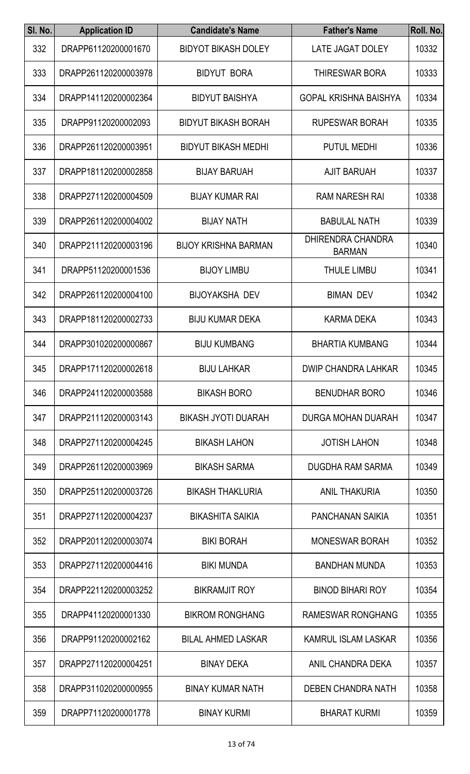| SI. No. | <b>Application ID</b> | <b>Candidate's Name</b>     | <b>Father's Name</b>                      | Roll. No. |
|---------|-----------------------|-----------------------------|-------------------------------------------|-----------|
| 332     | DRAPP61120200001670   | <b>BIDYOT BIKASH DOLEY</b>  | LATE JAGAT DOLEY                          | 10332     |
| 333     | DRAPP261120200003978  | <b>BIDYUT BORA</b>          | <b>THIRESWAR BORA</b>                     | 10333     |
| 334     | DRAPP141120200002364  | <b>BIDYUT BAISHYA</b>       | <b>GOPAL KRISHNA BAISHYA</b>              | 10334     |
| 335     | DRAPP91120200002093   | <b>BIDYUT BIKASH BORAH</b>  | <b>RUPESWAR BORAH</b>                     | 10335     |
| 336     | DRAPP261120200003951  | <b>BIDYUT BIKASH MEDHI</b>  | <b>PUTUL MEDHI</b>                        | 10336     |
| 337     | DRAPP181120200002858  | <b>BIJAY BARUAH</b>         | <b>AJIT BARUAH</b>                        | 10337     |
| 338     | DRAPP271120200004509  | <b>BIJAY KUMAR RAI</b>      | <b>RAM NARESH RAI</b>                     | 10338     |
| 339     | DRAPP261120200004002  | <b>BIJAY NATH</b>           | <b>BABULAL NATH</b>                       | 10339     |
| 340     | DRAPP211120200003196  | <b>BIJOY KRISHNA BARMAN</b> | <b>DHIRENDRA CHANDRA</b><br><b>BARMAN</b> | 10340     |
| 341     | DRAPP51120200001536   | <b>BIJOY LIMBU</b>          | <b>THULE LIMBU</b>                        | 10341     |
| 342     | DRAPP261120200004100  | <b>BIJOYAKSHA DEV</b>       | <b>BIMAN DEV</b>                          | 10342     |
| 343     | DRAPP181120200002733  | <b>BIJU KUMAR DEKA</b>      | <b>KARMA DEKA</b>                         | 10343     |
| 344     | DRAPP301020200000867  | <b>BIJU KUMBANG</b>         | <b>BHARTIA KUMBANG</b>                    | 10344     |
| 345     | DRAPP171120200002618  | <b>BIJU LAHKAR</b>          | <b>DWIP CHANDRA LAHKAR</b>                | 10345     |
| 346     | DRAPP241120200003588  | <b>BIKASH BORO</b>          | <b>BENUDHAR BORO</b>                      | 10346     |
| 347     | DRAPP211120200003143  | <b>BIKASH JYOTI DUARAH</b>  | <b>DURGA MOHAN DUARAH</b>                 | 10347     |
| 348     | DRAPP271120200004245  | <b>BIKASH LAHON</b>         | <b>JOTISH LAHON</b>                       | 10348     |
| 349     | DRAPP261120200003969  | <b>BIKASH SARMA</b>         | DUGDHA RAM SARMA                          | 10349     |
| 350     | DRAPP251120200003726  | <b>BIKASH THAKLURIA</b>     | <b>ANIL THAKURIA</b>                      | 10350     |
| 351     | DRAPP271120200004237  | <b>BIKASHITA SAIKIA</b>     | <b>PANCHANAN SAIKIA</b>                   | 10351     |
| 352     | DRAPP201120200003074  | <b>BIKI BORAH</b>           | <b>MONESWAR BORAH</b>                     | 10352     |
| 353     | DRAPP271120200004416  | <b>BIKI MUNDA</b>           | <b>BANDHAN MUNDA</b>                      | 10353     |
| 354     | DRAPP221120200003252  | <b>BIKRAMJIT ROY</b>        | <b>BINOD BIHARI ROY</b>                   | 10354     |
| 355     | DRAPP41120200001330   | <b>BIKROM RONGHANG</b>      | <b>RAMESWAR RONGHANG</b>                  | 10355     |
| 356     | DRAPP91120200002162   | <b>BILAL AHMED LASKAR</b>   | <b>KAMRUL ISLAM LASKAR</b>                | 10356     |
| 357     | DRAPP271120200004251  | <b>BINAY DEKA</b>           | ANIL CHANDRA DEKA                         | 10357     |
| 358     | DRAPP311020200000955  | <b>BINAY KUMAR NATH</b>     | <b>DEBEN CHANDRA NATH</b>                 | 10358     |
| 359     | DRAPP71120200001778   | <b>BINAY KURMI</b>          | <b>BHARAT KURMI</b>                       | 10359     |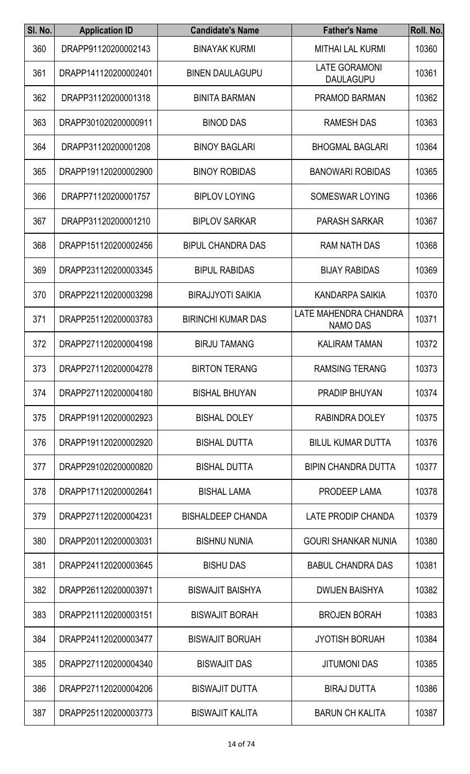| SI. No. | <b>Application ID</b> | <b>Candidate's Name</b>   | <b>Father's Name</b>                     | Roll. No. |
|---------|-----------------------|---------------------------|------------------------------------------|-----------|
| 360     | DRAPP91120200002143   | <b>BINAYAK KURMI</b>      | <b>MITHAI LAL KURMI</b>                  | 10360     |
| 361     | DRAPP141120200002401  | <b>BINEN DAULAGUPU</b>    | <b>LATE GORAMONI</b><br><b>DAULAGUPU</b> | 10361     |
| 362     | DRAPP31120200001318   | <b>BINITA BARMAN</b>      | PRAMOD BARMAN                            | 10362     |
| 363     | DRAPP301020200000911  | <b>BINOD DAS</b>          | <b>RAMESH DAS</b>                        | 10363     |
| 364     | DRAPP31120200001208   | <b>BINOY BAGLARI</b>      | <b>BHOGMAL BAGLARI</b>                   | 10364     |
| 365     | DRAPP191120200002900  | <b>BINOY ROBIDAS</b>      | <b>BANOWARI ROBIDAS</b>                  | 10365     |
| 366     | DRAPP71120200001757   | <b>BIPLOV LOYING</b>      | SOMESWAR LOYING                          | 10366     |
| 367     | DRAPP31120200001210   | <b>BIPLOV SARKAR</b>      | <b>PARASH SARKAR</b>                     | 10367     |
| 368     | DRAPP151120200002456  | <b>BIPUL CHANDRA DAS</b>  | <b>RAM NATH DAS</b>                      | 10368     |
| 369     | DRAPP231120200003345  | <b>BIPUL RABIDAS</b>      | <b>BIJAY RABIDAS</b>                     | 10369     |
| 370     | DRAPP221120200003298  | <b>BIRAJJYOTI SAIKIA</b>  | KANDARPA SAIKIA                          | 10370     |
| 371     | DRAPP251120200003783  | <b>BIRINCHI KUMAR DAS</b> | LATE MAHENDRA CHANDRA<br><b>NAMO DAS</b> | 10371     |
| 372     | DRAPP271120200004198  | <b>BIRJU TAMANG</b>       | <b>KALIRAM TAMAN</b>                     | 10372     |
| 373     | DRAPP271120200004278  | <b>BIRTON TERANG</b>      | <b>RAMSING TERANG</b>                    | 10373     |
| 374     | DRAPP271120200004180  | <b>BISHAL BHUYAN</b>      | <b>PRADIP BHUYAN</b>                     | 10374     |
| 375     | DRAPP191120200002923  | <b>BISHAL DOLEY</b>       | <b>RABINDRA DOLEY</b>                    | 10375     |
| 376     | DRAPP191120200002920  | <b>BISHAL DUTTA</b>       | <b>BILUL KUMAR DUTTA</b>                 | 10376     |
| 377     | DRAPP291020200000820  | <b>BISHAL DUTTA</b>       | <b>BIPIN CHANDRA DUTTA</b>               | 10377     |
| 378     | DRAPP171120200002641  | <b>BISHAL LAMA</b>        | PRODEEP LAMA                             | 10378     |
| 379     | DRAPP271120200004231  | <b>BISHALDEEP CHANDA</b>  | LATE PRODIP CHANDA                       | 10379     |
| 380     | DRAPP201120200003031  | <b>BISHNU NUNIA</b>       | <b>GOURI SHANKAR NUNIA</b>               | 10380     |
| 381     | DRAPP241120200003645  | <b>BISHU DAS</b>          | <b>BABUL CHANDRA DAS</b>                 | 10381     |
| 382     | DRAPP261120200003971  | <b>BISWAJIT BAISHYA</b>   | <b>DWIJEN BAISHYA</b>                    | 10382     |
| 383     | DRAPP211120200003151  | <b>BISWAJIT BORAH</b>     | <b>BROJEN BORAH</b>                      | 10383     |
| 384     | DRAPP241120200003477  | <b>BISWAJIT BORUAH</b>    | <b>JYOTISH BORUAH</b>                    | 10384     |
| 385     | DRAPP271120200004340  | <b>BISWAJIT DAS</b>       | <b>JITUMONI DAS</b>                      | 10385     |
| 386     | DRAPP271120200004206  | <b>BISWAJIT DUTTA</b>     | <b>BIRAJ DUTTA</b>                       | 10386     |
| 387     | DRAPP251120200003773  | <b>BISWAJIT KALITA</b>    | <b>BARUN CH KALITA</b>                   | 10387     |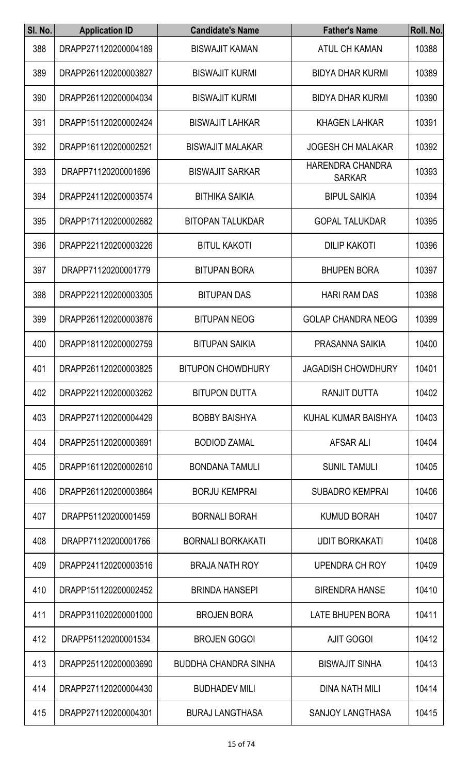| SI. No. | <b>Application ID</b> | <b>Candidate's Name</b>     | <b>Father's Name</b>                     | Roll. No. |
|---------|-----------------------|-----------------------------|------------------------------------------|-----------|
| 388     | DRAPP271120200004189  | <b>BISWAJIT KAMAN</b>       | <b>ATUL CH KAMAN</b>                     | 10388     |
| 389     | DRAPP261120200003827  | <b>BISWAJIT KURMI</b>       | <b>BIDYA DHAR KURMI</b>                  | 10389     |
| 390     | DRAPP261120200004034  | <b>BISWAJIT KURMI</b>       | <b>BIDYA DHAR KURMI</b>                  | 10390     |
| 391     | DRAPP151120200002424  | <b>BISWAJIT LAHKAR</b>      | <b>KHAGEN LAHKAR</b>                     | 10391     |
| 392     | DRAPP161120200002521  | <b>BISWAJIT MALAKAR</b>     | <b>JOGESH CH MALAKAR</b>                 | 10392     |
| 393     | DRAPP71120200001696   | <b>BISWAJIT SARKAR</b>      | <b>HARENDRA CHANDRA</b><br><b>SARKAR</b> | 10393     |
| 394     | DRAPP241120200003574  | <b>BITHIKA SAIKIA</b>       | <b>BIPUL SAIKIA</b>                      | 10394     |
| 395     | DRAPP171120200002682  | <b>BITOPAN TALUKDAR</b>     | <b>GOPAL TALUKDAR</b>                    | 10395     |
| 396     | DRAPP221120200003226  | <b>BITUL KAKOTI</b>         | <b>DILIP KAKOTI</b>                      | 10396     |
| 397     | DRAPP71120200001779   | <b>BITUPAN BORA</b>         | <b>BHUPEN BORA</b>                       | 10397     |
| 398     | DRAPP221120200003305  | <b>BITUPAN DAS</b>          | <b>HARI RAM DAS</b>                      | 10398     |
| 399     | DRAPP261120200003876  | <b>BITUPAN NEOG</b>         | <b>GOLAP CHANDRA NEOG</b>                | 10399     |
| 400     | DRAPP181120200002759  | <b>BITUPAN SAIKIA</b>       | PRASANNA SAIKIA                          | 10400     |
| 401     | DRAPP261120200003825  | <b>BITUPON CHOWDHURY</b>    | <b>JAGADISH CHOWDHURY</b>                | 10401     |
| 402     | DRAPP221120200003262  | <b>BITUPON DUTTA</b>        | RANJIT DUTTA                             | 10402     |
| 403     | DRAPP271120200004429  | <b>BOBBY BAISHYA</b>        | KUHAL KUMAR BAISHYA                      | 10403     |
| 404     | DRAPP251120200003691  | <b>BODIOD ZAMAL</b>         | AFSAR ALI                                | 10404     |
| 405     | DRAPP161120200002610  | <b>BONDANA TAMULI</b>       | <b>SUNIL TAMULI</b>                      | 10405     |
| 406     | DRAPP261120200003864  | <b>BORJU KEMPRAI</b>        | <b>SUBADRO KEMPRAI</b>                   | 10406     |
| 407     | DRAPP51120200001459   | <b>BORNALI BORAH</b>        | <b>KUMUD BORAH</b>                       | 10407     |
| 408     | DRAPP71120200001766   | <b>BORNALI BORKAKATI</b>    | <b>UDIT BORKAKATI</b>                    | 10408     |
| 409     | DRAPP241120200003516  | <b>BRAJA NATH ROY</b>       | <b>UPENDRA CH ROY</b>                    | 10409     |
| 410     | DRAPP151120200002452  | <b>BRINDA HANSEPI</b>       | <b>BIRENDRA HANSE</b>                    | 10410     |
| 411     | DRAPP311020200001000  | <b>BROJEN BORA</b>          | <b>LATE BHUPEN BORA</b>                  | 10411     |
| 412     | DRAPP51120200001534   | <b>BROJEN GOGOI</b>         | <b>AJIT GOGOI</b>                        | 10412     |
| 413     | DRAPP251120200003690  | <b>BUDDHA CHANDRA SINHA</b> | <b>BISWAJIT SINHA</b>                    | 10413     |
| 414     | DRAPP271120200004430  | <b>BUDHADEV MILI</b>        | <b>DINA NATH MILI</b>                    | 10414     |
| 415     | DRAPP271120200004301  | <b>BURAJ LANGTHASA</b>      | SANJOY LANGTHASA                         | 10415     |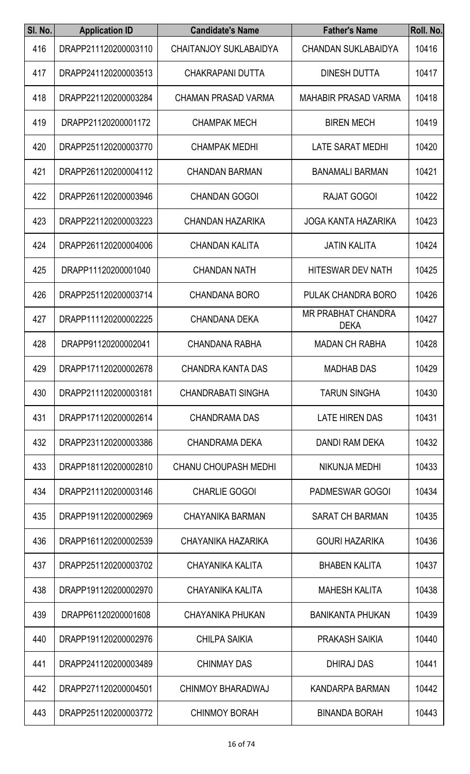| SI. No. | <b>Application ID</b> | <b>Candidate's Name</b>       | <b>Father's Name</b>                     | Roll. No. |
|---------|-----------------------|-------------------------------|------------------------------------------|-----------|
| 416     | DRAPP211120200003110  | <b>CHAITANJOY SUKLABAIDYA</b> | <b>CHANDAN SUKLABAIDYA</b>               | 10416     |
| 417     | DRAPP241120200003513  | CHAKRAPANI DUTTA              | <b>DINESH DUTTA</b>                      | 10417     |
| 418     | DRAPP221120200003284  | <b>CHAMAN PRASAD VARMA</b>    | <b>MAHABIR PRASAD VARMA</b>              | 10418     |
| 419     | DRAPP21120200001172   | <b>CHAMPAK MECH</b>           | <b>BIREN MECH</b>                        | 10419     |
| 420     | DRAPP251120200003770  | <b>CHAMPAK MEDHI</b>          | LATE SARAT MEDHI                         | 10420     |
| 421     | DRAPP261120200004112  | <b>CHANDAN BARMAN</b>         | <b>BANAMALI BARMAN</b>                   | 10421     |
| 422     | DRAPP261120200003946  | <b>CHANDAN GOGOI</b>          | <b>RAJAT GOGOI</b>                       | 10422     |
| 423     | DRAPP221120200003223  | <b>CHANDAN HAZARIKA</b>       | <b>JOGA KANTA HAZARIKA</b>               | 10423     |
| 424     | DRAPP261120200004006  | <b>CHANDAN KALITA</b>         | <b>JATIN KALITA</b>                      | 10424     |
| 425     | DRAPP11120200001040   | <b>CHANDAN NATH</b>           | <b>HITESWAR DEV NATH</b>                 | 10425     |
| 426     | DRAPP251120200003714  | <b>CHANDANA BORO</b>          | PULAK CHANDRA BORO                       | 10426     |
| 427     | DRAPP111120200002225  | <b>CHANDANA DEKA</b>          | <b>MR PRABHAT CHANDRA</b><br><b>DEKA</b> | 10427     |
| 428     | DRAPP91120200002041   | <b>CHANDANA RABHA</b>         | <b>MADAN CH RABHA</b>                    | 10428     |
| 429     | DRAPP171120200002678  | <b>CHANDRA KANTA DAS</b>      | <b>MADHAB DAS</b>                        | 10429     |
| 430     | DRAPP211120200003181  | <b>CHANDRABATI SINGHA</b>     | <b>TARUN SINGHA</b>                      | 10430     |
| 431     | DRAPP171120200002614  | <b>CHANDRAMA DAS</b>          | <b>LATE HIREN DAS</b>                    | 10431     |
| 432     | DRAPP231120200003386  | CHANDRAMA DEKA                | <b>DANDI RAM DEKA</b>                    | 10432     |
| 433     | DRAPP181120200002810  | <b>CHANU CHOUPASH MEDHI</b>   | <b>NIKUNJA MEDHI</b>                     | 10433     |
| 434     | DRAPP211120200003146  | <b>CHARLIE GOGOI</b>          | <b>PADMESWAR GOGOI</b>                   | 10434     |
| 435     | DRAPP191120200002969  | <b>CHAYANIKA BARMAN</b>       | <b>SARAT CH BARMAN</b>                   | 10435     |
| 436     | DRAPP161120200002539  | CHAYANIKA HAZARIKA            | <b>GOURI HAZARIKA</b>                    | 10436     |
| 437     | DRAPP251120200003702  | CHAYANIKA KALITA              | <b>BHABEN KALITA</b>                     | 10437     |
| 438     | DRAPP191120200002970  | CHAYANIKA KALITA              | <b>MAHESH KALITA</b>                     | 10438     |
| 439     | DRAPP61120200001608   | <b>CHAYANIKA PHUKAN</b>       | <b>BANIKANTA PHUKAN</b>                  | 10439     |
| 440     | DRAPP191120200002976  | <b>CHILPA SAIKIA</b>          | PRAKASH SAIKIA                           | 10440     |
| 441     | DRAPP241120200003489  | <b>CHINMAY DAS</b>            | DHIRAJ DAS                               | 10441     |
| 442     | DRAPP271120200004501  | CHINMOY BHARADWAJ             | KANDARPA BARMAN                          | 10442     |
| 443     | DRAPP251120200003772  | <b>CHINMOY BORAH</b>          | <b>BINANDA BORAH</b>                     | 10443     |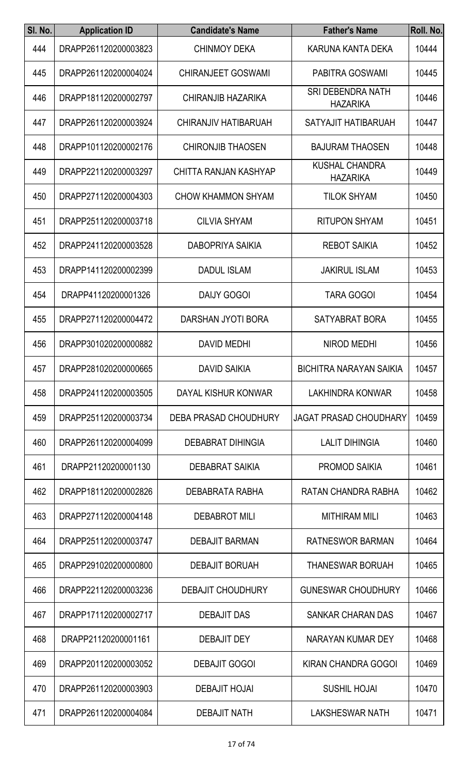| SI. No. | <b>Application ID</b> | <b>Candidate's Name</b>   | <b>Father's Name</b>                        | Roll. No. |
|---------|-----------------------|---------------------------|---------------------------------------------|-----------|
| 444     | DRAPP261120200003823  | <b>CHINMOY DEKA</b>       | KARUNA KANTA DEKA                           | 10444     |
| 445     | DRAPP261120200004024  | <b>CHIRANJEET GOSWAMI</b> | PABITRA GOSWAMI                             | 10445     |
| 446     | DRAPP181120200002797  | CHIRANJIB HAZARIKA        | <b>SRI DEBENDRA NATH</b><br><b>HAZARIKA</b> | 10446     |
| 447     | DRAPP261120200003924  | CHIRANJIV HATIBARUAH      | SATYAJIT HATIBARUAH                         | 10447     |
| 448     | DRAPP101120200002176  | <b>CHIRONJIB THAOSEN</b>  | <b>BAJURAM THAOSEN</b>                      | 10448     |
| 449     | DRAPP221120200003297  | CHITTA RANJAN KASHYAP     | <b>KUSHAL CHANDRA</b><br><b>HAZARIKA</b>    | 10449     |
| 450     | DRAPP271120200004303  | <b>CHOW KHAMMON SHYAM</b> | <b>TILOK SHYAM</b>                          | 10450     |
| 451     | DRAPP251120200003718  | <b>CILVIA SHYAM</b>       | <b>RITUPON SHYAM</b>                        | 10451     |
| 452     | DRAPP241120200003528  | DABOPRIYA SAIKIA          | <b>REBOT SAIKIA</b>                         | 10452     |
| 453     | DRAPP141120200002399  | <b>DADUL ISLAM</b>        | <b>JAKIRUL ISLAM</b>                        | 10453     |
| 454     | DRAPP41120200001326   | <b>DAIJY GOGOI</b>        | <b>TARA GOGOI</b>                           | 10454     |
| 455     | DRAPP271120200004472  | DARSHAN JYOTI BORA        | <b>SATYABRAT BORA</b>                       | 10455     |
| 456     | DRAPP301020200000882  | <b>DAVID MEDHI</b>        | <b>NIROD MEDHI</b>                          | 10456     |
| 457     | DRAPP281020200000665  | <b>DAVID SAIKIA</b>       | <b>BICHITRA NARAYAN SAIKIA</b>              | 10457     |
| 458     | DRAPP241120200003505  | DAYAL KISHUR KONWAR       | LAKHINDRA KONWAR                            | 10458     |
| 459     | DRAPP251120200003734  | DEBA PRASAD CHOUDHURY     | <b>JAGAT PRASAD CHOUDHARY</b>               | 10459     |
| 460     | DRAPP261120200004099  | <b>DEBABRAT DIHINGIA</b>  | <b>LALIT DIHINGIA</b>                       | 10460     |
| 461     | DRAPP21120200001130   | <b>DEBABRAT SAIKIA</b>    | <b>PROMOD SAIKIA</b>                        | 10461     |
| 462     | DRAPP181120200002826  | DEBABRATA RABHA           | RATAN CHANDRA RABHA                         | 10462     |
| 463     | DRAPP271120200004148  | <b>DEBABROT MILI</b>      | <b>MITHIRAM MILI</b>                        | 10463     |
| 464     | DRAPP251120200003747  | <b>DEBAJIT BARMAN</b>     | RATNESWOR BARMAN                            | 10464     |
| 465     | DRAPP291020200000800  | <b>DEBAJIT BORUAH</b>     | <b>THANESWAR BORUAH</b>                     | 10465     |
| 466     | DRAPP221120200003236  | <b>DEBAJIT CHOUDHURY</b>  | <b>GUNESWAR CHOUDHURY</b>                   | 10466     |
| 467     | DRAPP171120200002717  | <b>DEBAJIT DAS</b>        | <b>SANKAR CHARAN DAS</b>                    | 10467     |
| 468     | DRAPP21120200001161   | <b>DEBAJIT DEY</b>        | NARAYAN KUMAR DEY                           | 10468     |
| 469     | DRAPP201120200003052  | <b>DEBAJIT GOGOI</b>      | <b>KIRAN CHANDRA GOGOI</b>                  | 10469     |
| 470     | DRAPP261120200003903  | <b>DEBAJIT HOJAI</b>      | <b>SUSHIL HOJAI</b>                         | 10470     |
| 471     | DRAPP261120200004084  | <b>DEBAJIT NATH</b>       | LAKSHESWAR NATH                             | 10471     |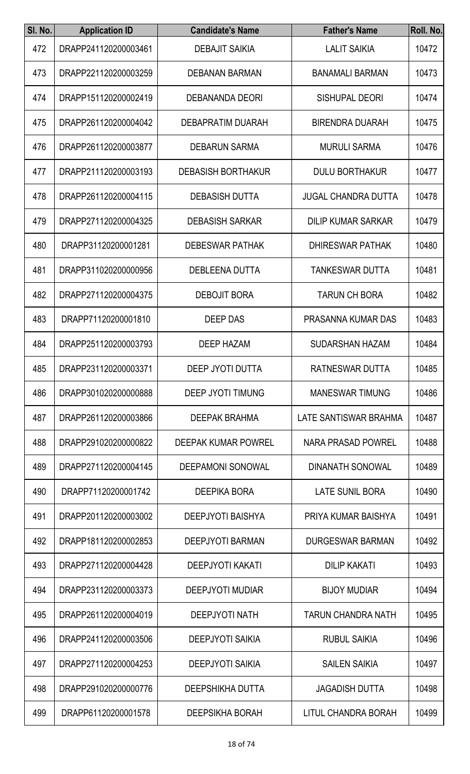| SI. No. | <b>Application ID</b> | <b>Candidate's Name</b>    | <b>Father's Name</b>       | Roll. No. |
|---------|-----------------------|----------------------------|----------------------------|-----------|
| 472     | DRAPP241120200003461  | <b>DEBAJIT SAIKIA</b>      | <b>LALIT SAIKIA</b>        | 10472     |
| 473     | DRAPP221120200003259  | <b>DEBANAN BARMAN</b>      | <b>BANAMALI BARMAN</b>     | 10473     |
| 474     | DRAPP151120200002419  | <b>DEBANANDA DEORI</b>     | <b>SISHUPAL DEORI</b>      | 10474     |
| 475     | DRAPP261120200004042  | <b>DEBAPRATIM DUARAH</b>   | <b>BIRENDRA DUARAH</b>     | 10475     |
| 476     | DRAPP261120200003877  | <b>DEBARUN SARMA</b>       | <b>MURULI SARMA</b>        | 10476     |
| 477     | DRAPP211120200003193  | <b>DEBASISH BORTHAKUR</b>  | <b>DULU BORTHAKUR</b>      | 10477     |
| 478     | DRAPP261120200004115  | <b>DEBASISH DUTTA</b>      | <b>JUGAL CHANDRA DUTTA</b> | 10478     |
| 479     | DRAPP271120200004325  | <b>DEBASISH SARKAR</b>     | <b>DILIP KUMAR SARKAR</b>  | 10479     |
| 480     | DRAPP31120200001281   | <b>DEBESWAR PATHAK</b>     | <b>DHIRESWAR PATHAK</b>    | 10480     |
| 481     | DRAPP311020200000956  | <b>DEBLEENA DUTTA</b>      | <b>TANKESWAR DUTTA</b>     | 10481     |
| 482     | DRAPP271120200004375  | <b>DEBOJIT BORA</b>        | <b>TARUN CH BORA</b>       | 10482     |
| 483     | DRAPP71120200001810   | <b>DEEP DAS</b>            | PRASANNA KUMAR DAS         | 10483     |
| 484     | DRAPP251120200003793  | <b>DEEP HAZAM</b>          | <b>SUDARSHAN HAZAM</b>     | 10484     |
| 485     | DRAPP231120200003371  | DEEP JYOTI DUTTA           | RATNESWAR DUTTA            | 10485     |
| 486     | DRAPP301020200000888  | <b>DEEP JYOTI TIMUNG</b>   | <b>MANESWAR TIMUNG</b>     | 10486     |
| 487     | DRAPP261120200003866  | <b>DEEPAK BRAHMA</b>       | LATE SANTISWAR BRAHMA      | 10487     |
| 488     | DRAPP291020200000822  | <b>DEEPAK KUMAR POWREL</b> | NARA PRASAD POWREL         | 10488     |
| 489     | DRAPP271120200004145  | <b>DEEPAMONI SONOWAL</b>   | <b>DINANATH SONOWAL</b>    | 10489     |
| 490     | DRAPP71120200001742   | <b>DEEPIKA BORA</b>        | <b>LATE SUNIL BORA</b>     | 10490     |
| 491     | DRAPP201120200003002  | <b>DEEPJYOTI BAISHYA</b>   | PRIYA KUMAR BAISHYA        | 10491     |
| 492     | DRAPP181120200002853  | <b>DEEPJYOTI BARMAN</b>    | <b>DURGESWAR BARMAN</b>    | 10492     |
| 493     | DRAPP271120200004428  | <b>DEEPJYOTI KAKATI</b>    | <b>DILIP KAKATI</b>        | 10493     |
| 494     | DRAPP231120200003373  | <b>DEEPJYOTI MUDIAR</b>    | <b>BIJOY MUDIAR</b>        | 10494     |
| 495     | DRAPP261120200004019  | <b>DEEPJYOTI NATH</b>      | <b>TARUN CHANDRA NATH</b>  | 10495     |
| 496     | DRAPP241120200003506  | <b>DEEPJYOTI SAIKIA</b>    | <b>RUBUL SAIKIA</b>        | 10496     |
| 497     | DRAPP271120200004253  | <b>DEEPJYOTI SAIKIA</b>    | <b>SAILEN SAIKIA</b>       | 10497     |
| 498     | DRAPP291020200000776  | <b>DEEPSHIKHA DUTTA</b>    | <b>JAGADISH DUTTA</b>      | 10498     |
| 499     | DRAPP61120200001578   | <b>DEEPSIKHA BORAH</b>     | LITUL CHANDRA BORAH        | 10499     |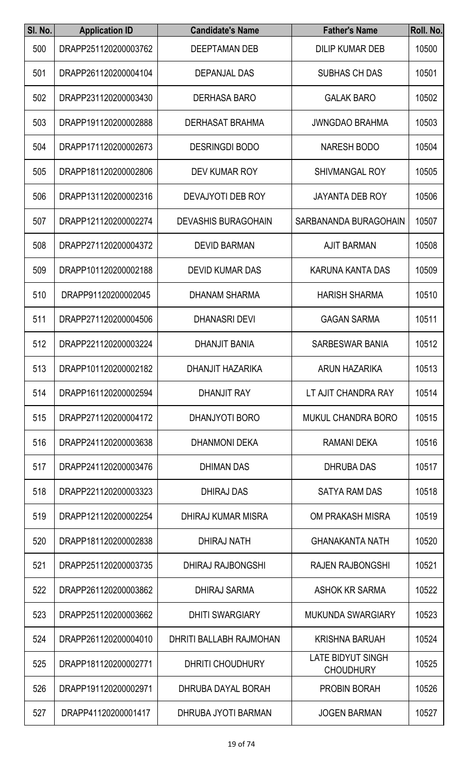| SI. No. | <b>Application ID</b> | <b>Candidate's Name</b>    | <b>Father's Name</b>                         | Roll. No. |
|---------|-----------------------|----------------------------|----------------------------------------------|-----------|
| 500     | DRAPP251120200003762  | DEEPTAMAN DEB              | <b>DILIP KUMAR DEB</b>                       | 10500     |
| 501     | DRAPP261120200004104  | <b>DEPANJAL DAS</b>        | <b>SUBHAS CH DAS</b>                         | 10501     |
| 502     | DRAPP231120200003430  | <b>DERHASA BARO</b>        | <b>GALAK BARO</b>                            | 10502     |
| 503     | DRAPP191120200002888  | DERHASAT BRAHMA            | <b>JWNGDAO BRAHMA</b>                        | 10503     |
| 504     | DRAPP171120200002673  | <b>DESRINGDI BODO</b>      | <b>NARESH BODO</b>                           | 10504     |
| 505     | DRAPP181120200002806  | DEV KUMAR ROY              | <b>SHIVMANGAL ROY</b>                        | 10505     |
| 506     | DRAPP131120200002316  | DEVAJYOTI DEB ROY          | <b>JAYANTA DEB ROY</b>                       | 10506     |
| 507     | DRAPP121120200002274  | <b>DEVASHIS BURAGOHAIN</b> | SARBANANDA BURAGOHAIN                        | 10507     |
| 508     | DRAPP271120200004372  | <b>DEVID BARMAN</b>        | <b>AJIT BARMAN</b>                           | 10508     |
| 509     | DRAPP101120200002188  | <b>DEVID KUMAR DAS</b>     | <b>KARUNA KANTA DAS</b>                      | 10509     |
| 510     | DRAPP91120200002045   | <b>DHANAM SHARMA</b>       | <b>HARISH SHARMA</b>                         | 10510     |
| 511     | DRAPP271120200004506  | <b>DHANASRI DEVI</b>       | <b>GAGAN SARMA</b>                           | 10511     |
| 512     | DRAPP221120200003224  | <b>DHANJIT BANIA</b>       | SARBESWAR BANIA                              | 10512     |
| 513     | DRAPP101120200002182  | DHANJIT HAZARIKA           | ARUN HAZARIKA                                | 10513     |
| 514     | DRAPP161120200002594  | <b>DHANJIT RAY</b>         | LT AJIT CHANDRA RAY                          | 10514     |
| 515     | DRAPP271120200004172  | DHANJYOTI BORO             | <b>MUKUL CHANDRA BORO</b>                    | 10515     |
| 516     | DRAPP241120200003638  | <b>DHANMONI DEKA</b>       | <b>RAMANI DEKA</b>                           | 10516     |
| 517     | DRAPP241120200003476  | <b>DHIMAN DAS</b>          | <b>DHRUBA DAS</b>                            | 10517     |
| 518     | DRAPP221120200003323  | <b>DHIRAJ DAS</b>          | <b>SATYA RAM DAS</b>                         | 10518     |
| 519     | DRAPP121120200002254  | DHIRAJ KUMAR MISRA         | OM PRAKASH MISRA                             | 10519     |
| 520     | DRAPP181120200002838  | DHIRAJ NATH                | <b>GHANAKANTA NATH</b>                       | 10520     |
| 521     | DRAPP251120200003735  | DHIRAJ RAJBONGSHI          | <b>RAJEN RAJBONGSHI</b>                      | 10521     |
| 522     | DRAPP261120200003862  | <b>DHIRAJ SARMA</b>        | <b>ASHOK KR SARMA</b>                        | 10522     |
| 523     | DRAPP251120200003662  | <b>DHITI SWARGIARY</b>     | <b>MUKUNDA SWARGIARY</b>                     | 10523     |
| 524     | DRAPP261120200004010  | DHRITI BALLABH RAJMOHAN    | <b>KRISHNA BARUAH</b>                        | 10524     |
| 525     | DRAPP181120200002771  | <b>DHRITI CHOUDHURY</b>    | <b>LATE BIDYUT SINGH</b><br><b>CHOUDHURY</b> | 10525     |
| 526     | DRAPP191120200002971  | DHRUBA DAYAL BORAH         | PROBIN BORAH                                 | 10526     |
| 527     | DRAPP41120200001417   | DHRUBA JYOTI BARMAN        | <b>JOGEN BARMAN</b>                          | 10527     |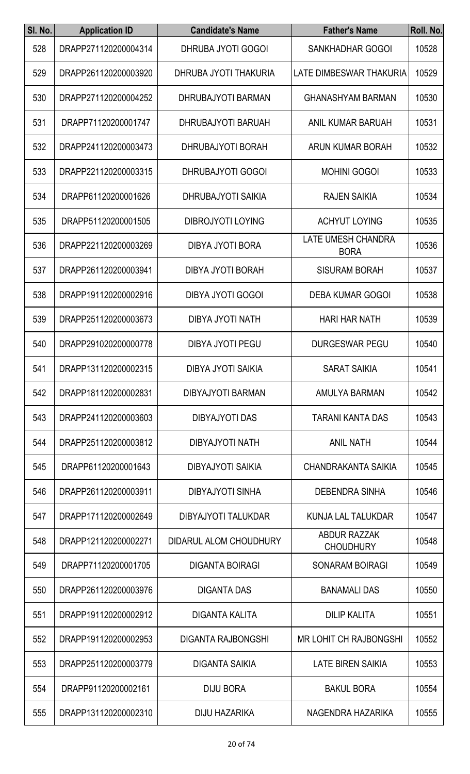| SI. No. | <b>Application ID</b> | <b>Candidate's Name</b>    | <b>Father's Name</b>                     | Roll. No. |
|---------|-----------------------|----------------------------|------------------------------------------|-----------|
| 528     | DRAPP271120200004314  | DHRUBA JYOTI GOGOI         | SANKHADHAR GOGOI                         | 10528     |
| 529     | DRAPP261120200003920  | DHRUBA JYOTI THAKURIA      | LATE DIMBESWAR THAKURIA                  | 10529     |
| 530     | DRAPP271120200004252  | DHRUBAJYOTI BARMAN         | <b>GHANASHYAM BARMAN</b>                 | 10530     |
| 531     | DRAPP71120200001747   | DHRUBAJYOTI BARUAH         | ANIL KUMAR BARUAH                        | 10531     |
| 532     | DRAPP241120200003473  | DHRUBAJYOTI BORAH          | ARUN KUMAR BORAH                         | 10532     |
| 533     | DRAPP221120200003315  | DHRUBAJYOTI GOGOI          | <b>MOHINI GOGOI</b>                      | 10533     |
| 534     | DRAPP61120200001626   | <b>DHRUBAJYOTI SAIKIA</b>  | <b>RAJEN SAIKIA</b>                      | 10534     |
| 535     | DRAPP51120200001505   | <b>DIBROJYOTI LOYING</b>   | <b>ACHYUT LOYING</b>                     | 10535     |
| 536     | DRAPP221120200003269  | DIBYA JYOTI BORA           | <b>LATE UMESH CHANDRA</b><br><b>BORA</b> | 10536     |
| 537     | DRAPP261120200003941  | <b>DIBYA JYOTI BORAH</b>   | <b>SISURAM BORAH</b>                     | 10537     |
| 538     | DRAPP191120200002916  | DIBYA JYOTI GOGOI          | <b>DEBA KUMAR GOGOI</b>                  | 10538     |
| 539     | DRAPP251120200003673  | DIBYA JYOTI NATH           | <b>HARI HAR NATH</b>                     | 10539     |
| 540     | DRAPP291020200000778  | <b>DIBYA JYOTI PEGU</b>    | <b>DURGESWAR PEGU</b>                    | 10540     |
| 541     | DRAPP131120200002315  | <b>DIBYA JYOTI SAIKIA</b>  | <b>SARAT SAIKIA</b>                      | 10541     |
| 542     | DRAPP181120200002831  | DIBYAJYOTI BARMAN          | AMULYA BARMAN                            | 10542     |
| 543     | DRAPP241120200003603  | DIBYAJYOTI DAS             | TARANI KANTA DAS                         | 10543     |
| 544     | DRAPP251120200003812  | DIBYAJYOTI NATH            | <b>ANIL NATH</b>                         | 10544     |
| 545     | DRAPP61120200001643   | <b>DIBYAJYOTI SAIKIA</b>   | CHANDRAKANTA SAIKIA                      | 10545     |
| 546     | DRAPP261120200003911  | DIBYAJYOTI SINHA           | <b>DEBENDRA SINHA</b>                    | 10546     |
| 547     | DRAPP171120200002649  | <b>DIBYAJYOTI TALUKDAR</b> | KUNJA LAL TALUKDAR                       | 10547     |
| 548     | DRAPP121120200002271  | DIDARUL ALOM CHOUDHURY     | <b>ABDUR RAZZAK</b><br><b>CHOUDHURY</b>  | 10548     |
| 549     | DRAPP71120200001705   | <b>DIGANTA BOIRAGI</b>     | SONARAM BOIRAGI                          | 10549     |
| 550     | DRAPP261120200003976  | <b>DIGANTA DAS</b>         | <b>BANAMALI DAS</b>                      | 10550     |
| 551     | DRAPP191120200002912  | DIGANTA KALITA             | <b>DILIP KALITA</b>                      | 10551     |
| 552     | DRAPP191120200002953  | <b>DIGANTA RAJBONGSHI</b>  | <b>MR LOHIT CH RAJBONGSHI</b>            | 10552     |
| 553     | DRAPP251120200003779  | <b>DIGANTA SAIKIA</b>      | <b>LATE BIREN SAIKIA</b>                 | 10553     |
| 554     | DRAPP91120200002161   | <b>DIJU BORA</b>           | <b>BAKUL BORA</b>                        | 10554     |
| 555     | DRAPP131120200002310  | DIJU HAZARIKA              | NAGENDRA HAZARIKA                        | 10555     |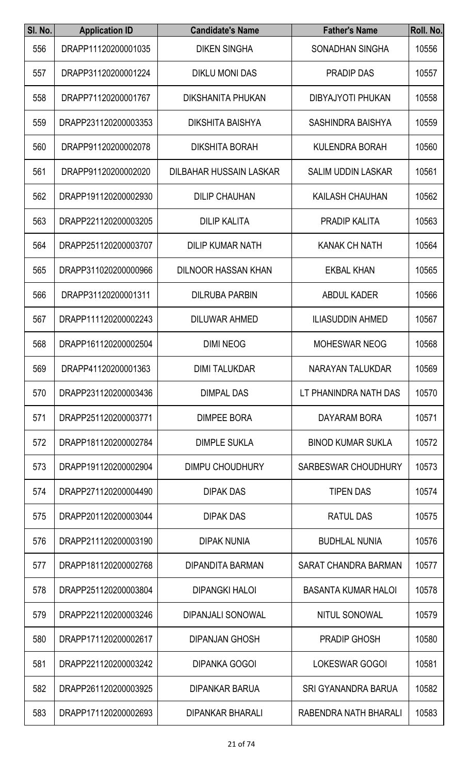| SI. No. | <b>Application ID</b> | <b>Candidate's Name</b>    | <b>Father's Name</b>        | Roll. No. |
|---------|-----------------------|----------------------------|-----------------------------|-----------|
| 556     | DRAPP11120200001035   | <b>DIKEN SINGHA</b>        | SONADHAN SINGHA             | 10556     |
| 557     | DRAPP31120200001224   | DIKLU MONI DAS             | <b>PRADIP DAS</b>           | 10557     |
| 558     | DRAPP71120200001767   | <b>DIKSHANITA PHUKAN</b>   | <b>DIBYAJYOTI PHUKAN</b>    | 10558     |
| 559     | DRAPP231120200003353  | <b>DIKSHITA BAISHYA</b>    | <b>SASHINDRA BAISHYA</b>    | 10559     |
| 560     | DRAPP91120200002078   | <b>DIKSHITA BORAH</b>      | <b>KULENDRA BORAH</b>       | 10560     |
| 561     | DRAPP91120200002020   | DILBAHAR HUSSAIN LASKAR    | <b>SALIM UDDIN LASKAR</b>   | 10561     |
| 562     | DRAPP191120200002930  | <b>DILIP CHAUHAN</b>       | <b>KAILASH CHAUHAN</b>      | 10562     |
| 563     | DRAPP221120200003205  | <b>DILIP KALITA</b>        | <b>PRADIP KALITA</b>        | 10563     |
| 564     | DRAPP251120200003707  | <b>DILIP KUMAR NATH</b>    | <b>KANAK CH NATH</b>        | 10564     |
| 565     | DRAPP311020200000966  | <b>DILNOOR HASSAN KHAN</b> | <b>EKBAL KHAN</b>           | 10565     |
| 566     | DRAPP31120200001311   | <b>DILRUBA PARBIN</b>      | <b>ABDUL KADER</b>          | 10566     |
| 567     | DRAPP111120200002243  | <b>DILUWAR AHMED</b>       | <b>ILIASUDDIN AHMED</b>     | 10567     |
| 568     | DRAPP161120200002504  | <b>DIMI NEOG</b>           | <b>MOHESWAR NEOG</b>        | 10568     |
| 569     | DRAPP41120200001363   | <b>DIMI TALUKDAR</b>       | NARAYAN TALUKDAR            | 10569     |
| 570     | DRAPP231120200003436  | <b>DIMPAL DAS</b>          | LT PHANINDRA NATH DAS       | 10570     |
| 571     | DRAPP251120200003771  | <b>DIMPEE BORA</b>         | DAYARAM BORA                | 10571     |
| 572     | DRAPP181120200002784  | <b>DIMPLE SUKLA</b>        | <b>BINOD KUMAR SUKLA</b>    | 10572     |
| 573     | DRAPP191120200002904  | <b>DIMPU CHOUDHURY</b>     | SARBESWAR CHOUDHURY         | 10573     |
| 574     | DRAPP271120200004490  | <b>DIPAK DAS</b>           | <b>TIPEN DAS</b>            | 10574     |
| 575     | DRAPP201120200003044  | <b>DIPAK DAS</b>           | RATUL DAS                   | 10575     |
| 576     | DRAPP211120200003190  | <b>DIPAK NUNIA</b>         | <b>BUDHLAL NUNIA</b>        | 10576     |
| 577     | DRAPP181120200002768  | <b>DIPANDITA BARMAN</b>    | <b>SARAT CHANDRA BARMAN</b> | 10577     |
| 578     | DRAPP251120200003804  | <b>DIPANGKI HALOI</b>      | <b>BASANTA KUMAR HALOI</b>  | 10578     |
| 579     | DRAPP221120200003246  | <b>DIPANJALI SONOWAL</b>   | NITUL SONOWAL               | 10579     |
| 580     | DRAPP171120200002617  | <b>DIPANJAN GHOSH</b>      | <b>PRADIP GHOSH</b>         | 10580     |
| 581     | DRAPP221120200003242  | <b>DIPANKA GOGOI</b>       | <b>LOKESWAR GOGOI</b>       | 10581     |
| 582     | DRAPP261120200003925  | <b>DIPANKAR BARUA</b>      | <b>SRI GYANANDRA BARUA</b>  | 10582     |
| 583     | DRAPP171120200002693  | <b>DIPANKAR BHARALI</b>    | RABENDRA NATH BHARALI       | 10583     |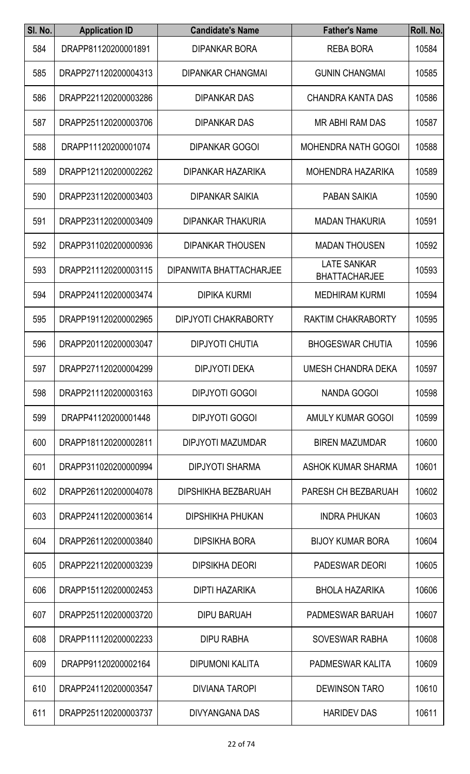| SI. No. | <b>Application ID</b> | <b>Candidate's Name</b>     | <b>Father's Name</b>                       | Roll. No. |
|---------|-----------------------|-----------------------------|--------------------------------------------|-----------|
| 584     | DRAPP81120200001891   | <b>DIPANKAR BORA</b>        | <b>REBA BORA</b>                           | 10584     |
| 585     | DRAPP271120200004313  | <b>DIPANKAR CHANGMAI</b>    | <b>GUNIN CHANGMAI</b>                      | 10585     |
| 586     | DRAPP221120200003286  | <b>DIPANKAR DAS</b>         | CHANDRA KANTA DAS                          | 10586     |
| 587     | DRAPP251120200003706  | <b>DIPANKAR DAS</b>         | <b>MR ABHI RAM DAS</b>                     | 10587     |
| 588     | DRAPP11120200001074   | <b>DIPANKAR GOGOI</b>       | <b>MOHENDRA NATH GOGOI</b>                 | 10588     |
| 589     | DRAPP121120200002262  | DIPANKAR HAZARIKA           | MOHENDRA HAZARIKA                          | 10589     |
| 590     | DRAPP231120200003403  | <b>DIPANKAR SAIKIA</b>      | <b>PABAN SAIKIA</b>                        | 10590     |
| 591     | DRAPP231120200003409  | <b>DIPANKAR THAKURIA</b>    | <b>MADAN THAKURIA</b>                      | 10591     |
| 592     | DRAPP311020200000936  | <b>DIPANKAR THOUSEN</b>     | <b>MADAN THOUSEN</b>                       | 10592     |
| 593     | DRAPP211120200003115  | DIPANWITA BHATTACHARJEE     | <b>LATE SANKAR</b><br><b>BHATTACHARJEE</b> | 10593     |
| 594     | DRAPP241120200003474  | <b>DIPIKA KURMI</b>         | <b>MEDHIRAM KURMI</b>                      | 10594     |
| 595     | DRAPP191120200002965  | <b>DIPJYOTI CHAKRABORTY</b> | <b>RAKTIM CHAKRABORTY</b>                  | 10595     |
| 596     | DRAPP201120200003047  | <b>DIPJYOTI CHUTIA</b>      | <b>BHOGESWAR CHUTIA</b>                    | 10596     |
| 597     | DRAPP271120200004299  | <b>DIPJYOTI DEKA</b>        | <b>UMESH CHANDRA DEKA</b>                  | 10597     |
| 598     | DRAPP211120200003163  | <b>DIPJYOTI GOGOI</b>       | <b>NANDA GOGOI</b>                         | 10598     |
| 599     | DRAPP41120200001448   | <b>DIPJYOTI GOGOI</b>       | AMULY KUMAR GOGOI                          | 10599     |
| 600     | DRAPP181120200002811  | DIPJYOTI MAZUMDAR           | <b>BIREN MAZUMDAR</b>                      | 10600     |
| 601     | DRAPP311020200000994  | <b>DIPJYOTI SHARMA</b>      | ASHOK KUMAR SHARMA                         | 10601     |
| 602     | DRAPP261120200004078  | DIPSHIKHA BEZBARUAH         | PARESH CH BEZBARUAH                        | 10602     |
| 603     | DRAPP241120200003614  | <b>DIPSHIKHA PHUKAN</b>     | <b>INDRA PHUKAN</b>                        | 10603     |
| 604     | DRAPP261120200003840  | <b>DIPSIKHA BORA</b>        | <b>BIJOY KUMAR BORA</b>                    | 10604     |
| 605     | DRAPP221120200003239  | <b>DIPSIKHA DEORI</b>       | <b>PADESWAR DEORI</b>                      | 10605     |
| 606     | DRAPP151120200002453  | <b>DIPTI HAZARIKA</b>       | <b>BHOLA HAZARIKA</b>                      | 10606     |
| 607     | DRAPP251120200003720  | <b>DIPU BARUAH</b>          | PADMESWAR BARUAH                           | 10607     |
| 608     | DRAPP111120200002233  | <b>DIPU RABHA</b>           | <b>SOVESWAR RABHA</b>                      | 10608     |
| 609     | DRAPP91120200002164   | <b>DIPUMONI KALITA</b>      | PADMESWAR KALITA                           | 10609     |
| 610     | DRAPP241120200003547  | <b>DIVIANA TAROPI</b>       | <b>DEWINSON TARO</b>                       | 10610     |
| 611     | DRAPP251120200003737  | DIVYANGANA DAS              | <b>HARIDEV DAS</b>                         | 10611     |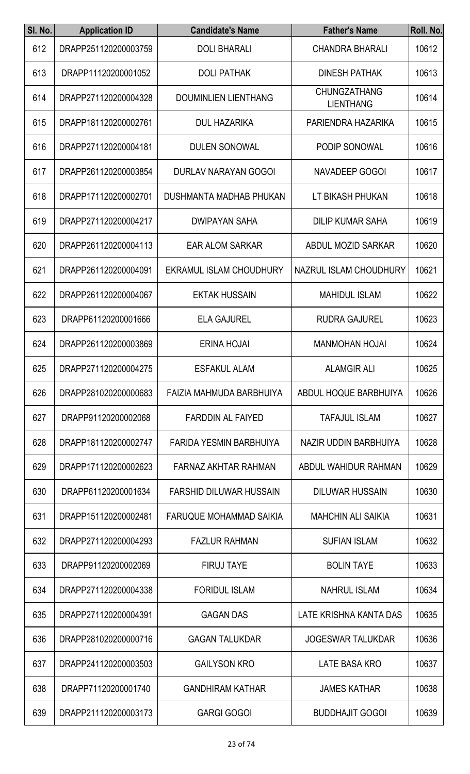| SI. No. | <b>Application ID</b> | <b>Candidate's Name</b>        | <b>Father's Name</b>                    | Roll. No. |
|---------|-----------------------|--------------------------------|-----------------------------------------|-----------|
| 612     | DRAPP251120200003759  | <b>DOLI BHARALI</b>            | <b>CHANDRA BHARALI</b>                  | 10612     |
| 613     | DRAPP11120200001052   | <b>DOLI PATHAK</b>             | <b>DINESH PATHAK</b>                    | 10613     |
| 614     | DRAPP271120200004328  | <b>DOUMINLIEN LIENTHANG</b>    | <b>CHUNGZATHANG</b><br><b>LIENTHANG</b> | 10614     |
| 615     | DRAPP181120200002761  | <b>DUL HAZARIKA</b>            | PARIENDRA HAZARIKA                      | 10615     |
| 616     | DRAPP271120200004181  | <b>DULEN SONOWAL</b>           | PODIP SONOWAL                           | 10616     |
| 617     | DRAPP261120200003854  | <b>DURLAV NARAYAN GOGOI</b>    | NAVADEEP GOGOI                          | 10617     |
| 618     | DRAPP171120200002701  | DUSHMANTA MADHAB PHUKAN        | LT BIKASH PHUKAN                        | 10618     |
| 619     | DRAPP271120200004217  | <b>DWIPAYAN SAHA</b>           | <b>DILIP KUMAR SAHA</b>                 | 10619     |
| 620     | DRAPP261120200004113  | <b>EAR ALOM SARKAR</b>         | ABDUL MOZID SARKAR                      | 10620     |
| 621     | DRAPP261120200004091  | EKRAMUL ISLAM CHOUDHURY        | NAZRUL ISLAM CHOUDHURY                  | 10621     |
| 622     | DRAPP261120200004067  | <b>EKTAK HUSSAIN</b>           | <b>MAHIDUL ISLAM</b>                    | 10622     |
| 623     | DRAPP61120200001666   | <b>ELA GAJUREL</b>             | <b>RUDRA GAJUREL</b>                    | 10623     |
| 624     | DRAPP261120200003869  | <b>ERINA HOJAI</b>             | <b>MANMOHAN HOJAI</b>                   | 10624     |
| 625     | DRAPP271120200004275  | <b>ESFAKUL ALAM</b>            | <b>ALAMGIR ALI</b>                      | 10625     |
| 626     | DRAPP281020200000683  | FAIZIA MAHMUDA BARBHUIYA       | ABDUL HOQUE BARBHUIYA                   | 10626     |
| 627     | DRAPP91120200002068   | <b>FARDDIN AL FAIYED</b>       | <b>TAFAJUL ISLAM</b>                    | 10627     |
| 628     | DRAPP181120200002747  | FARIDA YESMIN BARBHUIYA        | NAZIR UDDIN BARBHUIYA                   | 10628     |
| 629     | DRAPP171120200002623  | FARNAZ AKHTAR RAHMAN           | ABDUL WAHIDUR RAHMAN                    | 10629     |
| 630     | DRAPP61120200001634   | <b>FARSHID DILUWAR HUSSAIN</b> | <b>DILUWAR HUSSAIN</b>                  | 10630     |
| 631     | DRAPP151120200002481  | <b>FARUQUE MOHAMMAD SAIKIA</b> | <b>MAHCHIN ALI SAIKIA</b>               | 10631     |
| 632     | DRAPP271120200004293  | <b>FAZLUR RAHMAN</b>           | <b>SUFIAN ISLAM</b>                     | 10632     |
| 633     | DRAPP91120200002069   | <b>FIRUJ TAYE</b>              | <b>BOLIN TAYE</b>                       | 10633     |
| 634     | DRAPP271120200004338  | <b>FORIDUL ISLAM</b>           | <b>NAHRUL ISLAM</b>                     | 10634     |
| 635     | DRAPP271120200004391  | <b>GAGAN DAS</b>               | LATE KRISHNA KANTA DAS                  | 10635     |
| 636     | DRAPP281020200000716  | <b>GAGAN TALUKDAR</b>          | <b>JOGESWAR TALUKDAR</b>                | 10636     |
| 637     | DRAPP241120200003503  | <b>GAILYSON KRO</b>            | LATE BASA KRO                           | 10637     |
| 638     | DRAPP71120200001740   | <b>GANDHIRAM KATHAR</b>        | <b>JAMES KATHAR</b>                     | 10638     |
| 639     | DRAPP211120200003173  | <b>GARGI GOGOI</b>             | <b>BUDDHAJIT GOGOI</b>                  | 10639     |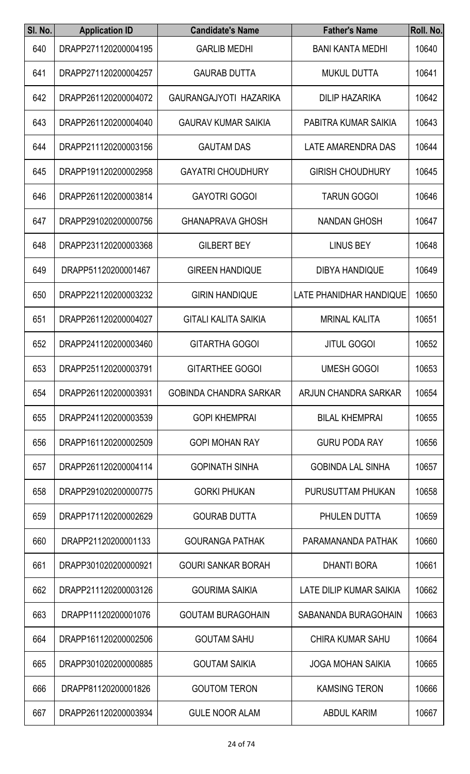| SI. No. | <b>Application ID</b> | <b>Candidate's Name</b>       | <b>Father's Name</b>     | Roll. No. |
|---------|-----------------------|-------------------------------|--------------------------|-----------|
| 640     | DRAPP271120200004195  | <b>GARLIB MEDHI</b>           | <b>BANI KANTA MEDHI</b>  | 10640     |
| 641     | DRAPP271120200004257  | <b>GAURAB DUTTA</b>           | <b>MUKUL DUTTA</b>       | 10641     |
| 642     | DRAPP261120200004072  | GAURANGAJYOTI HAZARIKA        | <b>DILIP HAZARIKA</b>    | 10642     |
| 643     | DRAPP261120200004040  | <b>GAURAV KUMAR SAIKIA</b>    | PABITRA KUMAR SAIKIA     | 10643     |
| 644     | DRAPP211120200003156  | <b>GAUTAM DAS</b>             | LATE AMARENDRA DAS       | 10644     |
| 645     | DRAPP191120200002958  | <b>GAYATRI CHOUDHURY</b>      | <b>GIRISH CHOUDHURY</b>  | 10645     |
| 646     | DRAPP261120200003814  | <b>GAYOTRI GOGOI</b>          | <b>TARUN GOGOI</b>       | 10646     |
| 647     | DRAPP291020200000756  | <b>GHANAPRAVA GHOSH</b>       | <b>NANDAN GHOSH</b>      | 10647     |
| 648     | DRAPP231120200003368  | <b>GILBERT BEY</b>            | <b>LINUS BEY</b>         | 10648     |
| 649     | DRAPP51120200001467   | <b>GIREEN HANDIQUE</b>        | <b>DIBYA HANDIQUE</b>    | 10649     |
| 650     | DRAPP221120200003232  | <b>GIRIN HANDIQUE</b>         | LATE PHANIDHAR HANDIQUE  | 10650     |
| 651     | DRAPP261120200004027  | <b>GITALI KALITA SAIKIA</b>   | <b>MRINAL KALITA</b>     | 10651     |
| 652     | DRAPP241120200003460  | <b>GITARTHA GOGOI</b>         | <b>JITUL GOGOI</b>       | 10652     |
| 653     | DRAPP251120200003791  | <b>GITARTHEE GOGOI</b>        | <b>UMESH GOGOI</b>       | 10653     |
| 654     | DRAPP261120200003931  | <b>GOBINDA CHANDRA SARKAR</b> | ARJUN CHANDRA SARKAR     | 10654     |
| 655     | DRAPP241120200003539  | <b>GOPI KHEMPRAI</b>          | <b>BILAL KHEMPRAI</b>    | 10655     |
| 656     | DRAPP161120200002509  | <b>GOPI MOHAN RAY</b>         | <b>GURU PODA RAY</b>     | 10656     |
| 657     | DRAPP261120200004114  | <b>GOPINATH SINHA</b>         | <b>GOBINDA LAL SINHA</b> | 10657     |
| 658     | DRAPP291020200000775  | <b>GORKI PHUKAN</b>           | PURUSUTTAM PHUKAN        | 10658     |
| 659     | DRAPP171120200002629  | <b>GOURAB DUTTA</b>           | PHULEN DUTTA             | 10659     |
| 660     | DRAPP21120200001133   | <b>GOURANGA PATHAK</b>        | PARAMANANDA PATHAK       | 10660     |
| 661     | DRAPP301020200000921  | <b>GOURI SANKAR BORAH</b>     | <b>DHANTI BORA</b>       | 10661     |
| 662     | DRAPP211120200003126  | <b>GOURIMA SAIKIA</b>         | LATE DILIP KUMAR SAIKIA  | 10662     |
| 663     | DRAPP11120200001076   | <b>GOUTAM BURAGOHAIN</b>      | SABANANDA BURAGOHAIN     | 10663     |
| 664     | DRAPP161120200002506  | <b>GOUTAM SAHU</b>            | <b>CHIRA KUMAR SAHU</b>  | 10664     |
| 665     | DRAPP301020200000885  | <b>GOUTAM SAIKIA</b>          | <b>JOGA MOHAN SAIKIA</b> | 10665     |
| 666     | DRAPP81120200001826   | <b>GOUTOM TERON</b>           | <b>KAMSING TERON</b>     | 10666     |
| 667     | DRAPP261120200003934  | <b>GULE NOOR ALAM</b>         | ABDUL KARIM              | 10667     |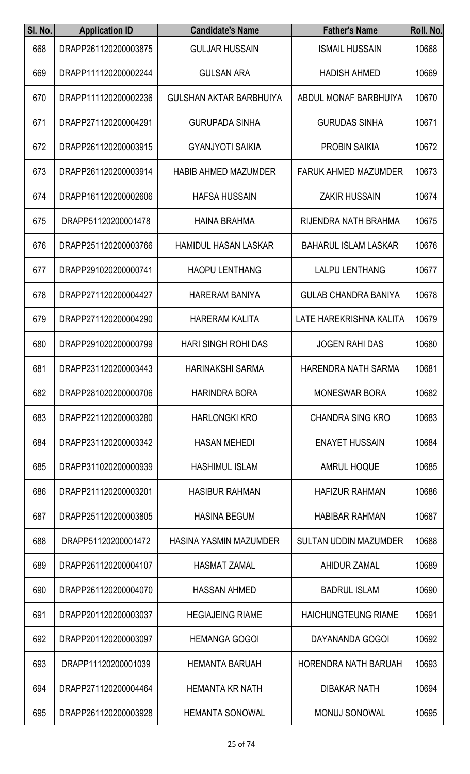| SI. No. | <b>Application ID</b> | <b>Candidate's Name</b>        | <b>Father's Name</b>         | Roll. No. |
|---------|-----------------------|--------------------------------|------------------------------|-----------|
| 668     | DRAPP261120200003875  | <b>GULJAR HUSSAIN</b>          | <b>ISMAIL HUSSAIN</b>        | 10668     |
| 669     | DRAPP111120200002244  | <b>GULSAN ARA</b>              | <b>HADISH AHMED</b>          | 10669     |
| 670     | DRAPP111120200002236  | <b>GULSHAN AKTAR BARBHUIYA</b> | ABDUL MONAF BARBHUIYA        | 10670     |
| 671     | DRAPP271120200004291  | <b>GURUPADA SINHA</b>          | <b>GURUDAS SINHA</b>         | 10671     |
| 672     | DRAPP261120200003915  | <b>GYANJYOTI SAIKIA</b>        | <b>PROBIN SAIKIA</b>         | 10672     |
| 673     | DRAPP261120200003914  | <b>HABIB AHMED MAZUMDER</b>    | <b>FARUK AHMED MAZUMDER</b>  | 10673     |
| 674     | DRAPP161120200002606  | <b>HAFSA HUSSAIN</b>           | <b>ZAKIR HUSSAIN</b>         | 10674     |
| 675     | DRAPP51120200001478   | <b>HAINA BRAHMA</b>            | RIJENDRA NATH BRAHMA         | 10675     |
| 676     | DRAPP251120200003766  | <b>HAMIDUL HASAN LASKAR</b>    | <b>BAHARUL ISLAM LASKAR</b>  | 10676     |
| 677     | DRAPP291020200000741  | <b>HAOPU LENTHANG</b>          | <b>LALPU LENTHANG</b>        | 10677     |
| 678     | DRAPP271120200004427  | <b>HARERAM BANIYA</b>          | <b>GULAB CHANDRA BANIYA</b>  | 10678     |
| 679     | DRAPP271120200004290  | <b>HARERAM KALITA</b>          | LATE HAREKRISHNA KALITA      | 10679     |
| 680     | DRAPP291020200000799  | <b>HARI SINGH ROHI DAS</b>     | <b>JOGEN RAHI DAS</b>        | 10680     |
| 681     | DRAPP231120200003443  | <b>HARINAKSHI SARMA</b>        | <b>HARENDRA NATH SARMA</b>   | 10681     |
| 682     | DRAPP281020200000706  | <b>HARINDRA BORA</b>           | <b>MONESWAR BORA</b>         | 10682     |
| 683     | DRAPP221120200003280  | <b>HARLONGKI KRO</b>           | <b>CHANDRA SING KRO</b>      | 10683     |
| 684     | DRAPP231120200003342  | <b>HASAN MEHEDI</b>            | <b>ENAYET HUSSAIN</b>        | 10684     |
| 685     | DRAPP311020200000939  | <b>HASHIMUL ISLAM</b>          | <b>AMRUL HOQUE</b>           | 10685     |
| 686     | DRAPP211120200003201  | <b>HASIBUR RAHMAN</b>          | <b>HAFIZUR RAHMAN</b>        | 10686     |
| 687     | DRAPP251120200003805  | <b>HASINA BEGUM</b>            | <b>HABIBAR RAHMAN</b>        | 10687     |
| 688     | DRAPP51120200001472   | HASINA YASMIN MAZUMDER         | <b>SULTAN UDDIN MAZUMDER</b> | 10688     |
| 689     | DRAPP261120200004107  | <b>HASMAT ZAMAL</b>            | <b>AHIDUR ZAMAL</b>          | 10689     |
| 690     | DRAPP261120200004070  | <b>HASSAN AHMED</b>            | <b>BADRUL ISLAM</b>          | 10690     |
| 691     | DRAPP201120200003037  | <b>HEGIAJEING RIAME</b>        | <b>HAICHUNGTEUNG RIAME</b>   | 10691     |
| 692     | DRAPP201120200003097  | <b>HEMANGA GOGOI</b>           | DAYANANDA GOGOI              | 10692     |
| 693     | DRAPP11120200001039   | <b>HEMANTA BARUAH</b>          | <b>HORENDRA NATH BARUAH</b>  | 10693     |
| 694     | DRAPP271120200004464  | <b>HEMANTA KR NATH</b>         | <b>DIBAKAR NATH</b>          | 10694     |
| 695     | DRAPP261120200003928  | HEMANTA SONOWAL                | MONUJ SONOWAL                | 10695     |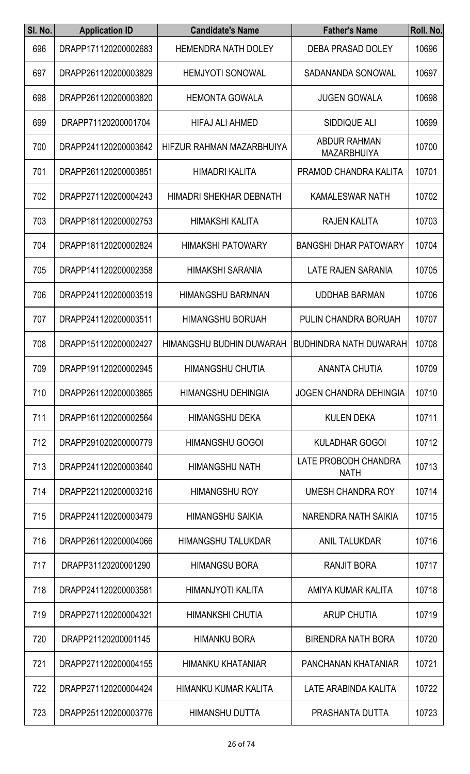| SI. No. | <b>Application ID</b> | <b>Candidate's Name</b>    | <b>Father's Name</b>                      | Roll. No. |
|---------|-----------------------|----------------------------|-------------------------------------------|-----------|
| 696     | DRAPP171120200002683  | <b>HEMENDRA NATH DOLEY</b> | <b>DEBA PRASAD DOLEY</b>                  | 10696     |
| 697     | DRAPP261120200003829  | <b>HEMJYOTI SONOWAL</b>    | SADANANDA SONOWAL                         | 10697     |
| 698     | DRAPP261120200003820  | <b>HEMONTA GOWALA</b>      | <b>JUGEN GOWALA</b>                       | 10698     |
| 699     | DRAPP71120200001704   | <b>HIFAJ ALI AHMED</b>     | <b>SIDDIQUE ALI</b>                       | 10699     |
| 700     | DRAPP241120200003642  | HIFZUR RAHMAN MAZARBHUIYA  | <b>ABDUR RAHMAN</b><br><b>MAZARBHUIYA</b> | 10700     |
| 701     | DRAPP261120200003851  | <b>HIMADRI KALITA</b>      | PRAMOD CHANDRA KALITA                     | 10701     |
| 702     | DRAPP271120200004243  | HIMADRI SHEKHAR DEBNATH    | KAMALESWAR NATH                           | 10702     |
| 703     | DRAPP181120200002753  | <b>HIMAKSHI KALITA</b>     | <b>RAJEN KALITA</b>                       | 10703     |
| 704     | DRAPP181120200002824  | <b>HIMAKSHI PATOWARY</b>   | <b>BANGSHI DHAR PATOWARY</b>              | 10704     |
| 705     | DRAPP141120200002358  | HIMAKSHI SARANIA           | <b>LATE RAJEN SARANIA</b>                 | 10705     |
| 706     | DRAPP241120200003519  | <b>HIMANGSHU BARMNAN</b>   | <b>UDDHAB BARMAN</b>                      | 10706     |
| 707     | DRAPP241120200003511  | <b>HIMANGSHU BORUAH</b>    | PULIN CHANDRA BORUAH                      | 10707     |
| 708     | DRAPP151120200002427  | HIMANGSHU BUDHIN DUWARAH   | <b>BUDHINDRA NATH DUWARAH</b>             | 10708     |
| 709     | DRAPP191120200002945  | <b>HIMANGSHU CHUTIA</b>    | <b>ANANTA CHUTIA</b>                      | 10709     |
| 710     | DRAPP261120200003865  | <b>HIMANGSHU DEHINGIA</b>  | <b>JOGEN CHANDRA DEHINGIA</b>             | 10710     |
| 711     | DRAPP161120200002564  | <b>HIMANGSHU DEKA</b>      | <b>KULEN DEKA</b>                         | 10711     |
| 712     | DRAPP291020200000779  | <b>HIMANGSHU GOGOI</b>     | <b>KULADHAR GOGOI</b>                     | 10712     |
| 713     | DRAPP241120200003640  | <b>HIMANGSHU NATH</b>      | LATE PROBODH CHANDRA<br><b>NATH</b>       | 10713     |
| 714     | DRAPP221120200003216  | <b>HIMANGSHU ROY</b>       | UMESH CHANDRA ROY                         | 10714     |
| 715     | DRAPP241120200003479  | <b>HIMANGSHU SAIKIA</b>    | NARENDRA NATH SAIKIA                      | 10715     |
| 716     | DRAPP261120200004066  | <b>HIMANGSHU TALUKDAR</b>  | <b>ANIL TALUKDAR</b>                      | 10716     |
| 717     | DRAPP31120200001290   | <b>HIMANGSU BORA</b>       | <b>RANJIT BORA</b>                        | 10717     |
| 718     | DRAPP241120200003581  | HIMANJYOTI KALITA          | AMIYA KUMAR KALITA                        | 10718     |
| 719     | DRAPP271120200004321  | <b>HIMANKSHI CHUTIA</b>    | <b>ARUP CHUTIA</b>                        | 10719     |
| 720     | DRAPP21120200001145   | <b>HIMANKU BORA</b>        | <b>BIRENDRA NATH BORA</b>                 | 10720     |
| 721     | DRAPP271120200004155  | <b>HIMANKU KHATANIAR</b>   | PANCHANAN KHATANIAR                       | 10721     |
| 722     | DRAPP271120200004424  | HIMANKU KUMAR KALITA       | LATE ARABINDA KALITA                      | 10722     |
| 723     | DRAPP251120200003776  | HIMANSHU DUTTA             | PRASHANTA DUTTA                           | 10723     |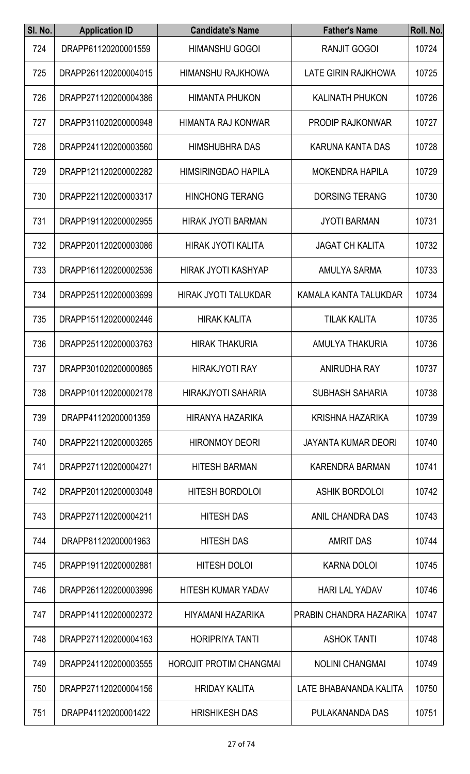| SI. No. | <b>Application ID</b> | <b>Candidate's Name</b>        | <b>Father's Name</b>       | Roll. No. |
|---------|-----------------------|--------------------------------|----------------------------|-----------|
| 724     | DRAPP61120200001559   | <b>HIMANSHU GOGOI</b>          | <b>RANJIT GOGOI</b>        | 10724     |
| 725     | DRAPP261120200004015  | <b>HIMANSHU RAJKHOWA</b>       | LATE GIRIN RAJKHOWA        | 10725     |
| 726     | DRAPP271120200004386  | <b>HIMANTA PHUKON</b>          | <b>KALINATH PHUKON</b>     | 10726     |
| 727     | DRAPP311020200000948  | HIMANTA RAJ KONWAR             | <b>PRODIP RAJKONWAR</b>    | 10727     |
| 728     | DRAPP241120200003560  | <b>HIMSHUBHRA DAS</b>          | KARUNA KANTA DAS           | 10728     |
| 729     | DRAPP121120200002282  | <b>HIMSIRINGDAO HAPILA</b>     | <b>MOKENDRA HAPILA</b>     | 10729     |
| 730     | DRAPP221120200003317  | <b>HINCHONG TERANG</b>         | <b>DORSING TERANG</b>      | 10730     |
| 731     | DRAPP191120200002955  | <b>HIRAK JYOTI BARMAN</b>      | <b>JYOTI BARMAN</b>        | 10731     |
| 732     | DRAPP201120200003086  | <b>HIRAK JYOTI KALITA</b>      | <b>JAGAT CH KALITA</b>     | 10732     |
| 733     | DRAPP161120200002536  | <b>HIRAK JYOTI KASHYAP</b>     | <b>AMULYA SARMA</b>        | 10733     |
| 734     | DRAPP251120200003699  | <b>HIRAK JYOTI TALUKDAR</b>    | KAMALA KANTA TALUKDAR      | 10734     |
| 735     | DRAPP151120200002446  | <b>HIRAK KALITA</b>            | <b>TILAK KALITA</b>        | 10735     |
| 736     | DRAPP251120200003763  | <b>HIRAK THAKURIA</b>          | AMULYA THAKURIA            | 10736     |
| 737     | DRAPP301020200000865  | <b>HIRAKJYOTI RAY</b>          | ANIRUDHA RAY               | 10737     |
| 738     | DRAPP101120200002178  | HIRAKJYOTI SAHARIA             | <b>SUBHASH SAHARIA</b>     | 10738     |
| 739     | DRAPP41120200001359   | HIRANYA HAZARIKA               | KRISHNA HAZARIKA           | 10739     |
| 740     | DRAPP221120200003265  | <b>HIRONMOY DEORI</b>          | <b>JAYANTA KUMAR DEORI</b> | 10740     |
| 741     | DRAPP271120200004271  | <b>HITESH BARMAN</b>           | <b>KARENDRA BARMAN</b>     | 10741     |
| 742     | DRAPP201120200003048  | <b>HITESH BORDOLOI</b>         | <b>ASHIK BORDOLOI</b>      | 10742     |
| 743     | DRAPP271120200004211  | <b>HITESH DAS</b>              | ANIL CHANDRA DAS           | 10743     |
| 744     | DRAPP81120200001963   | <b>HITESH DAS</b>              | <b>AMRIT DAS</b>           | 10744     |
| 745     | DRAPP191120200002881  | <b>HITESH DOLOI</b>            | <b>KARNA DOLOI</b>         | 10745     |
| 746     | DRAPP261120200003996  | <b>HITESH KUMAR YADAV</b>      | <b>HARI LAL YADAV</b>      | 10746     |
| 747     | DRAPP141120200002372  | HIYAMANI HAZARIKA              | PRABIN CHANDRA HAZARIKA    | 10747     |
| 748     | DRAPP271120200004163  | <b>HORIPRIYA TANTI</b>         | <b>ASHOK TANTI</b>         | 10748     |
| 749     | DRAPP241120200003555  | <b>HOROJIT PROTIM CHANGMAI</b> | <b>NOLINI CHANGMAI</b>     | 10749     |
| 750     | DRAPP271120200004156  | <b>HRIDAY KALITA</b>           | LATE BHABANANDA KALITA     | 10750     |
| 751     | DRAPP41120200001422   | <b>HRISHIKESH DAS</b>          | PULAKANANDA DAS            | 10751     |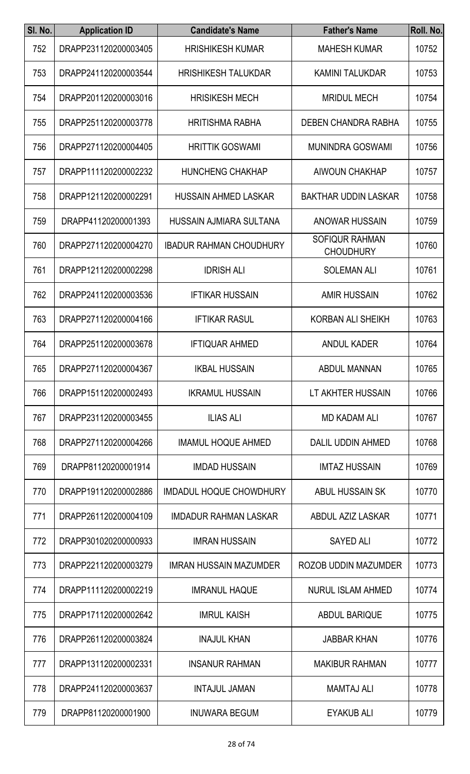| SI. No. | <b>Application ID</b> | <b>Candidate's Name</b>        | <b>Father's Name</b>                      | Roll. No. |
|---------|-----------------------|--------------------------------|-------------------------------------------|-----------|
| 752     | DRAPP231120200003405  | <b>HRISHIKESH KUMAR</b>        | <b>MAHESH KUMAR</b>                       | 10752     |
| 753     | DRAPP241120200003544  | <b>HRISHIKESH TALUKDAR</b>     | <b>KAMINI TALUKDAR</b>                    | 10753     |
| 754     | DRAPP201120200003016  | <b>HRISIKESH MECH</b>          | <b>MRIDUL MECH</b>                        | 10754     |
| 755     | DRAPP251120200003778  | <b>HRITISHMA RABHA</b>         | DEBEN CHANDRA RABHA                       | 10755     |
| 756     | DRAPP271120200004405  | <b>HRITTIK GOSWAMI</b>         | <b>MUNINDRA GOSWAMI</b>                   | 10756     |
| 757     | DRAPP111120200002232  | <b>HUNCHENG CHAKHAP</b>        | <b>AIWOUN CHAKHAP</b>                     | 10757     |
| 758     | DRAPP121120200002291  | <b>HUSSAIN AHMED LASKAR</b>    | <b>BAKTHAR UDDIN LASKAR</b>               | 10758     |
| 759     | DRAPP41120200001393   | HUSSAIN AJMIARA SULTANA        | <b>ANOWAR HUSSAIN</b>                     | 10759     |
| 760     | DRAPP271120200004270  | <b>IBADUR RAHMAN CHOUDHURY</b> | <b>SOFIQUR RAHMAN</b><br><b>CHOUDHURY</b> | 10760     |
| 761     | DRAPP121120200002298  | <b>IDRISH ALI</b>              | <b>SOLEMAN ALI</b>                        | 10761     |
| 762     | DRAPP241120200003536  | <b>IFTIKAR HUSSAIN</b>         | <b>AMIR HUSSAIN</b>                       | 10762     |
| 763     | DRAPP271120200004166  | <b>IFTIKAR RASUL</b>           | <b>KORBAN ALI SHEIKH</b>                  | 10763     |
| 764     | DRAPP251120200003678  | <b>IFTIQUAR AHMED</b>          | <b>ANDUL KADER</b>                        | 10764     |
| 765     | DRAPP271120200004367  | <b>IKBAL HUSSAIN</b>           | <b>ABDUL MANNAN</b>                       | 10765     |
| 766     | DRAPP151120200002493  | <b>IKRAMUL HUSSAIN</b>         | LT AKHTER HUSSAIN                         | 10766     |
| 767     | DRAPP231120200003455  | <b>ILIAS ALI</b>               | <b>MD KADAM ALI</b>                       | 10767     |
| 768     | DRAPP271120200004266  | <b>IMAMUL HOQUE AHMED</b>      | DALIL UDDIN AHMED                         | 10768     |
| 769     | DRAPP81120200001914   | <b>IMDAD HUSSAIN</b>           | <b>IMTAZ HUSSAIN</b>                      | 10769     |
| 770     | DRAPP191120200002886  | <b>IMDADUL HOQUE CHOWDHURY</b> | ABUL HUSSAIN SK                           | 10770     |
| 771     | DRAPP261120200004109  | <b>IMDADUR RAHMAN LASKAR</b>   | ABDUL AZIZ LASKAR                         | 10771     |
| 772     | DRAPP301020200000933  | <b>IMRAN HUSSAIN</b>           | <b>SAYED ALI</b>                          | 10772     |
| 773     | DRAPP221120200003279  | <b>IMRAN HUSSAIN MAZUMDER</b>  | ROZOB UDDIN MAZUMDER                      | 10773     |
| 774     | DRAPP111120200002219  | <b>IMRANUL HAQUE</b>           | <b>NURUL ISLAM AHMED</b>                  | 10774     |
| 775     | DRAPP171120200002642  | <b>IMRUL KAISH</b>             | <b>ABDUL BARIQUE</b>                      | 10775     |
| 776     | DRAPP261120200003824  | <b>INAJUL KHAN</b>             | <b>JABBAR KHAN</b>                        | 10776     |
| 777     | DRAPP131120200002331  | <b>INSANUR RAHMAN</b>          | <b>MAKIBUR RAHMAN</b>                     | 10777     |
| 778     | DRAPP241120200003637  | <b>INTAJUL JAMAN</b>           | <b>MAMTAJ ALI</b>                         | 10778     |
| 779     | DRAPP81120200001900   | <b>INUWARA BEGUM</b>           | EYAKUB ALI                                | 10779     |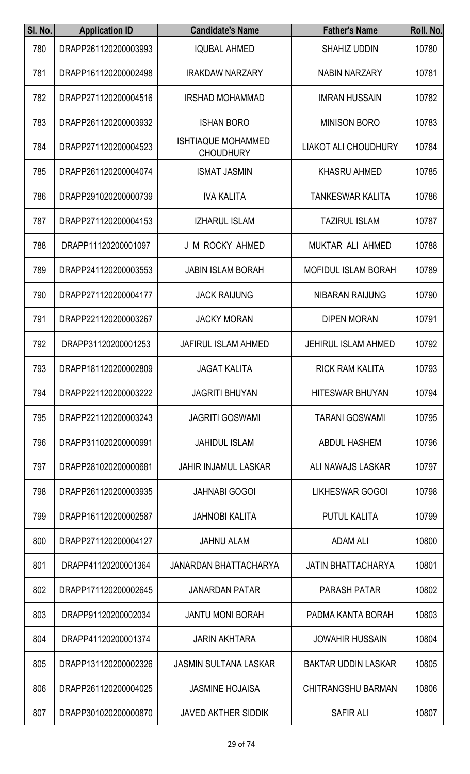| SI. No. | <b>Application ID</b> | <b>Candidate's Name</b>                       | <b>Father's Name</b>        | Roll. No. |
|---------|-----------------------|-----------------------------------------------|-----------------------------|-----------|
| 780     | DRAPP261120200003993  | <b>IQUBAL AHMED</b>                           | <b>SHAHIZ UDDIN</b>         | 10780     |
| 781     | DRAPP161120200002498  | <b>IRAKDAW NARZARY</b>                        | <b>NABIN NARZARY</b>        | 10781     |
| 782     | DRAPP271120200004516  | <b>IRSHAD MOHAMMAD</b>                        | <b>IMRAN HUSSAIN</b>        | 10782     |
| 783     | DRAPP261120200003932  | <b>ISHAN BORO</b>                             | <b>MINISON BORO</b>         | 10783     |
| 784     | DRAPP271120200004523  | <b>ISHTIAQUE MOHAMMED</b><br><b>CHOUDHURY</b> | <b>LIAKOT ALI CHOUDHURY</b> | 10784     |
| 785     | DRAPP261120200004074  | <b>ISMAT JASMIN</b>                           | <b>KHASRU AHMED</b>         | 10785     |
| 786     | DRAPP291020200000739  | <b>IVA KALITA</b>                             | TANKESWAR KALITA            | 10786     |
| 787     | DRAPP271120200004153  | <b>IZHARUL ISLAM</b>                          | <b>TAZIRUL ISLAM</b>        | 10787     |
| 788     | DRAPP11120200001097   | J M ROCKY AHMED                               | MUKTAR ALI AHMED            | 10788     |
| 789     | DRAPP241120200003553  | <b>JABIN ISLAM BORAH</b>                      | <b>MOFIDUL ISLAM BORAH</b>  | 10789     |
| 790     | DRAPP271120200004177  | <b>JACK RAIJUNG</b>                           | NIBARAN RAIJUNG             | 10790     |
| 791     | DRAPP221120200003267  | <b>JACKY MORAN</b>                            | <b>DIPEN MORAN</b>          | 10791     |
| 792     | DRAPP31120200001253   | <b>JAFIRUL ISLAM AHMED</b>                    | <b>JEHIRUL ISLAM AHMED</b>  | 10792     |
| 793     | DRAPP181120200002809  | <b>JAGAT KALITA</b>                           | <b>RICK RAM KALITA</b>      | 10793     |
| 794     | DRAPP221120200003222  | <b>JAGRITI BHUYAN</b>                         | <b>HITESWAR BHUYAN</b>      | 10794     |
| 795     | DRAPP221120200003243  | <b>JAGRITI GOSWAMI</b>                        | <b>TARANI GOSWAMI</b>       | 10795     |
| 796     | DRAPP311020200000991  | <b>JAHIDUL ISLAM</b>                          | <b>ABDUL HASHEM</b>         | 10796     |
| 797     | DRAPP281020200000681  | <b>JAHIR INJAMUL LASKAR</b>                   | ALI NAWAJS LASKAR           | 10797     |
| 798     | DRAPP261120200003935  | <b>JAHNABI GOGOI</b>                          | <b>LIKHESWAR GOGOI</b>      | 10798     |
| 799     | DRAPP161120200002587  | <b>JAHNOBI KALITA</b>                         | <b>PUTUL KALITA</b>         | 10799     |
| 800     | DRAPP271120200004127  | <b>JAHNU ALAM</b>                             | <b>ADAM ALI</b>             | 10800     |
| 801     | DRAPP41120200001364   | JANARDAN BHATTACHARYA                         | <b>JATIN BHATTACHARYA</b>   | 10801     |
| 802     | DRAPP171120200002645  | <b>JANARDAN PATAR</b>                         | <b>PARASH PATAR</b>         | 10802     |
| 803     | DRAPP91120200002034   | <b>JANTU MONI BORAH</b>                       | PADMA KANTA BORAH           | 10803     |
| 804     | DRAPP41120200001374   | <b>JARIN AKHTARA</b>                          | <b>JOWAHIR HUSSAIN</b>      | 10804     |
| 805     | DRAPP131120200002326  | <b>JASMIN SULTANA LASKAR</b>                  | <b>BAKTAR UDDIN LASKAR</b>  | 10805     |
| 806     | DRAPP261120200004025  | <b>JASMINE HOJAISA</b>                        | <b>CHITRANGSHU BARMAN</b>   | 10806     |
| 807     | DRAPP301020200000870  | <b>JAVED AKTHER SIDDIK</b>                    | SAFIR ALI                   | 10807     |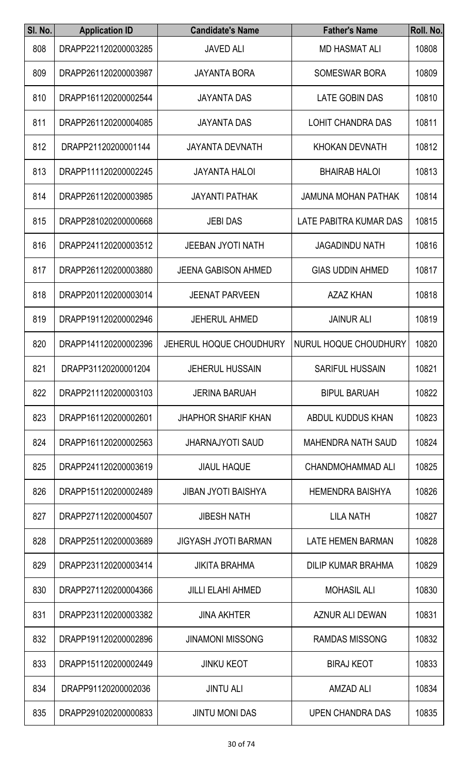| SI. No. | <b>Application ID</b> | <b>Candidate's Name</b>        | <b>Father's Name</b>       | Roll. No. |
|---------|-----------------------|--------------------------------|----------------------------|-----------|
| 808     | DRAPP221120200003285  | <b>JAVED ALI</b>               | <b>MD HASMAT ALI</b>       | 10808     |
| 809     | DRAPP261120200003987  | <b>JAYANTA BORA</b>            | <b>SOMESWAR BORA</b>       | 10809     |
| 810     | DRAPP161120200002544  | <b>JAYANTA DAS</b>             | <b>LATE GOBIN DAS</b>      | 10810     |
| 811     | DRAPP261120200004085  | <b>JAYANTA DAS</b>             | <b>LOHIT CHANDRA DAS</b>   | 10811     |
| 812     | DRAPP21120200001144   | <b>JAYANTA DEVNATH</b>         | <b>KHOKAN DEVNATH</b>      | 10812     |
| 813     | DRAPP111120200002245  | <b>JAYANTA HALOI</b>           | <b>BHAIRAB HALOI</b>       | 10813     |
| 814     | DRAPP261120200003985  | <b>JAYANTI PATHAK</b>          | <b>JAMUNA MOHAN PATHAK</b> | 10814     |
| 815     | DRAPP281020200000668  | <b>JEBI DAS</b>                | LATE PABITRA KUMAR DAS     | 10815     |
| 816     | DRAPP241120200003512  | <b>JEEBAN JYOTI NATH</b>       | <b>JAGADINDU NATH</b>      | 10816     |
| 817     | DRAPP261120200003880  | <b>JEENA GABISON AHMED</b>     | <b>GIAS UDDIN AHMED</b>    | 10817     |
| 818     | DRAPP201120200003014  | <b>JEENAT PARVEEN</b>          | <b>AZAZ KHAN</b>           | 10818     |
| 819     | DRAPP191120200002946  | <b>JEHERUL AHMED</b>           | <b>JAINUR ALI</b>          | 10819     |
| 820     | DRAPP141120200002396  | <b>JEHERUL HOQUE CHOUDHURY</b> | NURUL HOQUE CHOUDHURY      | 10820     |
| 821     | DRAPP31120200001204   | <b>JEHERUL HUSSAIN</b>         | <b>SARIFUL HUSSAIN</b>     | 10821     |
| 822     | DRAPP211120200003103  | <b>JERINA BARUAH</b>           | <b>BIPUL BARUAH</b>        | 10822     |
| 823     | DRAPP161120200002601  | <b>JHAPHOR SHARIF KHAN</b>     | ABDUL KUDDUS KHAN          | 10823     |
| 824     | DRAPP161120200002563  | <b>JHARNAJYOTI SAUD</b>        | <b>MAHENDRA NATH SAUD</b>  | 10824     |
| 825     | DRAPP241120200003619  | <b>JIAUL HAQUE</b>             | CHANDMOHAMMAD ALI          | 10825     |
| 826     | DRAPP151120200002489  | <b>JIBAN JYOTI BAISHYA</b>     | <b>HEMENDRA BAISHYA</b>    | 10826     |
| 827     | DRAPP271120200004507  | <b>JIBESH NATH</b>             | <b>LILA NATH</b>           | 10827     |
| 828     | DRAPP251120200003689  | <b>JIGYASH JYOTI BARMAN</b>    | LATE HEMEN BARMAN          | 10828     |
| 829     | DRAPP231120200003414  | <b>JIKITA BRAHMA</b>           | <b>DILIP KUMAR BRAHMA</b>  | 10829     |
| 830     | DRAPP271120200004366  | <b>JILLI ELAHI AHMED</b>       | <b>MOHASIL ALI</b>         | 10830     |
| 831     | DRAPP231120200003382  | <b>JINA AKHTER</b>             | AZNUR ALI DEWAN            | 10831     |
| 832     | DRAPP191120200002896  | <b>JINAMONI MISSONG</b>        | <b>RAMDAS MISSONG</b>      | 10832     |
| 833     | DRAPP151120200002449  | <b>JINKU KEOT</b>              | <b>BIRAJ KEOT</b>          | 10833     |
| 834     | DRAPP91120200002036   | <b>JINTU ALI</b>               | <b>AMZAD ALI</b>           | 10834     |
| 835     | DRAPP291020200000833  | <b>JINTU MONI DAS</b>          | UPEN CHANDRA DAS           | 10835     |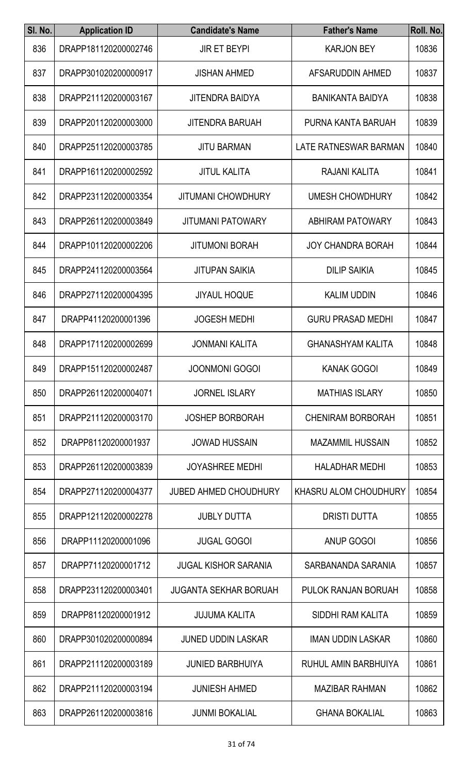| SI. No. | <b>Application ID</b> | <b>Candidate's Name</b>      | <b>Father's Name</b>     | Roll. No. |
|---------|-----------------------|------------------------------|--------------------------|-----------|
| 836     | DRAPP181120200002746  | <b>JIR ET BEYPI</b>          | <b>KARJON BEY</b>        | 10836     |
| 837     | DRAPP301020200000917  | <b>JISHAN AHMED</b>          | AFSARUDDIN AHMED         | 10837     |
| 838     | DRAPP211120200003167  | <b>JITENDRA BAIDYA</b>       | <b>BANIKANTA BAIDYA</b>  | 10838     |
| 839     | DRAPP201120200003000  | <b>JITENDRA BARUAH</b>       | PURNA KANTA BARUAH       | 10839     |
| 840     | DRAPP251120200003785  | <b>JITU BARMAN</b>           | LATE RATNESWAR BARMAN    | 10840     |
| 841     | DRAPP161120200002592  | <b>JITUL KALITA</b>          | RAJANI KALITA            | 10841     |
| 842     | DRAPP231120200003354  | <b>JITUMANI CHOWDHURY</b>    | <b>UMESH CHOWDHURY</b>   | 10842     |
| 843     | DRAPP261120200003849  | <b>JITUMANI PATOWARY</b>     | <b>ABHIRAM PATOWARY</b>  | 10843     |
| 844     | DRAPP101120200002206  | <b>JITUMONI BORAH</b>        | <b>JOY CHANDRA BORAH</b> | 10844     |
| 845     | DRAPP241120200003564  | <b>JITUPAN SAIKIA</b>        | <b>DILIP SAIKIA</b>      | 10845     |
| 846     | DRAPP271120200004395  | <b>JIYAUL HOQUE</b>          | <b>KALIM UDDIN</b>       | 10846     |
| 847     | DRAPP41120200001396   | <b>JOGESH MEDHI</b>          | <b>GURU PRASAD MEDHI</b> | 10847     |
| 848     | DRAPP171120200002699  | <b>JONMANI KALITA</b>        | <b>GHANASHYAM KALITA</b> | 10848     |
| 849     | DRAPP151120200002487  | <b>JOONMONI GOGOI</b>        | <b>KANAK GOGOI</b>       | 10849     |
| 850     | DRAPP261120200004071  | <b>JORNEL ISLARY</b>         | <b>MATHIAS ISLARY</b>    | 10850     |
| 851     | DRAPP211120200003170  | <b>JOSHEP BORBORAH</b>       | <b>CHENIRAM BORBORAH</b> | 10851     |
| 852     | DRAPP81120200001937   | <b>JOWAD HUSSAIN</b>         | <b>MAZAMMIL HUSSAIN</b>  | 10852     |
| 853     | DRAPP261120200003839  | <b>JOYASHREE MEDHI</b>       | <b>HALADHAR MEDHI</b>    | 10853     |
| 854     | DRAPP271120200004377  | <b>JUBED AHMED CHOUDHURY</b> | KHASRU ALOM CHOUDHURY    | 10854     |
| 855     | DRAPP121120200002278  | <b>JUBLY DUTTA</b>           | <b>DRISTI DUTTA</b>      | 10855     |
| 856     | DRAPP11120200001096   | <b>JUGAL GOGOI</b>           | ANUP GOGOI               | 10856     |
| 857     | DRAPP71120200001712   | <b>JUGAL KISHOR SARANIA</b>  | SARBANANDA SARANIA       | 10857     |
| 858     | DRAPP231120200003401  | <b>JUGANTA SEKHAR BORUAH</b> | PULOK RANJAN BORUAH      | 10858     |
| 859     | DRAPP81120200001912   | <b>JUJUMA KALITA</b>         | SIDDHI RAM KALITA        | 10859     |
| 860     | DRAPP301020200000894  | <b>JUNED UDDIN LASKAR</b>    | <b>IMAN UDDIN LASKAR</b> | 10860     |
| 861     | DRAPP211120200003189  | <b>JUNIED BARBHUIYA</b>      | RUHUL AMIN BARBHUIYA     | 10861     |
| 862     | DRAPP211120200003194  | <b>JUNIESH AHMED</b>         | <b>MAZIBAR RAHMAN</b>    | 10862     |
| 863     | DRAPP261120200003816  | <b>JUNMI BOKALIAL</b>        | <b>GHANA BOKALIAL</b>    | 10863     |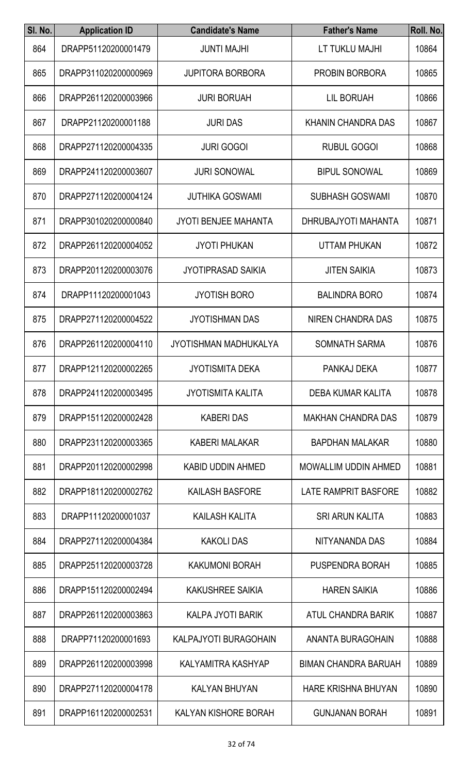| SI. No. | <b>Application ID</b> | <b>Candidate's Name</b>      | <b>Father's Name</b>        | Roll. No. |
|---------|-----------------------|------------------------------|-----------------------------|-----------|
| 864     | DRAPP51120200001479   | <b>JUNTI MAJHI</b>           | LT TUKLU MAJHI              | 10864     |
| 865     | DRAPP311020200000969  | <b>JUPITORA BORBORA</b>      | <b>PROBIN BORBORA</b>       | 10865     |
| 866     | DRAPP261120200003966  | <b>JURI BORUAH</b>           | <b>LIL BORUAH</b>           | 10866     |
| 867     | DRAPP21120200001188   | <b>JURI DAS</b>              | <b>KHANIN CHANDRA DAS</b>   | 10867     |
| 868     | DRAPP271120200004335  | <b>JURI GOGOI</b>            | <b>RUBUL GOGOI</b>          | 10868     |
| 869     | DRAPP241120200003607  | <b>JURI SONOWAL</b>          | <b>BIPUL SONOWAL</b>        | 10869     |
| 870     | DRAPP271120200004124  | <b>JUTHIKA GOSWAMI</b>       | <b>SUBHASH GOSWAMI</b>      | 10870     |
| 871     | DRAPP301020200000840  | <b>JYOTI BENJEE MAHANTA</b>  | DHRUBAJYOTI MAHANTA         | 10871     |
| 872     | DRAPP261120200004052  | <b>JYOTI PHUKAN</b>          | <b>UTTAM PHUKAN</b>         | 10872     |
| 873     | DRAPP201120200003076  | <b>JYOTIPRASAD SAIKIA</b>    | <b>JITEN SAIKIA</b>         | 10873     |
| 874     | DRAPP11120200001043   | <b>JYOTISH BORO</b>          | <b>BALINDRA BORO</b>        | 10874     |
| 875     | DRAPP271120200004522  | <b>JYOTISHMAN DAS</b>        | <b>NIREN CHANDRA DAS</b>    | 10875     |
| 876     | DRAPP261120200004110  | <b>JYOTISHMAN MADHUKALYA</b> | <b>SOMNATH SARMA</b>        | 10876     |
| 877     | DRAPP121120200002265  | <b>JYOTISMITA DEKA</b>       | PANKAJ DEKA                 | 10877     |
| 878     | DRAPP241120200003495  | <b>JYOTISMITA KALITA</b>     | <b>DEBA KUMAR KALITA</b>    | 10878     |
| 879     | DRAPP151120200002428  | <b>KABERI DAS</b>            | <b>MAKHAN CHANDRA DAS</b>   | 10879     |
| 880     | DRAPP231120200003365  | <b>KABERI MALAKAR</b>        | <b>BAPDHAN MALAKAR</b>      | 10880     |
| 881     | DRAPP201120200002998  | <b>KABID UDDIN AHMED</b>     | <b>MOWALLIM UDDIN AHMED</b> | 10881     |
| 882     | DRAPP181120200002762  | <b>KAILASH BASFORE</b>       | <b>LATE RAMPRIT BASFORE</b> | 10882     |
| 883     | DRAPP11120200001037   | <b>KAILASH KALITA</b>        | <b>SRI ARUN KALITA</b>      | 10883     |
| 884     | DRAPP271120200004384  | <b>KAKOLI DAS</b>            | NITYANANDA DAS              | 10884     |
| 885     | DRAPP251120200003728  | <b>KAKUMONI BORAH</b>        | PUSPENDRA BORAH             | 10885     |
| 886     | DRAPP151120200002494  | <b>KAKUSHREE SAIKIA</b>      | <b>HAREN SAIKIA</b>         | 10886     |
| 887     | DRAPP261120200003863  | <b>KALPA JYOTI BARIK</b>     | <b>ATUL CHANDRA BARIK</b>   | 10887     |
| 888     | DRAPP71120200001693   | <b>KALPAJYOTI BURAGOHAIN</b> | <b>ANANTA BURAGOHAIN</b>    | 10888     |
| 889     | DRAPP261120200003998  | KALYAMITRA KASHYAP           | <b>BIMAN CHANDRA BARUAH</b> | 10889     |
| 890     | DRAPP271120200004178  | <b>KALYAN BHUYAN</b>         | <b>HARE KRISHNA BHUYAN</b>  | 10890     |
| 891     | DRAPP161120200002531  | KALYAN KISHORE BORAH         | <b>GUNJANAN BORAH</b>       | 10891     |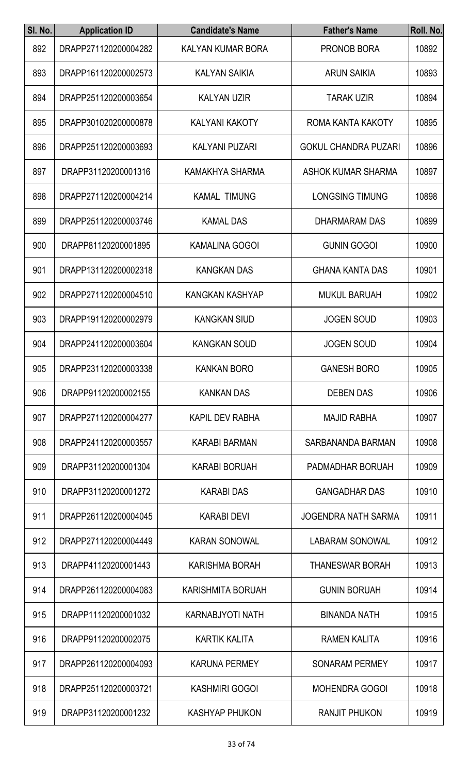| SI. No. | <b>Application ID</b> | <b>Candidate's Name</b>  | <b>Father's Name</b>        | Roll. No. |
|---------|-----------------------|--------------------------|-----------------------------|-----------|
| 892     | DRAPP271120200004282  | KALYAN KUMAR BORA        | PRONOB BORA                 | 10892     |
| 893     | DRAPP161120200002573  | <b>KALYAN SAIKIA</b>     | <b>ARUN SAIKIA</b>          | 10893     |
| 894     | DRAPP251120200003654  | <b>KALYAN UZIR</b>       | <b>TARAK UZIR</b>           | 10894     |
| 895     | DRAPP301020200000878  | <b>KALYANI KAKOTY</b>    | ROMA KANTA KAKOTY           | 10895     |
| 896     | DRAPP251120200003693  | <b>KALYANI PUZARI</b>    | <b>GOKUL CHANDRA PUZARI</b> | 10896     |
| 897     | DRAPP31120200001316   | KAMAKHYA SHARMA          | <b>ASHOK KUMAR SHARMA</b>   | 10897     |
| 898     | DRAPP271120200004214  | <b>KAMAL TIMUNG</b>      | <b>LONGSING TIMUNG</b>      | 10898     |
| 899     | DRAPP251120200003746  | <b>KAMAL DAS</b>         | DHARMARAM DAS               | 10899     |
| 900     | DRAPP81120200001895   | <b>KAMALINA GOGOI</b>    | <b>GUNIN GOGOI</b>          | 10900     |
| 901     | DRAPP131120200002318  | <b>KANGKAN DAS</b>       | <b>GHANA KANTA DAS</b>      | 10901     |
| 902     | DRAPP271120200004510  | KANGKAN KASHYAP          | <b>MUKUL BARUAH</b>         | 10902     |
| 903     | DRAPP191120200002979  | <b>KANGKAN SIUD</b>      | <b>JOGEN SOUD</b>           | 10903     |
| 904     | DRAPP241120200003604  | <b>KANGKAN SOUD</b>      | <b>JOGEN SOUD</b>           | 10904     |
| 905     | DRAPP231120200003338  | <b>KANKAN BORO</b>       | <b>GANESH BORO</b>          | 10905     |
| 906     | DRAPP91120200002155   | <b>KANKAN DAS</b>        | <b>DEBEN DAS</b>            | 10906     |
| 907     | DRAPP271120200004277  | <b>KAPIL DEV RABHA</b>   | <b>MAJID RABHA</b>          | 10907     |
| 908     | DRAPP241120200003557  | KARABI BARMAN            | SARBANANDA BARMAN           | 10908     |
| 909     | DRAPP31120200001304   | <b>KARABI BORUAH</b>     | PADMADHAR BORUAH            | 10909     |
| 910     | DRAPP31120200001272   | <b>KARABI DAS</b>        | <b>GANGADHAR DAS</b>        | 10910     |
| 911     | DRAPP261120200004045  | <b>KARABI DEVI</b>       | JOGENDRA NATH SARMA         | 10911     |
| 912     | DRAPP271120200004449  | <b>KARAN SONOWAL</b>     | <b>LABARAM SONOWAL</b>      | 10912     |
| 913     | DRAPP41120200001443   | <b>KARISHMA BORAH</b>    | <b>THANESWAR BORAH</b>      | 10913     |
| 914     | DRAPP261120200004083  | <b>KARISHMITA BORUAH</b> | <b>GUNIN BORUAH</b>         | 10914     |
| 915     | DRAPP11120200001032   | <b>KARNABJYOTI NATH</b>  | <b>BINANDA NATH</b>         | 10915     |
| 916     | DRAPP91120200002075   | <b>KARTIK KALITA</b>     | <b>RAMEN KALITA</b>         | 10916     |
| 917     | DRAPP261120200004093  | <b>KARUNA PERMEY</b>     | <b>SONARAM PERMEY</b>       | 10917     |
| 918     | DRAPP251120200003721  | <b>KASHMIRI GOGOI</b>    | <b>MOHENDRA GOGOI</b>       | 10918     |
| 919     | DRAPP31120200001232   | KASHYAP PHUKON           | RANJIT PHUKON               | 10919     |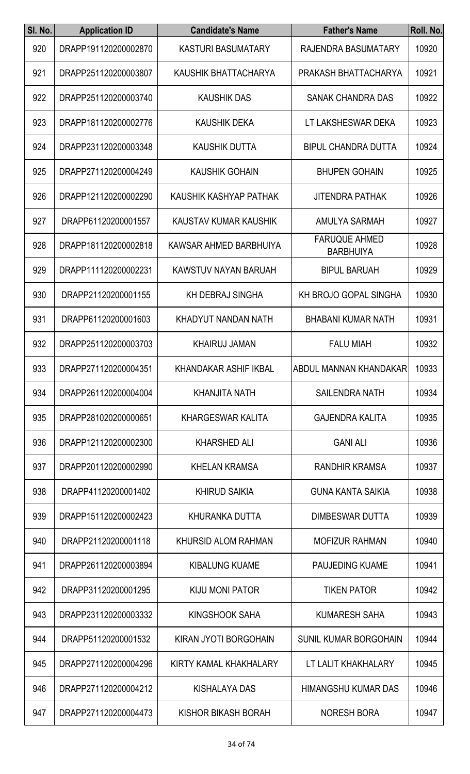| SI. No. | <b>Application ID</b> | <b>Candidate's Name</b>      | <b>Father's Name</b>                     | Roll. No. |
|---------|-----------------------|------------------------------|------------------------------------------|-----------|
| 920     | DRAPP191120200002870  | <b>KASTURI BASUMATARY</b>    | RAJENDRA BASUMATARY                      | 10920     |
| 921     | DRAPP251120200003807  | KAUSHIK BHATTACHARYA         | PRAKASH BHATTACHARYA                     | 10921     |
| 922     | DRAPP251120200003740  | <b>KAUSHIK DAS</b>           | <b>SANAK CHANDRA DAS</b>                 | 10922     |
| 923     | DRAPP181120200002776  | <b>KAUSHIK DEKA</b>          | LT LAKSHESWAR DEKA                       | 10923     |
| 924     | DRAPP231120200003348  | <b>KAUSHIK DUTTA</b>         | <b>BIPUL CHANDRA DUTTA</b>               | 10924     |
| 925     | DRAPP271120200004249  | <b>KAUSHIK GOHAIN</b>        | <b>BHUPEN GOHAIN</b>                     | 10925     |
| 926     | DRAPP121120200002290  | KAUSHIK KASHYAP PATHAK       | <b>JITENDRA PATHAK</b>                   | 10926     |
| 927     | DRAPP61120200001557   | KAUSTAV KUMAR KAUSHIK        | AMULYA SARMAH                            | 10927     |
| 928     | DRAPP181120200002818  | KAWSAR AHMED BARBHUIYA       | <b>FARUQUE AHMED</b><br><b>BARBHUIYA</b> | 10928     |
| 929     | DRAPP111120200002231  | KAWSTUV NAYAN BARUAH         | <b>BIPUL BARUAH</b>                      | 10929     |
| 930     | DRAPP21120200001155   | <b>KH DEBRAJ SINGHA</b>      | <b>KH BROJO GOPAL SINGHA</b>             | 10930     |
| 931     | DRAPP61120200001603   | KHADYUT NANDAN NATH          | <b>BHABANI KUMAR NATH</b>                | 10931     |
| 932     | DRAPP251120200003703  | <b>KHAIRUJ JAMAN</b>         | <b>FALU MIAH</b>                         | 10932     |
| 933     | DRAPP271120200004351  | <b>KHANDAKAR ASHIF IKBAL</b> | ABDUL MANNAN KHANDAKAR                   | 10933     |
| 934     | DRAPP261120200004004  | <b>KHANJITA NATH</b>         | <b>SAILENDRA NATH</b>                    | 10934     |
| 935     | DRAPP281020200000651  | <b>KHARGESWAR KALITA</b>     | <b>GAJENDRA KALITA</b>                   | 10935     |
| 936     | DRAPP121120200002300  | <b>KHARSHED ALI</b>          | <b>GANI ALI</b>                          | 10936     |
| 937     | DRAPP201120200002990  | <b>KHELAN KRAMSA</b>         | <b>RANDHIR KRAMSA</b>                    | 10937     |
| 938     | DRAPP41120200001402   | <b>KHIRUD SAIKIA</b>         | <b>GUNA KANTA SAIKIA</b>                 | 10938     |
| 939     | DRAPP151120200002423  | KHURANKA DUTTA               | DIMBESWAR DUTTA                          | 10939     |
| 940     | DRAPP21120200001118   | KHURSID ALOM RAHMAN          | <b>MOFIZUR RAHMAN</b>                    | 10940     |
| 941     | DRAPP261120200003894  | <b>KIBALUNG KUAME</b>        | <b>PAUJEDING KUAME</b>                   | 10941     |
| 942     | DRAPP31120200001295   | <b>KIJU MONI PATOR</b>       | <b>TIKEN PATOR</b>                       | 10942     |
| 943     | DRAPP231120200003332  | KINGSHOOK SAHA               | <b>KUMARESH SAHA</b>                     | 10943     |
| 944     | DRAPP51120200001532   | KIRAN JYOTI BORGOHAIN        | <b>SUNIL KUMAR BORGOHAIN</b>             | 10944     |
| 945     | DRAPP271120200004296  | KIRTY KAMAL KHAKHALARY       | LT LALIT KHAKHALARY                      | 10945     |
| 946     | DRAPP271120200004212  | <b>KISHALAYA DAS</b>         | <b>HIMANGSHU KUMAR DAS</b>               | 10946     |
| 947     | DRAPP271120200004473  | KISHOR BIKASH BORAH          | NORESH BORA                              | 10947     |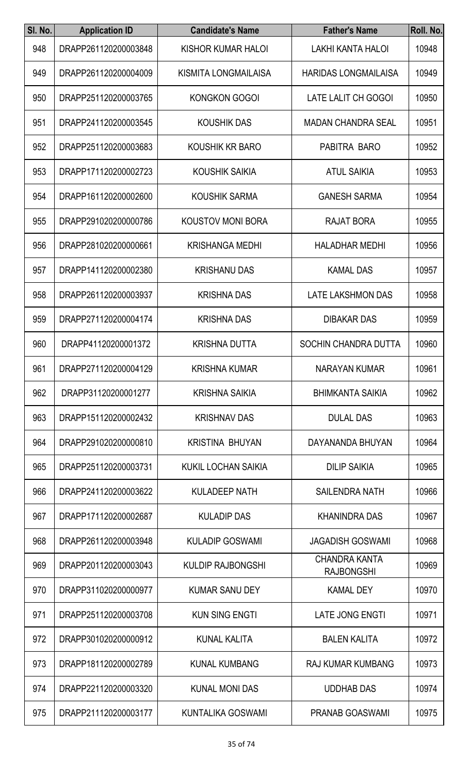| SI. No. | <b>Application ID</b> | <b>Candidate's Name</b>    | <b>Father's Name</b>                      | Roll. No. |
|---------|-----------------------|----------------------------|-------------------------------------------|-----------|
| 948     | DRAPP261120200003848  | KISHOR KUMAR HALOI         | <b>LAKHI KANTA HALOI</b>                  | 10948     |
| 949     | DRAPP261120200004009  | KISMITA LONGMAILAISA       | <b>HARIDAS LONGMAILAISA</b>               | 10949     |
| 950     | DRAPP251120200003765  | <b>KONGKON GOGOI</b>       | <b>LATE LALIT CH GOGOI</b>                | 10950     |
| 951     | DRAPP241120200003545  | <b>KOUSHIK DAS</b>         | <b>MADAN CHANDRA SEAL</b>                 | 10951     |
| 952     | DRAPP251120200003683  | KOUSHIK KR BARO            | PABITRA BARO                              | 10952     |
| 953     | DRAPP171120200002723  | <b>KOUSHIK SAIKIA</b>      | <b>ATUL SAIKIA</b>                        | 10953     |
| 954     | DRAPP161120200002600  | <b>KOUSHIK SARMA</b>       | <b>GANESH SARMA</b>                       | 10954     |
| 955     | DRAPP291020200000786  | <b>KOUSTOV MONI BORA</b>   | RAJAT BORA                                | 10955     |
| 956     | DRAPP281020200000661  | <b>KRISHANGA MEDHI</b>     | <b>HALADHAR MEDHI</b>                     | 10956     |
| 957     | DRAPP141120200002380  | <b>KRISHANU DAS</b>        | <b>KAMAL DAS</b>                          | 10957     |
| 958     | DRAPP261120200003937  | <b>KRISHNA DAS</b>         | LATE LAKSHMON DAS                         | 10958     |
| 959     | DRAPP271120200004174  | <b>KRISHNA DAS</b>         | <b>DIBAKAR DAS</b>                        | 10959     |
| 960     | DRAPP41120200001372   | <b>KRISHNA DUTTA</b>       | SOCHIN CHANDRA DUTTA                      | 10960     |
| 961     | DRAPP271120200004129  | <b>KRISHNA KUMAR</b>       | NARAYAN KUMAR                             | 10961     |
| 962     | DRAPP31120200001277   | <b>KRISHNA SAIKIA</b>      | <b>BHIMKANTA SAIKIA</b>                   | 10962     |
| 963     | DRAPP151120200002432  | <b>KRISHNAV DAS</b>        | <b>DULAL DAS</b>                          | 10963     |
| 964     | DRAPP291020200000810  | <b>KRISTINA BHUYAN</b>     | DAYANANDA BHUYAN                          | 10964     |
| 965     | DRAPP251120200003731  | <b>KUKIL LOCHAN SAIKIA</b> | <b>DILIP SAIKIA</b>                       | 10965     |
| 966     | DRAPP241120200003622  | <b>KULADEEP NATH</b>       | <b>SAILENDRA NATH</b>                     | 10966     |
| 967     | DRAPP171120200002687  | <b>KULADIP DAS</b>         | <b>KHANINDRA DAS</b>                      | 10967     |
| 968     | DRAPP261120200003948  | <b>KULADIP GOSWAMI</b>     | <b>JAGADISH GOSWAMI</b>                   | 10968     |
| 969     | DRAPP201120200003043  | <b>KULDIP RAJBONGSHI</b>   | <b>CHANDRA KANTA</b><br><b>RAJBONGSHI</b> | 10969     |
| 970     | DRAPP311020200000977  | <b>KUMAR SANU DEY</b>      | <b>KAMAL DEY</b>                          | 10970     |
| 971     | DRAPP251120200003708  | <b>KUN SING ENGTI</b>      | <b>LATE JONG ENGTI</b>                    | 10971     |
| 972     | DRAPP301020200000912  | <b>KUNAL KALITA</b>        | <b>BALEN KALITA</b>                       | 10972     |
| 973     | DRAPP181120200002789  | <b>KUNAL KUMBANG</b>       | <b>RAJ KUMAR KUMBANG</b>                  | 10973     |
| 974     | DRAPP221120200003320  | <b>KUNAL MONI DAS</b>      | <b>UDDHAB DAS</b>                         | 10974     |
| 975     | DRAPP211120200003177  | KUNTALIKA GOSWAMI          | PRANAB GOASWAMI                           | 10975     |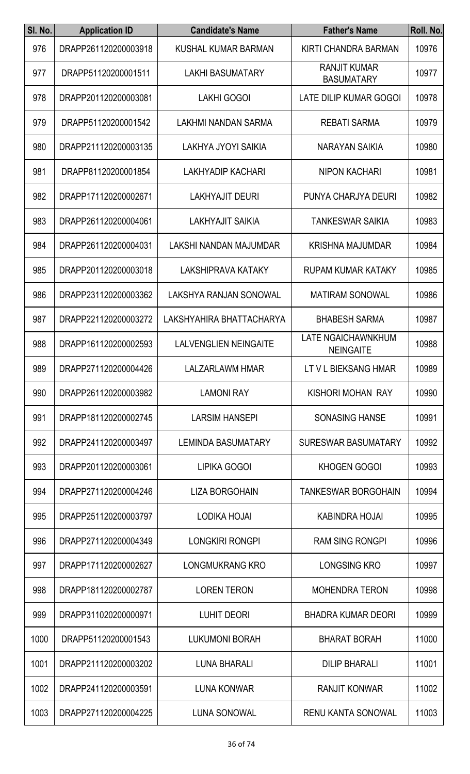| SI. No. | <b>Application ID</b> | <b>Candidate's Name</b>      | <b>Father's Name</b>                          | Roll. No. |
|---------|-----------------------|------------------------------|-----------------------------------------------|-----------|
| 976     | DRAPP261120200003918  | KUSHAL KUMAR BARMAN          | KIRTI CHANDRA BARMAN                          | 10976     |
| 977     | DRAPP51120200001511   | <b>LAKHI BASUMATARY</b>      | <b>RANJIT KUMAR</b><br><b>BASUMATARY</b>      | 10977     |
| 978     | DRAPP201120200003081  | <b>LAKHI GOGOI</b>           | LATE DILIP KUMAR GOGOI                        | 10978     |
| 979     | DRAPP51120200001542   | LAKHMI NANDAN SARMA          | <b>REBATI SARMA</b>                           | 10979     |
| 980     | DRAPP211120200003135  | LAKHYA JYOYI SAIKIA          | NARAYAN SAIKIA                                | 10980     |
| 981     | DRAPP81120200001854   | <b>LAKHYADIP KACHARI</b>     | <b>NIPON KACHARI</b>                          | 10981     |
| 982     | DRAPP171120200002671  | <b>LAKHYAJIT DEURI</b>       | PUNYA CHARJYA DEURI                           | 10982     |
| 983     | DRAPP261120200004061  | LAKHYAJIT SAIKIA             | <b>TANKESWAR SAIKIA</b>                       | 10983     |
| 984     | DRAPP261120200004031  | LAKSHI NANDAN MAJUMDAR       | <b>KRISHNA MAJUMDAR</b>                       | 10984     |
| 985     | DRAPP201120200003018  | LAKSHIPRAVA KATAKY           | <b>RUPAM KUMAR KATAKY</b>                     | 10985     |
| 986     | DRAPP231120200003362  | LAKSHYA RANJAN SONOWAL       | <b>MATIRAM SONOWAL</b>                        | 10986     |
| 987     | DRAPP221120200003272  | LAKSHYAHIRA BHATTACHARYA     | <b>BHABESH SARMA</b>                          | 10987     |
| 988     | DRAPP161120200002593  | <b>LALVENGLIEN NEINGAITE</b> | <b>LATE NGAICHAWNKHUM</b><br><b>NEINGAITE</b> | 10988     |
| 989     | DRAPP271120200004426  | <b>LALZARLAWM HMAR</b>       | LT V L BIEKSANG HMAR                          | 10989     |
| 990     | DRAPP261120200003982  | <b>LAMONI RAY</b>            | KISHORI MOHAN RAY                             | 10990     |
| 991     | DRAPP181120200002745  | <b>LARSIM HANSEPI</b>        | <b>SONASING HANSE</b>                         | 10991     |
| 992     | DRAPP241120200003497  | <b>LEMINDA BASUMATARY</b>    | <b>SURESWAR BASUMATARY</b>                    | 10992     |
| 993     | DRAPP201120200003061  | LIPIKA GOGOI                 | KHOGEN GOGOI                                  | 10993     |
| 994     | DRAPP271120200004246  | <b>LIZA BORGOHAIN</b>        | TANKESWAR BORGOHAIN                           | 10994     |
| 995     | DRAPP251120200003797  | LODIKA HOJAI                 | <b>KABINDRA HOJAI</b>                         | 10995     |
| 996     | DRAPP271120200004349  | <b>LONGKIRI RONGPI</b>       | <b>RAM SING RONGPI</b>                        | 10996     |
| 997     | DRAPP171120200002627  | LONGMUKRANG KRO              | <b>LONGSING KRO</b>                           | 10997     |
| 998     | DRAPP181120200002787  | <b>LOREN TERON</b>           | <b>MOHENDRA TERON</b>                         | 10998     |
| 999     | DRAPP311020200000971  | <b>LUHIT DEORI</b>           | <b>BHADRA KUMAR DEORI</b>                     | 10999     |
| 1000    | DRAPP51120200001543   | <b>LUKUMONI BORAH</b>        | <b>BHARAT BORAH</b>                           | 11000     |
| 1001    | DRAPP211120200003202  | <b>LUNA BHARALI</b>          | <b>DILIP BHARALI</b>                          | 11001     |
| 1002    | DRAPP241120200003591  | <b>LUNA KONWAR</b>           | <b>RANJIT KONWAR</b>                          | 11002     |
| 1003    | DRAPP271120200004225  | LUNA SONOWAL                 | RENU KANTA SONOWAL                            | 11003     |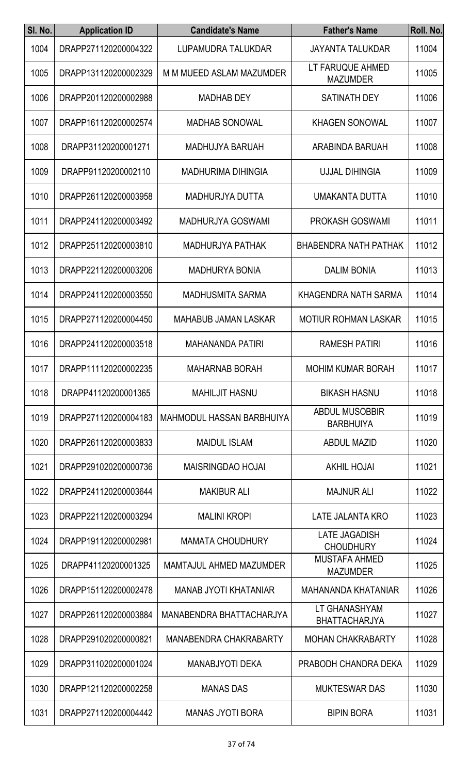| SI. No. | <b>Application ID</b> | <b>Candidate's Name</b>          | <b>Father's Name</b>                      | Roll. No. |
|---------|-----------------------|----------------------------------|-------------------------------------------|-----------|
| 1004    | DRAPP271120200004322  | LUPAMUDRA TALUKDAR               | <b>JAYANTA TALUKDAR</b>                   | 11004     |
| 1005    | DRAPP131120200002329  | M M MUEED ASLAM MAZUMDER         | LT FARUQUE AHMED<br><b>MAZUMDER</b>       | 11005     |
| 1006    | DRAPP201120200002988  | <b>MADHAB DEY</b>                | <b>SATINATH DEY</b>                       | 11006     |
| 1007    | DRAPP161120200002574  | <b>MADHAB SONOWAL</b>            | <b>KHAGEN SONOWAL</b>                     | 11007     |
| 1008    | DRAPP31120200001271   | <b>MADHUJYA BARUAH</b>           | ARABINDA BARUAH                           | 11008     |
| 1009    | DRAPP91120200002110   | <b>MADHURIMA DIHINGIA</b>        | <b>UJJAL DIHINGIA</b>                     | 11009     |
| 1010    | DRAPP261120200003958  | MADHURJYA DUTTA                  | UMAKANTA DUTTA                            | 11010     |
| 1011    | DRAPP241120200003492  | <b>MADHURJYA GOSWAMI</b>         | <b>PROKASH GOSWAMI</b>                    | 11011     |
| 1012    | DRAPP251120200003810  | <b>MADHURJYA PATHAK</b>          | <b>BHABENDRA NATH PATHAK</b>              | 11012     |
| 1013    | DRAPP221120200003206  | <b>MADHURYA BONIA</b>            | <b>DALIM BONIA</b>                        | 11013     |
| 1014    | DRAPP241120200003550  | <b>MADHUSMITA SARMA</b>          | KHAGENDRA NATH SARMA                      | 11014     |
| 1015    | DRAPP271120200004450  | <b>MAHABUB JAMAN LASKAR</b>      | <b>MOTIUR ROHMAN LASKAR</b>               | 11015     |
| 1016    | DRAPP241120200003518  | <b>MAHANANDA PATIRI</b>          | <b>RAMESH PATIRI</b>                      | 11016     |
| 1017    | DRAPP111120200002235  | <b>MAHARNAB BORAH</b>            | <b>MOHIM KUMAR BORAH</b>                  | 11017     |
| 1018    | DRAPP41120200001365   | <b>MAHILJIT HASNU</b>            | <b>BIKASH HASNU</b>                       | 11018     |
| 1019    | DRAPP271120200004183  | <b>MAHMODUL HASSAN BARBHUIYA</b> | <b>ABDUL MUSOBBIR</b><br><b>BARBHUIYA</b> | 11019     |
| 1020    | DRAPP261120200003833  | <b>MAIDUL ISLAM</b>              | <b>ABDUL MAZID</b>                        | 11020     |
| 1021    | DRAPP291020200000736  | <b>MAISRINGDAO HOJAI</b>         | <b>AKHIL HOJAI</b>                        | 11021     |
| 1022    | DRAPP241120200003644  | <b>MAKIBUR ALI</b>               | <b>MAJNUR ALI</b>                         | 11022     |
| 1023    | DRAPP221120200003294  | <b>MALINI KROPI</b>              | <b>LATE JALANTA KRO</b>                   | 11023     |
| 1024    | DRAPP191120200002981  | <b>MAMATA CHOUDHURY</b>          | <b>LATE JAGADISH</b><br><b>CHOUDHURY</b>  | 11024     |
| 1025    | DRAPP41120200001325   | MAMTAJUL AHMED MAZUMDER          | <b>MUSTAFA AHMED</b><br><b>MAZUMDER</b>   | 11025     |
| 1026    | DRAPP151120200002478  | <b>MANAB JYOTI KHATANIAR</b>     | MAHANANDA KHATANIAR                       | 11026     |
| 1027    | DRAPP261120200003884  | MANABENDRA BHATTACHARJYA         | LT GHANASHYAM<br><b>BHATTACHARJYA</b>     | 11027     |
| 1028    | DRAPP291020200000821  | <b>MANABENDRA CHAKRABARTY</b>    | <b>MOHAN CHAKRABARTY</b>                  | 11028     |
| 1029    | DRAPP311020200001024  | <b>MANABJYOTI DEKA</b>           | PRABODH CHANDRA DEKA                      | 11029     |
| 1030    | DRAPP121120200002258  | <b>MANAS DAS</b>                 | <b>MUKTESWAR DAS</b>                      | 11030     |
| 1031    | DRAPP271120200004442  | MANAS JYOTI BORA                 | <b>BIPIN BORA</b>                         | 11031     |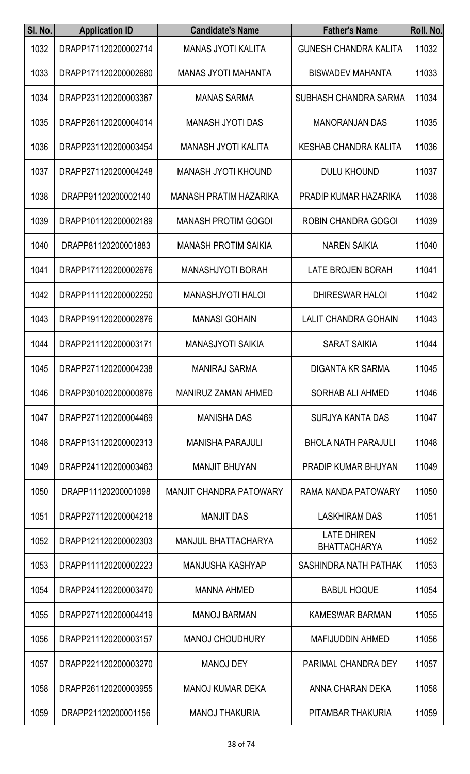| SI. No. | <b>Application ID</b> | <b>Candidate's Name</b>        | <b>Father's Name</b>                      | Roll. No. |
|---------|-----------------------|--------------------------------|-------------------------------------------|-----------|
| 1032    | DRAPP171120200002714  | <b>MANAS JYOTI KALITA</b>      | <b>GUNESH CHANDRA KALITA</b>              | 11032     |
| 1033    | DRAPP171120200002680  | <b>MANAS JYOTI MAHANTA</b>     | <b>BISWADEV MAHANTA</b>                   | 11033     |
| 1034    | DRAPP231120200003367  | <b>MANAS SARMA</b>             | SUBHASH CHANDRA SARMA                     | 11034     |
| 1035    | DRAPP261120200004014  | <b>MANASH JYOTI DAS</b>        | <b>MANORANJAN DAS</b>                     | 11035     |
| 1036    | DRAPP231120200003454  | <b>MANASH JYOTI KALITA</b>     | KESHAB CHANDRA KALITA                     | 11036     |
| 1037    | DRAPP271120200004248  | <b>MANASH JYOTI KHOUND</b>     | <b>DULU KHOUND</b>                        | 11037     |
| 1038    | DRAPP91120200002140   | <b>MANASH PRATIM HAZARIKA</b>  | PRADIP KUMAR HAZARIKA                     | 11038     |
| 1039    | DRAPP101120200002189  | <b>MANASH PROTIM GOGOI</b>     | ROBIN CHANDRA GOGOI                       | 11039     |
| 1040    | DRAPP81120200001883   | <b>MANASH PROTIM SAIKIA</b>    | <b>NAREN SAIKIA</b>                       | 11040     |
| 1041    | DRAPP171120200002676  | <b>MANASHJYOTI BORAH</b>       | <b>LATE BROJEN BORAH</b>                  | 11041     |
| 1042    | DRAPP111120200002250  | <b>MANASHJYOTI HALOI</b>       | <b>DHIRESWAR HALOI</b>                    | 11042     |
| 1043    | DRAPP191120200002876  | <b>MANASI GOHAIN</b>           | <b>LALIT CHANDRA GOHAIN</b>               | 11043     |
| 1044    | DRAPP211120200003171  | <b>MANASJYOTI SAIKIA</b>       | <b>SARAT SAIKIA</b>                       | 11044     |
| 1045    | DRAPP271120200004238  | <b>MANIRAJ SARMA</b>           | <b>DIGANTA KR SARMA</b>                   | 11045     |
| 1046    | DRAPP301020200000876  | <b>MANIRUZ ZAMAN AHMED</b>     | SORHAB ALI AHMED                          | 11046     |
| 1047    | DRAPP271120200004469  | <b>MANISHA DAS</b>             | <b>SURJYA KANTA DAS</b>                   | 11047     |
| 1048    | DRAPP131120200002313  | <b>MANISHA PARAJULI</b>        | <b>BHOLA NATH PARAJULI</b>                | 11048     |
| 1049    | DRAPP241120200003463  | <b>MANJIT BHUYAN</b>           | <b>PRADIP KUMAR BHUYAN</b>                | 11049     |
| 1050    | DRAPP11120200001098   | <b>MANJIT CHANDRA PATOWARY</b> | RAMA NANDA PATOWARY                       | 11050     |
| 1051    | DRAPP271120200004218  | <b>MANJIT DAS</b>              | <b>LASKHIRAM DAS</b>                      | 11051     |
| 1052    | DRAPP121120200002303  | <b>MANJUL BHATTACHARYA</b>     | <b>LATE DHIREN</b><br><b>BHATTACHARYA</b> | 11052     |
| 1053    | DRAPP111120200002223  | <b>MANJUSHA KASHYAP</b>        | SASHINDRA NATH PATHAK                     | 11053     |
| 1054    | DRAPP241120200003470  | <b>MANNA AHMED</b>             | <b>BABUL HOQUE</b>                        | 11054     |
| 1055    | DRAPP271120200004419  | <b>MANOJ BARMAN</b>            | <b>KAMESWAR BARMAN</b>                    | 11055     |
| 1056    | DRAPP211120200003157  | <b>MANOJ CHOUDHURY</b>         | <b>MAFIJUDDIN AHMED</b>                   | 11056     |
| 1057    | DRAPP221120200003270  | <b>MANOJ DEY</b>               | PARIMAL CHANDRA DEY                       | 11057     |
| 1058    | DRAPP261120200003955  | <b>MANOJ KUMAR DEKA</b>        | ANNA CHARAN DEKA                          | 11058     |
| 1059    | DRAPP21120200001156   | <b>MANOJ THAKURIA</b>          | PITAMBAR THAKURIA                         | 11059     |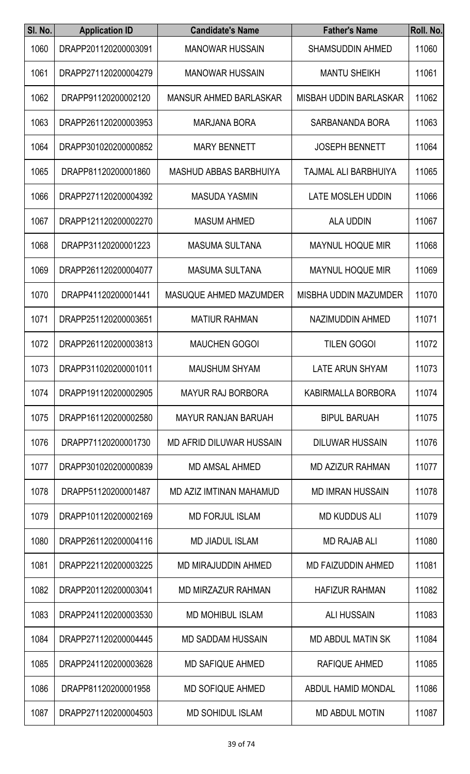| SI. No. | <b>Application ID</b> | <b>Candidate's Name</b>         | <b>Father's Name</b>         | Roll. No. |
|---------|-----------------------|---------------------------------|------------------------------|-----------|
| 1060    | DRAPP201120200003091  | <b>MANOWAR HUSSAIN</b>          | <b>SHAMSUDDIN AHMED</b>      | 11060     |
| 1061    | DRAPP271120200004279  | <b>MANOWAR HUSSAIN</b>          | <b>MANTU SHEIKH</b>          | 11061     |
| 1062    | DRAPP91120200002120   | <b>MANSUR AHMED BARLASKAR</b>   | MISBAH UDDIN BARLASKAR       | 11062     |
| 1063    | DRAPP261120200003953  | <b>MARJANA BORA</b>             | SARBANANDA BORA              | 11063     |
| 1064    | DRAPP301020200000852  | <b>MARY BENNETT</b>             | <b>JOSEPH BENNETT</b>        | 11064     |
| 1065    | DRAPP81120200001860   | <b>MASHUD ABBAS BARBHUIYA</b>   | TAJMAL ALI BARBHUIYA         | 11065     |
| 1066    | DRAPP271120200004392  | <b>MASUDA YASMIN</b>            | <b>LATE MOSLEH UDDIN</b>     | 11066     |
| 1067    | DRAPP121120200002270  | <b>MASUM AHMED</b>              | <b>ALA UDDIN</b>             | 11067     |
| 1068    | DRAPP31120200001223   | <b>MASUMA SULTANA</b>           | <b>MAYNUL HOQUE MIR</b>      | 11068     |
| 1069    | DRAPP261120200004077  | <b>MASUMA SULTANA</b>           | <b>MAYNUL HOQUE MIR</b>      | 11069     |
| 1070    | DRAPP41120200001441   | <b>MASUQUE AHMED MAZUMDER</b>   | <b>MISBHA UDDIN MAZUMDER</b> | 11070     |
| 1071    | DRAPP251120200003651  | <b>MATIUR RAHMAN</b>            | NAZIMUDDIN AHMED             | 11071     |
| 1072    | DRAPP261120200003813  | <b>MAUCHEN GOGOI</b>            | <b>TILEN GOGOI</b>           | 11072     |
| 1073    | DRAPP311020200001011  | <b>MAUSHUM SHYAM</b>            | LATE ARUN SHYAM              | 11073     |
| 1074    | DRAPP191120200002905  | <b>MAYUR RAJ BORBORA</b>        | KABIRMALLA BORBORA           | 11074     |
| 1075    | DRAPP161120200002580  | <b>MAYUR RANJAN BARUAH</b>      | <b>BIPUL BARUAH</b>          | 11075     |
| 1076    | DRAPP71120200001730   | <b>MD AFRID DILUWAR HUSSAIN</b> | <b>DILUWAR HUSSAIN</b>       | 11076     |
| 1077    | DRAPP301020200000839  | <b>MD AMSAL AHMED</b>           | <b>MD AZIZUR RAHMAN</b>      | 11077     |
| 1078    | DRAPP51120200001487   | MD AZIZ IMTINAN MAHAMUD         | <b>MD IMRAN HUSSAIN</b>      | 11078     |
| 1079    | DRAPP101120200002169  | <b>MD FORJUL ISLAM</b>          | <b>MD KUDDUS ALI</b>         | 11079     |
| 1080    | DRAPP261120200004116  | <b>MD JIADUL ISLAM</b>          | <b>MD RAJAB ALI</b>          | 11080     |
| 1081    | DRAPP221120200003225  | MD MIRAJUDDIN AHMED             | <b>MD FAIZUDDIN AHMED</b>    | 11081     |
| 1082    | DRAPP201120200003041  | <b>MD MIRZAZUR RAHMAN</b>       | <b>HAFIZUR RAHMAN</b>        | 11082     |
| 1083    | DRAPP241120200003530  | <b>MD MOHIBUL ISLAM</b>         | <b>ALI HUSSAIN</b>           | 11083     |
| 1084    | DRAPP271120200004445  | <b>MD SADDAM HUSSAIN</b>        | <b>MD ABDUL MATIN SK</b>     | 11084     |
| 1085    | DRAPP241120200003628  | <b>MD SAFIQUE AHMED</b>         | <b>RAFIQUE AHMED</b>         | 11085     |
| 1086    | DRAPP81120200001958   | <b>MD SOFIQUE AHMED</b>         | ABDUL HAMID MONDAL           | 11086     |
| 1087    | DRAPP271120200004503  | <b>MD SOHIDUL ISLAM</b>         | MD ABDUL MOTIN               | 11087     |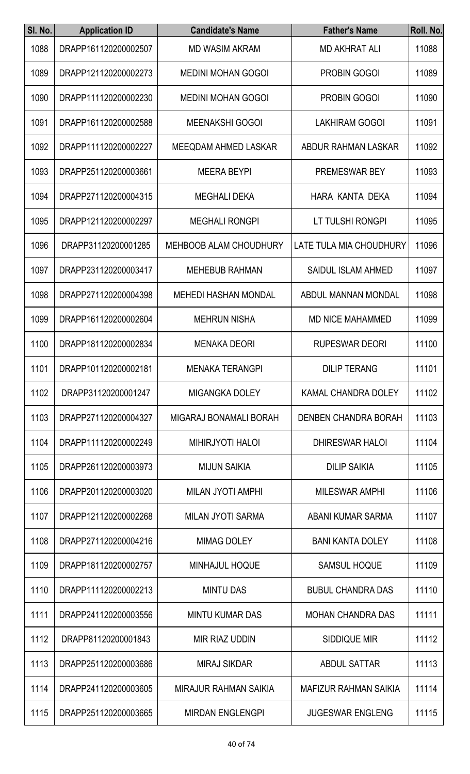| SI. No. | <b>Application ID</b> | <b>Candidate's Name</b>       | <b>Father's Name</b>         | Roll. No. |
|---------|-----------------------|-------------------------------|------------------------------|-----------|
| 1088    | DRAPP161120200002507  | <b>MD WASIM AKRAM</b>         | <b>MD AKHRAT ALI</b>         | 11088     |
| 1089    | DRAPP121120200002273  | <b>MEDINI MOHAN GOGOI</b>     | <b>PROBIN GOGOI</b>          | 11089     |
| 1090    | DRAPP111120200002230  | <b>MEDINI MOHAN GOGOI</b>     | <b>PROBIN GOGOI</b>          | 11090     |
| 1091    | DRAPP161120200002588  | <b>MEENAKSHI GOGOI</b>        | <b>LAKHIRAM GOGOI</b>        | 11091     |
| 1092    | DRAPP111120200002227  | <b>MEEQDAM AHMED LASKAR</b>   | ABDUR RAHMAN LASKAR          | 11092     |
| 1093    | DRAPP251120200003661  | <b>MEERA BEYPI</b>            | PREMESWAR BEY                | 11093     |
| 1094    | DRAPP271120200004315  | <b>MEGHALI DEKA</b>           | HARA KANTA DEKA              | 11094     |
| 1095    | DRAPP121120200002297  | <b>MEGHALI RONGPI</b>         | LT TULSHI RONGPI             | 11095     |
| 1096    | DRAPP31120200001285   | <b>MEHBOOB ALAM CHOUDHURY</b> | LATE TULA MIA CHOUDHURY      | 11096     |
| 1097    | DRAPP231120200003417  | <b>MEHEBUB RAHMAN</b>         | <b>SAIDUL ISLAM AHMED</b>    | 11097     |
| 1098    | DRAPP271120200004398  | <b>MEHEDI HASHAN MONDAL</b>   | ABDUL MANNAN MONDAL          | 11098     |
| 1099    | DRAPP161120200002604  | <b>MEHRUN NISHA</b>           | <b>MD NICE MAHAMMED</b>      | 11099     |
| 1100    | DRAPP181120200002834  | <b>MENAKA DEORI</b>           | <b>RUPESWAR DEORI</b>        | 11100     |
| 1101    | DRAPP101120200002181  | <b>MENAKA TERANGPI</b>        | <b>DILIP TERANG</b>          | 11101     |
| 1102    | DRAPP31120200001247   | <b>MIGANGKA DOLEY</b>         | KAMAL CHANDRA DOLEY          | 11102     |
| 1103    | DRAPP271120200004327  | MIGARAJ BONAMALI BORAH        | <b>DENBEN CHANDRA BORAH</b>  | 11103     |
| 1104    | DRAPP111120200002249  | <b>MIHIRJYOTI HALOI</b>       | <b>DHIRESWAR HALOI</b>       | 11104     |
| 1105    | DRAPP261120200003973  | <b>MIJUN SAIKIA</b>           | <b>DILIP SAIKIA</b>          | 11105     |
| 1106    | DRAPP201120200003020  | <b>MILAN JYOTI AMPHI</b>      | <b>MILESWAR AMPHI</b>        | 11106     |
| 1107    | DRAPP121120200002268  | <b>MILAN JYOTI SARMA</b>      | ABANI KUMAR SARMA            | 11107     |
| 1108    | DRAPP271120200004216  | <b>MIMAG DOLEY</b>            | <b>BANI KANTA DOLEY</b>      | 11108     |
| 1109    | DRAPP181120200002757  | MINHAJUL HOQUE                | <b>SAMSUL HOQUE</b>          | 11109     |
| 1110    | DRAPP111120200002213  | <b>MINTU DAS</b>              | <b>BUBUL CHANDRA DAS</b>     | 11110     |
| 1111    | DRAPP241120200003556  | <b>MINTU KUMAR DAS</b>        | <b>MOHAN CHANDRA DAS</b>     | 11111     |
| 1112    | DRAPP81120200001843   | <b>MIR RIAZ UDDIN</b>         | <b>SIDDIQUE MIR</b>          | 11112     |
| 1113    | DRAPP251120200003686  | <b>MIRAJ SIKDAR</b>           | <b>ABDUL SATTAR</b>          | 11113     |
| 1114    | DRAPP241120200003605  | <b>MIRAJUR RAHMAN SAIKIA</b>  | <b>MAFIZUR RAHMAN SAIKIA</b> | 11114     |
| 1115    | DRAPP251120200003665  | <b>MIRDAN ENGLENGPI</b>       | <b>JUGESWAR ENGLENG</b>      | 11115     |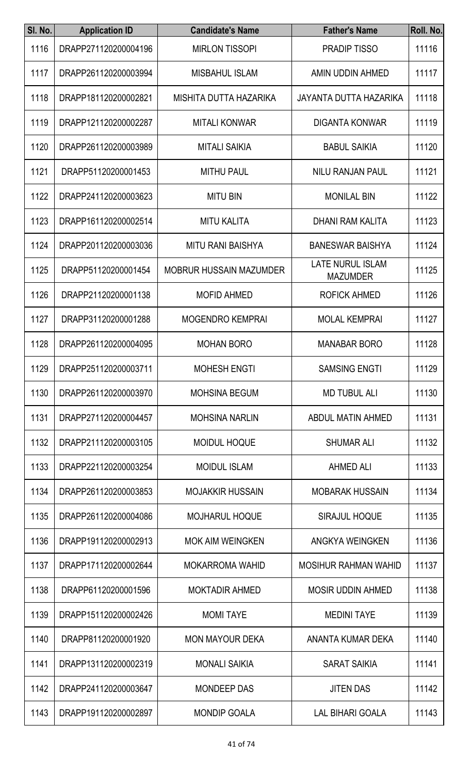| SI. No. | <b>Application ID</b> | <b>Candidate's Name</b>        | <b>Father's Name</b>                       | Roll. No. |
|---------|-----------------------|--------------------------------|--------------------------------------------|-----------|
| 1116    | DRAPP271120200004196  | <b>MIRLON TISSOPI</b>          | <b>PRADIP TISSO</b>                        | 11116     |
| 1117    | DRAPP261120200003994  | <b>MISBAHUL ISLAM</b>          | AMIN UDDIN AHMED                           | 11117     |
| 1118    | DRAPP181120200002821  | MISHITA DUTTA HAZARIKA         | <b>JAYANTA DUTTA HAZARIKA</b>              | 11118     |
| 1119    | DRAPP121120200002287  | <b>MITALI KONWAR</b>           | <b>DIGANTA KONWAR</b>                      | 11119     |
| 1120    | DRAPP261120200003989  | <b>MITALI SAIKIA</b>           | <b>BABUL SAIKIA</b>                        | 11120     |
| 1121    | DRAPP51120200001453   | <b>MITHU PAUL</b>              | <b>NILU RANJAN PAUL</b>                    | 11121     |
| 1122    | DRAPP241120200003623  | <b>MITU BIN</b>                | <b>MONILAL BIN</b>                         | 11122     |
| 1123    | DRAPP161120200002514  | <b>MITU KALITA</b>             | DHANI RAM KALITA                           | 11123     |
| 1124    | DRAPP201120200003036  | <b>MITU RANI BAISHYA</b>       | <b>BANESWAR BAISHYA</b>                    | 11124     |
| 1125    | DRAPP51120200001454   | <b>MOBRUR HUSSAIN MAZUMDER</b> | <b>LATE NURUL ISLAM</b><br><b>MAZUMDER</b> | 11125     |
| 1126    | DRAPP21120200001138   | <b>MOFID AHMED</b>             | <b>ROFICK AHMED</b>                        | 11126     |
| 1127    | DRAPP31120200001288   | <b>MOGENDRO KEMPRAI</b>        | <b>MOLAL KEMPRAI</b>                       | 11127     |
| 1128    | DRAPP261120200004095  | <b>MOHAN BORO</b>              | <b>MANABAR BORO</b>                        | 11128     |
| 1129    | DRAPP251120200003711  | <b>MOHESH ENGTI</b>            | <b>SAMSING ENGTI</b>                       | 11129     |
| 1130    | DRAPP261120200003970  | <b>MOHSINA BEGUM</b>           | <b>MD TUBUL ALI</b>                        | 11130     |
| 1131    | DRAPP271120200004457  | <b>MOHSINA NARLIN</b>          | ABDUL MATIN AHMED                          | 11131     |
| 1132    | DRAPP211120200003105  | <b>MOIDUL HOQUE</b>            | <b>SHUMAR ALI</b>                          | 11132     |
| 1133    | DRAPP221120200003254  | <b>MOIDUL ISLAM</b>            | <b>AHMED ALI</b>                           | 11133     |
| 1134    | DRAPP261120200003853  | <b>MOJAKKIR HUSSAIN</b>        | <b>MOBARAK HUSSAIN</b>                     | 11134     |
| 1135    | DRAPP261120200004086  | <b>MOJHARUL HOQUE</b>          | <b>SIRAJUL HOQUE</b>                       | 11135     |
| 1136    | DRAPP191120200002913  | <b>MOK AIM WEINGKEN</b>        | ANGKYA WEINGKEN                            | 11136     |
| 1137    | DRAPP171120200002644  | <b>MOKARROMA WAHID</b>         | <b>MOSIHUR RAHMAN WAHID</b>                | 11137     |
| 1138    | DRAPP61120200001596   | <b>MOKTADIR AHMED</b>          | <b>MOSIR UDDIN AHMED</b>                   | 11138     |
| 1139    | DRAPP151120200002426  | <b>MOMI TAYE</b>               | <b>MEDINI TAYE</b>                         | 11139     |
| 1140    | DRAPP81120200001920   | <b>MON MAYOUR DEKA</b>         | ANANTA KUMAR DEKA                          | 11140     |
| 1141    | DRAPP131120200002319  | <b>MONALI SAIKIA</b>           | <b>SARAT SAIKIA</b>                        | 11141     |
| 1142    | DRAPP241120200003647  | <b>MONDEEP DAS</b>             | <b>JITEN DAS</b>                           | 11142     |
| 1143    | DRAPP191120200002897  | MONDIP GOALA                   | LAL BIHARI GOALA                           | 11143     |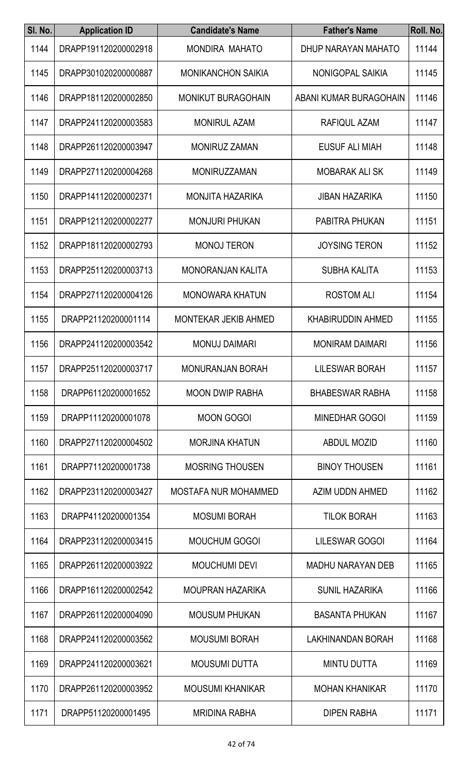| SI. No. | <b>Application ID</b> | <b>Candidate's Name</b>     | <b>Father's Name</b>     | Roll. No. |
|---------|-----------------------|-----------------------------|--------------------------|-----------|
| 1144    | DRAPP191120200002918  | MONDIRA MAHATO              | DHUP NARAYAN MAHATO      | 11144     |
| 1145    | DRAPP301020200000887  | <b>MONIKANCHON SAIKIA</b>   | NONIGOPAL SAIKIA         | 11145     |
| 1146    | DRAPP181120200002850  | <b>MONIKUT BURAGOHAIN</b>   | ABANI KUMAR BURAGOHAIN   | 11146     |
| 1147    | DRAPP241120200003583  | <b>MONIRUL AZAM</b>         | RAFIQUL AZAM             | 11147     |
| 1148    | DRAPP261120200003947  | <b>MONIRUZ ZAMAN</b>        | <b>EUSUF ALI MIAH</b>    | 11148     |
| 1149    | DRAPP271120200004268  | <b>MONIRUZZAMAN</b>         | <b>MOBARAK ALI SK</b>    | 11149     |
| 1150    | DRAPP141120200002371  | <b>MONJITA HAZARIKA</b>     | <b>JIBAN HAZARIKA</b>    | 11150     |
| 1151    | DRAPP121120200002277  | <b>MONJURI PHUKAN</b>       | PABITRA PHUKAN           | 11151     |
| 1152    | DRAPP181120200002793  | <b>MONOJ TERON</b>          | <b>JOYSING TERON</b>     | 11152     |
| 1153    | DRAPP251120200003713  | <b>MONORANJAN KALITA</b>    | <b>SUBHA KALITA</b>      | 11153     |
| 1154    | DRAPP271120200004126  | <b>MONOWARA KHATUN</b>      | <b>ROSTOM ALI</b>        | 11154     |
| 1155    | DRAPP21120200001114   | <b>MONTEKAR JEKIB AHMED</b> | <b>KHABIRUDDIN AHMED</b> | 11155     |
| 1156    | DRAPP241120200003542  | <b>MONUJ DAIMARI</b>        | <b>MONIRAM DAIMARI</b>   | 11156     |
| 1157    | DRAPP251120200003717  | <b>MONURANJAN BORAH</b>     | <b>LILESWAR BORAH</b>    | 11157     |
| 1158    | DRAPP61120200001652   | <b>MOON DWIP RABHA</b>      | <b>BHABESWAR RABHA</b>   | 11158     |
| 1159    | DRAPP11120200001078   | <b>MOON GOGOI</b>           | <b>MINEDHAR GOGOI</b>    | 11159     |
| 1160    | DRAPP271120200004502  | <b>MORJINA KHATUN</b>       | <b>ABDUL MOZID</b>       | 11160     |
| 1161    | DRAPP71120200001738   | <b>MOSRING THOUSEN</b>      | <b>BINOY THOUSEN</b>     | 11161     |
| 1162    | DRAPP231120200003427  | <b>MOSTAFA NUR MOHAMMED</b> | AZIM UDDN AHMED          | 11162     |
| 1163    | DRAPP41120200001354   | <b>MOSUMI BORAH</b>         | <b>TILOK BORAH</b>       | 11163     |
| 1164    | DRAPP231120200003415  | <b>MOUCHUM GOGOI</b>        | LILESWAR GOGOI           | 11164     |
| 1165    | DRAPP261120200003922  | <b>MOUCHUMI DEVI</b>        | <b>MADHU NARAYAN DEB</b> | 11165     |
| 1166    | DRAPP161120200002542  | <b>MOUPRAN HAZARIKA</b>     | <b>SUNIL HAZARIKA</b>    | 11166     |
| 1167    | DRAPP261120200004090  | <b>MOUSUM PHUKAN</b>        | <b>BASANTA PHUKAN</b>    | 11167     |
| 1168    | DRAPP241120200003562  | <b>MOUSUMI BORAH</b>        | <b>LAKHINANDAN BORAH</b> | 11168     |
| 1169    | DRAPP241120200003621  | <b>MOUSUMI DUTTA</b>        | <b>MINTU DUTTA</b>       | 11169     |
| 1170    | DRAPP261120200003952  | <b>MOUSUMI KHANIKAR</b>     | <b>MOHAN KHANIKAR</b>    | 11170     |
| 1171    | DRAPP51120200001495   | <b>MRIDINA RABHA</b>        | <b>DIPEN RABHA</b>       | 11171     |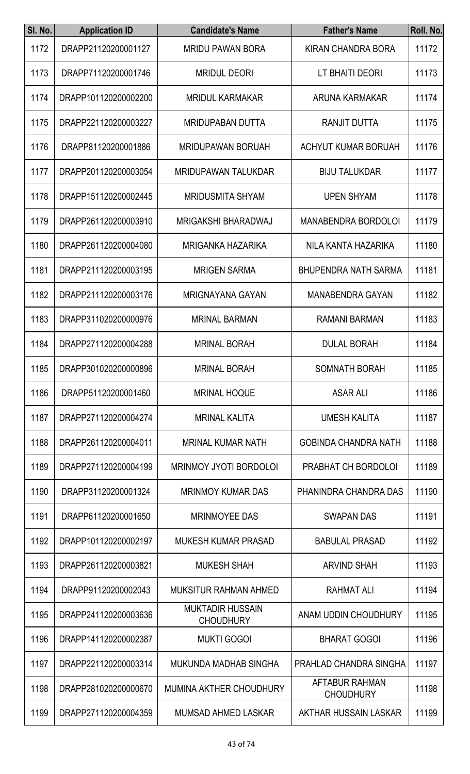| SI. No. | <b>Application ID</b> | <b>Candidate's Name</b>                     | <b>Father's Name</b>                      | Roll. No. |
|---------|-----------------------|---------------------------------------------|-------------------------------------------|-----------|
| 1172    | DRAPP21120200001127   | <b>MRIDU PAWAN BORA</b>                     | <b>KIRAN CHANDRA BORA</b>                 | 11172     |
| 1173    | DRAPP71120200001746   | <b>MRIDUL DEORI</b>                         | LT BHAITI DEORI                           | 11173     |
| 1174    | DRAPP101120200002200  | <b>MRIDUL KARMAKAR</b>                      | ARUNA KARMAKAR                            | 11174     |
| 1175    | DRAPP221120200003227  | <b>MRIDUPABAN DUTTA</b>                     | RANJIT DUTTA                              | 11175     |
| 1176    | DRAPP81120200001886   | <b>MRIDUPAWAN BORUAH</b>                    | ACHYUT KUMAR BORUAH                       | 11176     |
| 1177    | DRAPP201120200003054  | <b>MRIDUPAWAN TALUKDAR</b>                  | <b>BIJU TALUKDAR</b>                      | 11177     |
| 1178    | DRAPP151120200002445  | <b>MRIDUSMITA SHYAM</b>                     | <b>UPEN SHYAM</b>                         | 11178     |
| 1179    | DRAPP261120200003910  | <b>MRIGAKSHI BHARADWAJ</b>                  | <b>MANABENDRA BORDOLOI</b>                | 11179     |
| 1180    | DRAPP261120200004080  | <b>MRIGANKA HAZARIKA</b>                    | NILA KANTA HAZARIKA                       | 11180     |
| 1181    | DRAPP211120200003195  | <b>MRIGEN SARMA</b>                         | <b>BHUPENDRA NATH SARMA</b>               | 11181     |
| 1182    | DRAPP211120200003176  | <b>MRIGNAYANA GAYAN</b>                     | <b>MANABENDRA GAYAN</b>                   | 11182     |
| 1183    | DRAPP311020200000976  | <b>MRINAL BARMAN</b>                        | <b>RAMANI BARMAN</b>                      | 11183     |
| 1184    | DRAPP271120200004288  | <b>MRINAL BORAH</b>                         | <b>DULAL BORAH</b>                        | 11184     |
| 1185    | DRAPP301020200000896  | <b>MRINAL BORAH</b>                         | SOMNATH BORAH                             | 11185     |
| 1186    | DRAPP51120200001460   | <b>MRINAL HOQUE</b>                         | <b>ASAR ALI</b>                           | 11186     |
| 1187    | DRAPP271120200004274  | <b>MRINAL KALITA</b>                        | <b>UMESH KALITA</b>                       | 11187     |
| 1188    | DRAPP261120200004011  | <b>MRINAL KUMAR NATH</b>                    | <b>GOBINDA CHANDRA NATH</b>               | 11188     |
| 1189    | DRAPP271120200004199  | <b>MRINMOY JYOTI BORDOLOI</b>               | PRABHAT CH BORDOLOI                       | 11189     |
| 1190    | DRAPP31120200001324   | <b>MRINMOY KUMAR DAS</b>                    | PHANINDRA CHANDRA DAS                     | 11190     |
| 1191    | DRAPP61120200001650   | <b>MRINMOYEE DAS</b>                        | <b>SWAPAN DAS</b>                         | 11191     |
| 1192    | DRAPP101120200002197  | <b>MUKESH KUMAR PRASAD</b>                  | <b>BABULAL PRASAD</b>                     | 11192     |
| 1193    | DRAPP261120200003821  | <b>MUKESH SHAH</b>                          | <b>ARVIND SHAH</b>                        | 11193     |
| 1194    | DRAPP91120200002043   | MUKSITUR RAHMAN AHMED                       | RAHMAT ALI                                | 11194     |
| 1195    | DRAPP241120200003636  | <b>MUKTADIR HUSSAIN</b><br><b>CHOUDHURY</b> | ANAM UDDIN CHOUDHURY                      | 11195     |
| 1196    | DRAPP141120200002387  | <b>MUKTI GOGOI</b>                          | <b>BHARAT GOGOI</b>                       | 11196     |
| 1197    | DRAPP221120200003314  | <b>MUKUNDA MADHAB SINGHA</b>                | <b>PRAHLAD CHANDRA SINGHA</b>             | 11197     |
| 1198    | DRAPP281020200000670  | MUMINA AKTHER CHOUDHURY                     | <b>AFTABUR RAHMAN</b><br><b>CHOUDHURY</b> | 11198     |
| 1199    | DRAPP271120200004359  | MUMSAD AHMED LASKAR                         | AKTHAR HUSSAIN LASKAR                     | 11199     |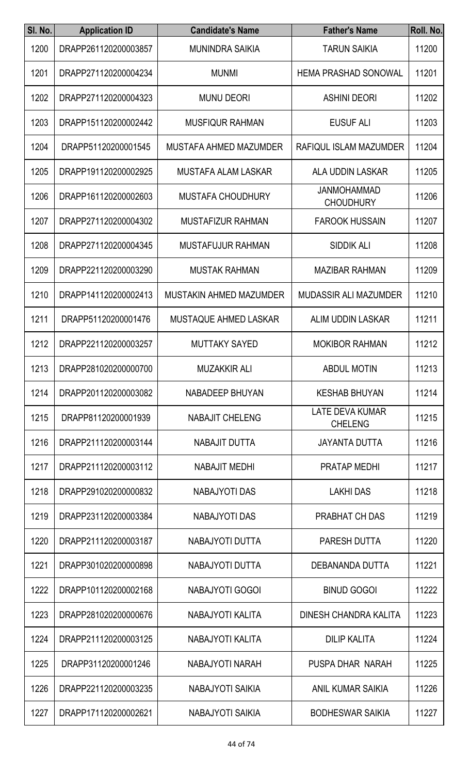| SI. No. | <b>Application ID</b> | <b>Candidate's Name</b>        | <b>Father's Name</b>                     | Roll. No. |
|---------|-----------------------|--------------------------------|------------------------------------------|-----------|
| 1200    | DRAPP261120200003857  | <b>MUNINDRA SAIKIA</b>         | <b>TARUN SAIKIA</b>                      | 11200     |
| 1201    | DRAPP271120200004234  | <b>MUNMI</b>                   | <b>HEMA PRASHAD SONOWAL</b>              | 11201     |
| 1202    | DRAPP271120200004323  | <b>MUNU DEORI</b>              | <b>ASHINI DEORI</b>                      | 11202     |
| 1203    | DRAPP151120200002442  | <b>MUSFIQUR RAHMAN</b>         | <b>EUSUF ALI</b>                         | 11203     |
| 1204    | DRAPP51120200001545   | MUSTAFA AHMED MAZUMDER         | RAFIQUL ISLAM MAZUMDER                   | 11204     |
| 1205    | DRAPP191120200002925  | <b>MUSTAFA ALAM LASKAR</b>     | ALA UDDIN LASKAR                         | 11205     |
| 1206    | DRAPP161120200002603  | <b>MUSTAFA CHOUDHURY</b>       | <b>JANMOHAMMAD</b><br><b>CHOUDHURY</b>   | 11206     |
| 1207    | DRAPP271120200004302  | MUSTAFIZUR RAHMAN              | <b>FAROOK HUSSAIN</b>                    | 11207     |
| 1208    | DRAPP271120200004345  | <b>MUSTAFUJUR RAHMAN</b>       | <b>SIDDIK ALI</b>                        | 11208     |
| 1209    | DRAPP221120200003290  | <b>MUSTAK RAHMAN</b>           | <b>MAZIBAR RAHMAN</b>                    | 11209     |
| 1210    | DRAPP141120200002413  | <b>MUSTAKIN AHMED MAZUMDER</b> | <b>MUDASSIR ALI MAZUMDER</b>             | 11210     |
| 1211    | DRAPP51120200001476   | <b>MUSTAQUE AHMED LASKAR</b>   | <b>ALIM UDDIN LASKAR</b>                 | 11211     |
| 1212    | DRAPP221120200003257  | <b>MUTTAKY SAYED</b>           | <b>MOKIBOR RAHMAN</b>                    | 11212     |
| 1213    | DRAPP281020200000700  | <b>MUZAKKIR ALI</b>            | <b>ABDUL MOTIN</b>                       | 11213     |
| 1214    | DRAPP201120200003082  | NABADEEP BHUYAN                | <b>KESHAB BHUYAN</b>                     | 11214     |
| 1215    | DRAPP81120200001939   | <b>NABAJIT CHELENG</b>         | <b>LATE DEVA KUMAR</b><br><b>CHELENG</b> | 11215     |
| 1216    | DRAPP211120200003144  | NABAJIT DUTTA                  | <b>JAYANTA DUTTA</b>                     | 11216     |
| 1217    | DRAPP211120200003112  | <b>NABAJIT MEDHI</b>           | PRATAP MEDHI                             | 11217     |
| 1218    | DRAPP291020200000832  | <b>NABAJYOTI DAS</b>           | <b>LAKHI DAS</b>                         | 11218     |
| 1219    | DRAPP231120200003384  | <b>NABAJYOTI DAS</b>           | PRABHAT CH DAS                           | 11219     |
| 1220    | DRAPP211120200003187  | NABAJYOTI DUTTA                | PARESH DUTTA                             | 11220     |
| 1221    | DRAPP301020200000898  | NABAJYOTI DUTTA                | DEBANANDA DUTTA                          | 11221     |
| 1222    | DRAPP101120200002168  | NABAJYOTI GOGOI                | <b>BINUD GOGOI</b>                       | 11222     |
| 1223    | DRAPP281020200000676  | NABAJYOTI KALITA               | DINESH CHANDRA KALITA                    | 11223     |
| 1224    | DRAPP211120200003125  | NABAJYOTI KALITA               | <b>DILIP KALITA</b>                      | 11224     |
| 1225    | DRAPP31120200001246   | NABAJYOTI NARAH                | PUSPA DHAR NARAH                         | 11225     |
| 1226    | DRAPP221120200003235  | <b>NABAJYOTI SAIKIA</b>        | <b>ANIL KUMAR SAIKIA</b>                 | 11226     |
| 1227    | DRAPP171120200002621  | NABAJYOTI SAIKIA               | <b>BODHESWAR SAIKIA</b>                  | 11227     |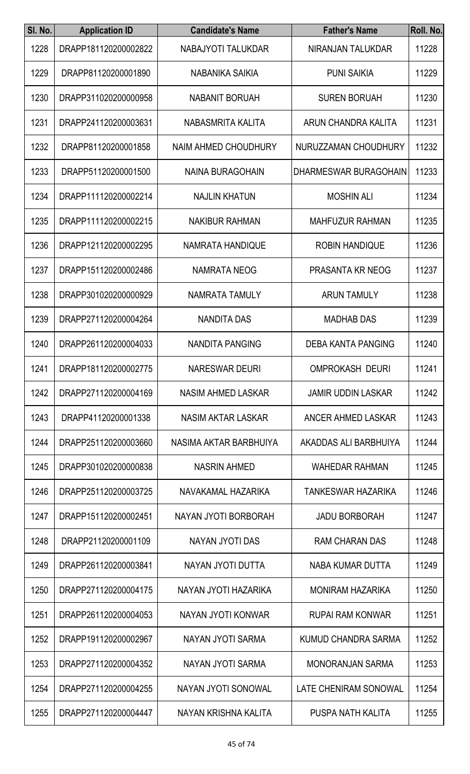| SI. No. | <b>Application ID</b> | <b>Candidate's Name</b>     | <b>Father's Name</b>         | Roll. No. |
|---------|-----------------------|-----------------------------|------------------------------|-----------|
| 1228    | DRAPP181120200002822  | NABAJYOTI TALUKDAR          | NIRANJAN TALUKDAR            | 11228     |
| 1229    | DRAPP81120200001890   | NABANIKA SAIKIA             | <b>PUNI SAIKIA</b>           | 11229     |
| 1230    | DRAPP311020200000958  | <b>NABANIT BORUAH</b>       | <b>SUREN BORUAH</b>          | 11230     |
| 1231    | DRAPP241120200003631  | NABASMRITA KALITA           | ARUN CHANDRA KALITA          | 11231     |
| 1232    | DRAPP81120200001858   | NAIM AHMED CHOUDHURY        | NURUZZAMAN CHOUDHURY         | 11232     |
| 1233    | DRAPP51120200001500   | <b>NAINA BURAGOHAIN</b>     | DHARMESWAR BURAGOHAIN        | 11233     |
| 1234    | DRAPP111120200002214  | <b>NAJLIN KHATUN</b>        | <b>MOSHIN ALI</b>            | 11234     |
| 1235    | DRAPP111120200002215  | <b>NAKIBUR RAHMAN</b>       | <b>MAHFUZUR RAHMAN</b>       | 11235     |
| 1236    | DRAPP121120200002295  | <b>NAMRATA HANDIQUE</b>     | <b>ROBIN HANDIQUE</b>        | 11236     |
| 1237    | DRAPP151120200002486  | <b>NAMRATA NEOG</b>         | PRASANTA KR NEOG             | 11237     |
| 1238    | DRAPP301020200000929  | NAMRATA TAMULY              | <b>ARUN TAMULY</b>           | 11238     |
| 1239    | DRAPP271120200004264  | <b>NANDITA DAS</b>          | <b>MADHAB DAS</b>            | 11239     |
| 1240    | DRAPP261120200004033  | NANDITA PANGING             | <b>DEBA KANTA PANGING</b>    | 11240     |
| 1241    | DRAPP181120200002775  | <b>NARESWAR DEURI</b>       | <b>OMPROKASH DEURI</b>       | 11241     |
| 1242    | DRAPP271120200004169  | <b>NASIM AHMED LASKAR</b>   | <b>JAMIR UDDIN LASKAR</b>    | 11242     |
| 1243    | DRAPP41120200001338   | NASIM AKTAR LASKAR          | ANCER AHMED LASKAR           | 11243     |
| 1244    | DRAPP251120200003660  | NASIMA AKTAR BARBHUIYA      | AKADDAS ALI BARBHUIYA        | 11244     |
| 1245    | DRAPP301020200000838  | <b>NASRIN AHMED</b>         | <b>WAHEDAR RAHMAN</b>        | 11245     |
| 1246    | DRAPP251120200003725  | NAVAKAMAL HAZARIKA          | TANKESWAR HAZARIKA           | 11246     |
| 1247    | DRAPP151120200002451  | <b>NAYAN JYOTI BORBORAH</b> | <b>JADU BORBORAH</b>         | 11247     |
| 1248    | DRAPP21120200001109   | NAYAN JYOTI DAS             | <b>RAM CHARAN DAS</b>        | 11248     |
| 1249    | DRAPP261120200003841  | NAYAN JYOTI DUTTA           | NABA KUMAR DUTTA             | 11249     |
| 1250    | DRAPP271120200004175  | NAYAN JYOTI HAZARIKA        | <b>MONIRAM HAZARIKA</b>      | 11250     |
| 1251    | DRAPP261120200004053  | NAYAN JYOTI KONWAR          | <b>RUPAI RAM KONWAR</b>      | 11251     |
| 1252    | DRAPP191120200002967  | NAYAN JYOTI SARMA           | KUMUD CHANDRA SARMA          | 11252     |
| 1253    | DRAPP271120200004352  | NAYAN JYOTI SARMA           | <b>MONORANJAN SARMA</b>      | 11253     |
| 1254    | DRAPP271120200004255  | NAYAN JYOTI SONOWAL         | <b>LATE CHENIRAM SONOWAL</b> | 11254     |
| 1255    | DRAPP271120200004447  | NAYAN KRISHNA KALITA        | PUSPA NATH KALITA            | 11255     |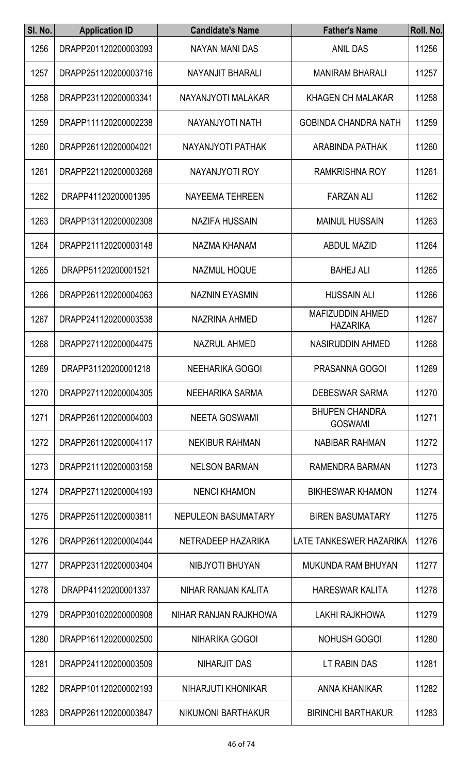| SI. No. | <b>Application ID</b> | <b>Candidate's Name</b> | <b>Father's Name</b>                       | Roll. No. |
|---------|-----------------------|-------------------------|--------------------------------------------|-----------|
| 1256    | DRAPP201120200003093  | NAYAN MANI DAS          | <b>ANIL DAS</b>                            | 11256     |
| 1257    | DRAPP251120200003716  | NAYANJIT BHARALI        | <b>MANIRAM BHARALI</b>                     | 11257     |
| 1258    | DRAPP231120200003341  | NAYANJYOTI MALAKAR      | <b>KHAGEN CH MALAKAR</b>                   | 11258     |
| 1259    | DRAPP111120200002238  | NAYANJYOTI NATH         | <b>GOBINDA CHANDRA NATH</b>                | 11259     |
| 1260    | DRAPP261120200004021  | NAYANJYOTI PATHAK       | <b>ARABINDA PATHAK</b>                     | 11260     |
| 1261    | DRAPP221120200003268  | NAYANJYOTI ROY          | <b>RAMKRISHNA ROY</b>                      | 11261     |
| 1262    | DRAPP41120200001395   | <b>NAYEEMA TEHREEN</b>  | <b>FARZAN ALI</b>                          | 11262     |
| 1263    | DRAPP131120200002308  | <b>NAZIFA HUSSAIN</b>   | <b>MAINUL HUSSAIN</b>                      | 11263     |
| 1264    | DRAPP211120200003148  | NAZMA KHANAM            | <b>ABDUL MAZID</b>                         | 11264     |
| 1265    | DRAPP51120200001521   | <b>NAZMUL HOQUE</b>     | <b>BAHEJ ALI</b>                           | 11265     |
| 1266    | DRAPP261120200004063  | <b>NAZNIN EYASMIN</b>   | <b>HUSSAIN ALI</b>                         | 11266     |
| 1267    | DRAPP241120200003538  | <b>NAZRINA AHMED</b>    | <b>MAFIZUDDIN AHMED</b><br><b>HAZARIKA</b> | 11267     |
| 1268    | DRAPP271120200004475  | <b>NAZRUL AHMED</b>     | <b>NASIRUDDIN AHMED</b>                    | 11268     |
| 1269    | DRAPP31120200001218   | NEEHARIKA GOGOI         | PRASANNA GOGOI                             | 11269     |
| 1270    | DRAPP271120200004305  | NEEHARIKA SARMA         | <b>DEBESWAR SARMA</b>                      | 11270     |
| 1271    | DRAPP261120200004003  | <b>NEETA GOSWAMI</b>    | <b>BHUPEN CHANDRA</b><br><b>GOSWAMI</b>    | 11271     |
| 1272    | DRAPP261120200004117  | <b>NEKIBUR RAHMAN</b>   | <b>NABIBAR RAHMAN</b>                      | 11272     |
| 1273    | DRAPP211120200003158  | <b>NELSON BARMAN</b>    | RAMENDRA BARMAN                            | 11273     |
| 1274    | DRAPP271120200004193  | <b>NENCI KHAMON</b>     | <b>BIKHESWAR KHAMON</b>                    | 11274     |
| 1275    | DRAPP251120200003811  | NEPULEON BASUMATARY     | <b>BIREN BASUMATARY</b>                    | 11275     |
| 1276    | DRAPP261120200004044  | NETRADEEP HAZARIKA      | LATE TANKESWER HAZARIKA                    | 11276     |
| 1277    | DRAPP231120200003404  | NIBJYOTI BHUYAN         | <b>MUKUNDA RAM BHUYAN</b>                  | 11277     |
| 1278    | DRAPP41120200001337   | NIHAR RANJAN KALITA     | <b>HARESWAR KALITA</b>                     | 11278     |
| 1279    | DRAPP301020200000908  | NIHAR RANJAN RAJKHOWA   | LAKHI RAJKHOWA                             | 11279     |
| 1280    | DRAPP161120200002500  | <b>NIHARIKA GOGOI</b>   | <b>NOHUSH GOGOI</b>                        | 11280     |
| 1281    | DRAPP241120200003509  | <b>NIHARJIT DAS</b>     | LT RABIN DAS                               | 11281     |
| 1282    | DRAPP101120200002193  | NIHARJUTI KHONIKAR      | <b>ANNA KHANIKAR</b>                       | 11282     |
| 1283    | DRAPP261120200003847  | NIKUMONI BARTHAKUR      | <b>BIRINCHI BARTHAKUR</b>                  | 11283     |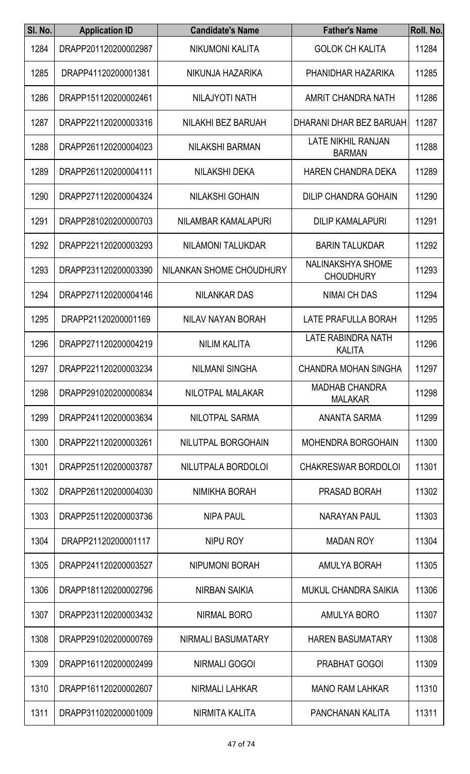| SI. No. | <b>Application ID</b> | <b>Candidate's Name</b>  | <b>Father's Name</b>                         | Roll. No. |
|---------|-----------------------|--------------------------|----------------------------------------------|-----------|
| 1284    | DRAPP201120200002987  | NIKUMONI KALITA          | <b>GOLOK CH KALITA</b>                       | 11284     |
| 1285    | DRAPP41120200001381   | NIKUNJA HAZARIKA         | PHANIDHAR HAZARIKA                           | 11285     |
| 1286    | DRAPP151120200002461  | <b>NILAJYOTI NATH</b>    | AMRIT CHANDRA NATH                           | 11286     |
| 1287    | DRAPP221120200003316  | NILAKHI BEZ BARUAH       | DHARANI DHAR BEZ BARUAH                      | 11287     |
| 1288    | DRAPP261120200004023  | <b>NILAKSHI BARMAN</b>   | <b>LATE NIKHIL RANJAN</b><br><b>BARMAN</b>   | 11288     |
| 1289    | DRAPP261120200004111  | <b>NILAKSHI DEKA</b>     | <b>HAREN CHANDRA DEKA</b>                    | 11289     |
| 1290    | DRAPP271120200004324  | <b>NILAKSHI GOHAIN</b>   | <b>DILIP CHANDRA GOHAIN</b>                  | 11290     |
| 1291    | DRAPP281020200000703  | NILAMBAR KAMALAPURI      | <b>DILIP KAMALAPURI</b>                      | 11291     |
| 1292    | DRAPP221120200003293  | <b>NILAMONI TALUKDAR</b> | <b>BARIN TALUKDAR</b>                        | 11292     |
| 1293    | DRAPP231120200003390  | NILANKAN SHOME CHOUDHURY | <b>NALINAKSHYA SHOME</b><br><b>CHOUDHURY</b> | 11293     |
| 1294    | DRAPP271120200004146  | <b>NILANKAR DAS</b>      | <b>NIMAI CH DAS</b>                          | 11294     |
| 1295    | DRAPP21120200001169   | NILAV NAYAN BORAH        | LATE PRAFULLA BORAH                          | 11295     |
| 1296    | DRAPP271120200004219  | <b>NILIM KALITA</b>      | LATE RABINDRA NATH<br><b>KALITA</b>          | 11296     |
| 1297    | DRAPP221120200003234  | <b>NILMANI SINGHA</b>    | <b>CHANDRA MOHAN SINGHA</b>                  | 11297     |
| 1298    | DRAPP291020200000834  | NILOTPAL MALAKAR         | <b>MADHAB CHANDRA</b><br><b>MALAKAR</b>      | 11298     |
| 1299    | DRAPP241120200003634  | NILOTPAL SARMA           | ANANTA SARMA                                 | 11299     |
| 1300    | DRAPP221120200003261  | NILUTPAL BORGOHAIN       | <b>MOHENDRA BORGOHAIN</b>                    | 11300     |
| 1301    | DRAPP251120200003787  | NILUTPALA BORDOLOI       | <b>CHAKRESWAR BORDOLOI</b>                   | 11301     |
| 1302    | DRAPP261120200004030  | NIMIKHA BORAH            | PRASAD BORAH                                 | 11302     |
| 1303    | DRAPP251120200003736  | <b>NIPA PAUL</b>         | NARAYAN PAUL                                 | 11303     |
| 1304    | DRAPP21120200001117   | <b>NIPU ROY</b>          | <b>MADAN ROY</b>                             | 11304     |
| 1305    | DRAPP241120200003527  | <b>NIPUMONI BORAH</b>    | AMULYA BORAH                                 | 11305     |
| 1306    | DRAPP181120200002796  | NIRBAN SAIKIA            | MUKUL CHANDRA SAIKIA                         | 11306     |
| 1307    | DRAPP231120200003432  | <b>NIRMAL BORO</b>       | <b>AMULYA BORO</b>                           | 11307     |
| 1308    | DRAPP291020200000769  | NIRMALI BASUMATARY       | <b>HAREN BASUMATARY</b>                      | 11308     |
| 1309    | DRAPP161120200002499  | <b>NIRMALI GOGOI</b>     | PRABHAT GOGOI                                | 11309     |
| 1310    | DRAPP161120200002607  | <b>NIRMALI LAHKAR</b>    | <b>MANO RAM LAHKAR</b>                       | 11310     |
| 1311    | DRAPP311020200001009  | NIRMITA KALITA           | PANCHANAN KALITA                             | 11311     |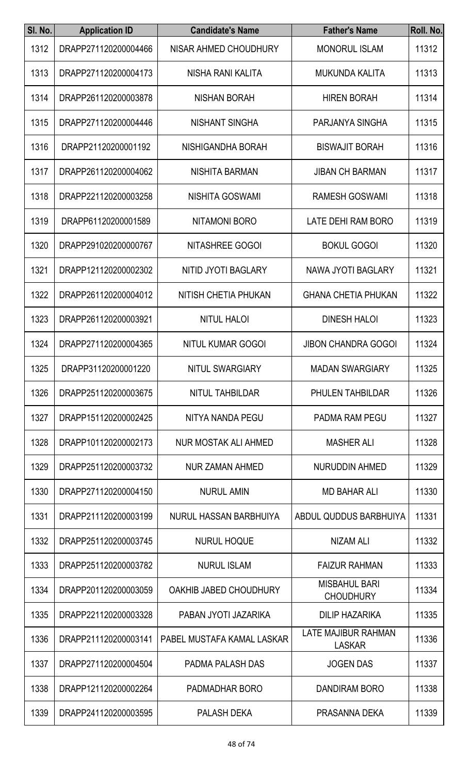| SI. No. | <b>Application ID</b> | <b>Candidate's Name</b>    | <b>Father's Name</b>                     | Roll. No. |
|---------|-----------------------|----------------------------|------------------------------------------|-----------|
| 1312    | DRAPP271120200004466  | NISAR AHMED CHOUDHURY      | <b>MONORUL ISLAM</b>                     | 11312     |
| 1313    | DRAPP271120200004173  | NISHA RANI KALITA          | <b>MUKUNDA KALITA</b>                    | 11313     |
| 1314    | DRAPP261120200003878  | <b>NISHAN BORAH</b>        | <b>HIREN BORAH</b>                       | 11314     |
| 1315    | DRAPP271120200004446  | NISHANT SINGHA             | PARJANYA SINGHA                          | 11315     |
| 1316    | DRAPP21120200001192   | NISHIGANDHA BORAH          | <b>BISWAJIT BORAH</b>                    | 11316     |
| 1317    | DRAPP261120200004062  | <b>NISHITA BARMAN</b>      | <b>JIBAN CH BARMAN</b>                   | 11317     |
| 1318    | DRAPP221120200003258  | <b>NISHITA GOSWAMI</b>     | <b>RAMESH GOSWAMI</b>                    | 11318     |
| 1319    | DRAPP61120200001589   | <b>NITAMONI BORO</b>       | LATE DEHI RAM BORO                       | 11319     |
| 1320    | DRAPP291020200000767  | <b>NITASHREE GOGOI</b>     | <b>BOKUL GOGOI</b>                       | 11320     |
| 1321    | DRAPP121120200002302  | <b>NITID JYOTI BAGLARY</b> | <b>NAWA JYOTI BAGLARY</b>                | 11321     |
| 1322    | DRAPP261120200004012  | NITISH CHETIA PHUKAN       | <b>GHANA CHETIA PHUKAN</b>               | 11322     |
| 1323    | DRAPP261120200003921  | <b>NITUL HALOI</b>         | <b>DINESH HALOI</b>                      | 11323     |
| 1324    | DRAPP271120200004365  | <b>NITUL KUMAR GOGOI</b>   | <b>JIBON CHANDRA GOGOI</b>               | 11324     |
| 1325    | DRAPP31120200001220   | NITUL SWARGIARY            | <b>MADAN SWARGIARY</b>                   | 11325     |
| 1326    | DRAPP251120200003675  | NITUL TAHBILDAR            | PHULEN TAHBILDAR                         | 11326     |
| 1327    | DRAPP151120200002425  | NITYA NANDA PEGU           | PADMA RAM PEGU                           | 11327     |
| 1328    | DRAPP101120200002173  | NUR MOSTAK ALI AHMED       | <b>MASHER ALI</b>                        | 11328     |
| 1329    | DRAPP251120200003732  | <b>NUR ZAMAN AHMED</b>     | <b>NURUDDIN AHMED</b>                    | 11329     |
| 1330    | DRAPP271120200004150  | <b>NURUL AMIN</b>          | <b>MD BAHAR ALI</b>                      | 11330     |
| 1331    | DRAPP211120200003199  | NURUL HASSAN BARBHUIYA     | ABDUL QUDDUS BARBHUIYA                   | 11331     |
| 1332    | DRAPP251120200003745  | <b>NURUL HOQUE</b>         | <b>NIZAM ALI</b>                         | 11332     |
| 1333    | DRAPP251120200003782  | <b>NURUL ISLAM</b>         | <b>FAIZUR RAHMAN</b>                     | 11333     |
| 1334    | DRAPP201120200003059  | OAKHIB JABED CHOUDHURY     | <b>MISBAHUL BARI</b><br><b>CHOUDHURY</b> | 11334     |
| 1335    | DRAPP221120200003328  | PABAN JYOTI JAZARIKA       | <b>DILIP HAZARIKA</b>                    | 11335     |
| 1336    | DRAPP211120200003141  | PABEL MUSTAFA KAMAL LASKAR | LATE MAJIBUR RAHMAN<br><b>LASKAR</b>     | 11336     |
| 1337    | DRAPP271120200004504  | PADMA PALASH DAS           | <b>JOGEN DAS</b>                         | 11337     |
| 1338    | DRAPP121120200002264  | PADMADHAR BORO             | DANDIRAM BORO                            | 11338     |
| 1339    | DRAPP241120200003595  | PALASH DEKA                | PRASANNA DEKA                            | 11339     |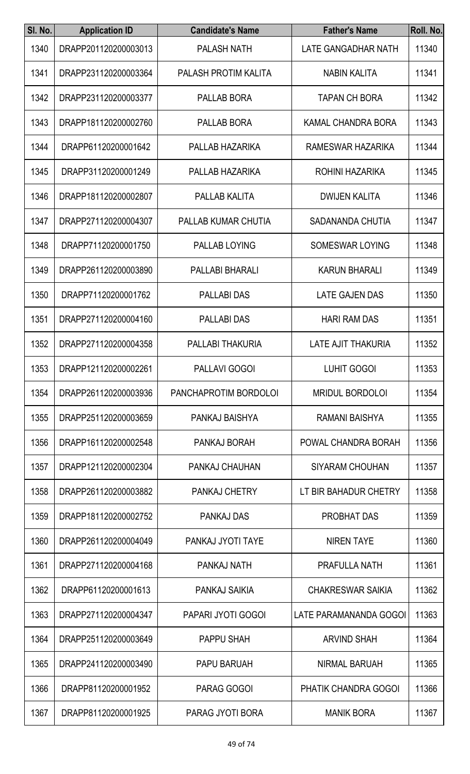| SI. No. | <b>Application ID</b> | <b>Candidate's Name</b>     | <b>Father's Name</b>      | Roll. No. |
|---------|-----------------------|-----------------------------|---------------------------|-----------|
| 1340    | DRAPP201120200003013  | <b>PALASH NATH</b>          | LATE GANGADHAR NATH       | 11340     |
| 1341    | DRAPP231120200003364  | <b>PALASH PROTIM KALITA</b> | <b>NABIN KALITA</b>       | 11341     |
| 1342    | DRAPP231120200003377  | PALLAB BORA                 | <b>TAPAN CH BORA</b>      | 11342     |
| 1343    | DRAPP181120200002760  | PALLAB BORA                 | <b>KAMAL CHANDRA BORA</b> | 11343     |
| 1344    | DRAPP61120200001642   | PALLAB HAZARIKA             | RAMESWAR HAZARIKA         | 11344     |
| 1345    | DRAPP31120200001249   | PALLAB HAZARIKA             | ROHINI HAZARIKA           | 11345     |
| 1346    | DRAPP181120200002807  | PALLAB KALITA               | <b>DWIJEN KALITA</b>      | 11346     |
| 1347    | DRAPP271120200004307  | PALLAB KUMAR CHUTIA         | SADANANDA CHUTIA          | 11347     |
| 1348    | DRAPP71120200001750   | PALLAB LOYING               | <b>SOMESWAR LOYING</b>    | 11348     |
| 1349    | DRAPP261120200003890  | PALLABI BHARALI             | <b>KARUN BHARALI</b>      | 11349     |
| 1350    | DRAPP71120200001762   | <b>PALLABI DAS</b>          | LATE GAJEN DAS            | 11350     |
| 1351    | DRAPP271120200004160  | <b>PALLABI DAS</b>          | <b>HARI RAM DAS</b>       | 11351     |
| 1352    | DRAPP271120200004358  | PALLABI THAKURIA            | <b>LATE AJIT THAKURIA</b> | 11352     |
| 1353    | DRAPP121120200002261  | PALLAVI GOGOI               | <b>LUHIT GOGOI</b>        | 11353     |
| 1354    | DRAPP261120200003936  | PANCHAPROTIM BORDOLOI       | <b>MRIDUL BORDOLOI</b>    | 11354     |
| 1355    | DRAPP251120200003659  | PANKAJ BAISHYA              | RAMANI BAISHYA            | 11355     |
| 1356    | DRAPP161120200002548  | PANKAJ BORAH                | POWAL CHANDRA BORAH       | 11356     |
| 1357    | DRAPP121120200002304  | PANKAJ CHAUHAN              | <b>SIYARAM CHOUHAN</b>    | 11357     |
| 1358    | DRAPP261120200003882  | PANKAJ CHETRY               | LT BIR BAHADUR CHETRY     | 11358     |
| 1359    | DRAPP181120200002752  | <b>PANKAJ DAS</b>           | <b>PROBHAT DAS</b>        | 11359     |
| 1360    | DRAPP261120200004049  | PANKAJ JYOTI TAYE           | <b>NIREN TAYE</b>         | 11360     |
| 1361    | DRAPP271120200004168  | PANKAJ NATH                 | <b>PRAFULLA NATH</b>      | 11361     |
| 1362    | DRAPP61120200001613   | PANKAJ SAIKIA               | <b>CHAKRESWAR SAIKIA</b>  | 11362     |
| 1363    | DRAPP271120200004347  | PAPARI JYOTI GOGOI          | LATE PARAMANANDA GOGOI    | 11363     |
| 1364    | DRAPP251120200003649  | <b>PAPPU SHAH</b>           | <b>ARVIND SHAH</b>        | 11364     |
| 1365    | DRAPP241120200003490  | PAPU BARUAH                 | <b>NIRMAL BARUAH</b>      | 11365     |
| 1366    | DRAPP81120200001952   | PARAG GOGOI                 | PHATIK CHANDRA GOGOI      | 11366     |
| 1367    | DRAPP81120200001925   | PARAG JYOTI BORA            | <b>MANIK BORA</b>         | 11367     |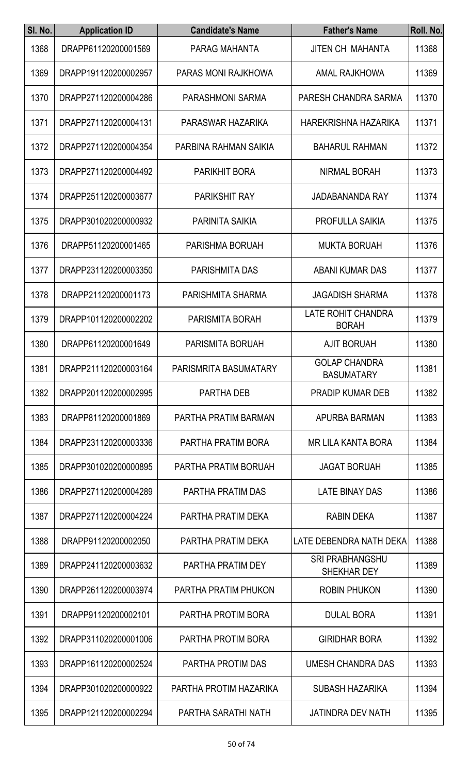| SI. No. | <b>Application ID</b> | <b>Candidate's Name</b> | <b>Father's Name</b>                         | Roll. No. |
|---------|-----------------------|-------------------------|----------------------------------------------|-----------|
| 1368    | DRAPP61120200001569   | PARAG MAHANTA           | <b>JITEN CH MAHANTA</b>                      | 11368     |
| 1369    | DRAPP191120200002957  | PARAS MONI RAJKHOWA     | <b>AMAL RAJKHOWA</b>                         | 11369     |
| 1370    | DRAPP271120200004286  | <b>PARASHMONI SARMA</b> | PARESH CHANDRA SARMA                         | 11370     |
| 1371    | DRAPP271120200004131  | PARASWAR HAZARIKA       | HAREKRISHNA HAZARIKA                         | 11371     |
| 1372    | DRAPP271120200004354  | PARBINA RAHMAN SAIKIA   | <b>BAHARUL RAHMAN</b>                        | 11372     |
| 1373    | DRAPP271120200004492  | <b>PARIKHIT BORA</b>    | <b>NIRMAL BORAH</b>                          | 11373     |
| 1374    | DRAPP251120200003677  | <b>PARIKSHIT RAY</b>    | <b>JADABANANDA RAY</b>                       | 11374     |
| 1375    | DRAPP301020200000932  | <b>PARINITA SAIKIA</b>  | PROFULLA SAIKIA                              | 11375     |
| 1376    | DRAPP51120200001465   | PARISHMA BORUAH         | <b>MUKTA BORUAH</b>                          | 11376     |
| 1377    | DRAPP231120200003350  | <b>PARISHMITA DAS</b>   | <b>ABANI KUMAR DAS</b>                       | 11377     |
| 1378    | DRAPP21120200001173   | PARISHMITA SHARMA       | <b>JAGADISH SHARMA</b>                       | 11378     |
| 1379    | DRAPP101120200002202  | PARISMITA BORAH         | <b>LATE ROHIT CHANDRA</b><br><b>BORAH</b>    | 11379     |
| 1380    | DRAPP61120200001649   | PARISMITA BORUAH        | <b>AJIT BORUAH</b>                           | 11380     |
| 1381    | DRAPP211120200003164  | PARISMRITA BASUMATARY   | <b>GOLAP CHANDRA</b><br><b>BASUMATARY</b>    | 11381     |
| 1382    | DRAPP201120200002995  | PARTHA DEB              | <b>PRADIP KUMAR DEB</b>                      | 11382     |
| 1383    | DRAPP81120200001869   | PARTHA PRATIM BARMAN    | APURBA BARMAN                                | 11383     |
| 1384    | DRAPP231120200003336  | PARTHA PRATIM BORA      | <b>MR LILA KANTA BORA</b>                    | 11384     |
| 1385    | DRAPP301020200000895  | PARTHA PRATIM BORUAH    | <b>JAGAT BORUAH</b>                          | 11385     |
| 1386    | DRAPP271120200004289  | PARTHA PRATIM DAS       | <b>LATE BINAY DAS</b>                        | 11386     |
| 1387    | DRAPP271120200004224  | PARTHA PRATIM DEKA      | <b>RABIN DEKA</b>                            | 11387     |
| 1388    | DRAPP91120200002050   | PARTHA PRATIM DEKA      | LATE DEBENDRA NATH DEKA                      | 11388     |
| 1389    | DRAPP241120200003632  | PARTHA PRATIM DEY       | <b>SRI PRABHANGSHU</b><br><b>SHEKHAR DEY</b> | 11389     |
| 1390    | DRAPP261120200003974  | PARTHA PRATIM PHUKON    | <b>ROBIN PHUKON</b>                          | 11390     |
| 1391    | DRAPP91120200002101   | PARTHA PROTIM BORA      | <b>DULAL BORA</b>                            | 11391     |
| 1392    | DRAPP311020200001006  | PARTHA PROTIM BORA      | <b>GIRIDHAR BORA</b>                         | 11392     |
| 1393    | DRAPP161120200002524  | PARTHA PROTIM DAS       | <b>UMESH CHANDRA DAS</b>                     | 11393     |
| 1394    | DRAPP301020200000922  | PARTHA PROTIM HAZARIKA  | <b>SUBASH HAZARIKA</b>                       | 11394     |
| 1395    | DRAPP121120200002294  | PARTHA SARATHI NATH     | JATINDRA DEV NATH                            | 11395     |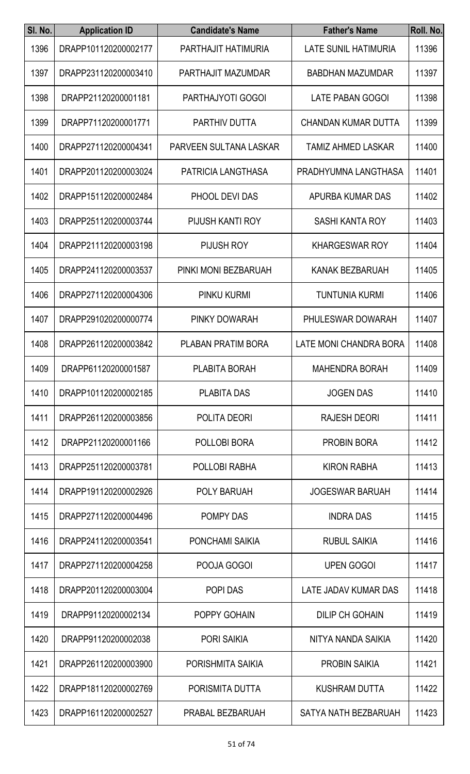| SI. No. | <b>Application ID</b> | <b>Candidate's Name</b> | <b>Father's Name</b>       | Roll. No. |
|---------|-----------------------|-------------------------|----------------------------|-----------|
| 1396    | DRAPP101120200002177  | PARTHAJIT HATIMURIA     | LATE SUNIL HATIMURIA       | 11396     |
| 1397    | DRAPP231120200003410  | PARTHAJIT MAZUMDAR      | <b>BABDHAN MAZUMDAR</b>    | 11397     |
| 1398    | DRAPP21120200001181   | PARTHAJYOTI GOGOI       | <b>LATE PABAN GOGOI</b>    | 11398     |
| 1399    | DRAPP71120200001771   | PARTHIV DUTTA           | <b>CHANDAN KUMAR DUTTA</b> | 11399     |
| 1400    | DRAPP271120200004341  | PARVEEN SULTANA LASKAR  | <b>TAMIZ AHMED LASKAR</b>  | 11400     |
| 1401    | DRAPP201120200003024  | PATRICIA LANGTHASA      | PRADHYUMNA LANGTHASA       | 11401     |
| 1402    | DRAPP151120200002484  | PHOOL DEVI DAS          | APURBA KUMAR DAS           | 11402     |
| 1403    | DRAPP251120200003744  | PIJUSH KANTI ROY        | <b>SASHI KANTA ROY</b>     | 11403     |
| 1404    | DRAPP211120200003198  | PIJUSH ROY              | <b>KHARGESWAR ROY</b>      | 11404     |
| 1405    | DRAPP241120200003537  | PINKI MONI BEZBARUAH    | KANAK BEZBARUAH            | 11405     |
| 1406    | DRAPP271120200004306  | PINKU KURMI             | <b>TUNTUNIA KURMI</b>      | 11406     |
| 1407    | DRAPP291020200000774  | PINKY DOWARAH           | PHULESWAR DOWARAH          | 11407     |
| 1408    | DRAPP261120200003842  | PLABAN PRATIM BORA      | LATE MONI CHANDRA BORA     | 11408     |
| 1409    | DRAPP61120200001587   | PLABITA BORAH           | <b>MAHENDRA BORAH</b>      | 11409     |
| 1410    | DRAPP101120200002185  | <b>PLABITA DAS</b>      | <b>JOGEN DAS</b>           | 11410     |
| 1411    | DRAPP261120200003856  | POLITA DEORI            | <b>RAJESH DEORI</b>        | 11411     |
| 1412    | DRAPP21120200001166   | POLLOBI BORA            | <b>PROBIN BORA</b>         | 11412     |
| 1413    | DRAPP251120200003781  | POLLOBI RABHA           | <b>KIRON RABHA</b>         | 11413     |
| 1414    | DRAPP191120200002926  | POLY BARUAH             | <b>JOGESWAR BARUAH</b>     | 11414     |
| 1415    | DRAPP271120200004496  | POMPY DAS               | <b>INDRA DAS</b>           | 11415     |
| 1416    | DRAPP241120200003541  | PONCHAMI SAIKIA         | <b>RUBUL SAIKIA</b>        | 11416     |
| 1417    | DRAPP271120200004258  | POOJA GOGOI             | <b>UPEN GOGOI</b>          | 11417     |
| 1418    | DRAPP201120200003004  | POPI DAS                | LATE JADAV KUMAR DAS       | 11418     |
| 1419    | DRAPP91120200002134   | POPPY GOHAIN            | <b>DILIP CH GOHAIN</b>     | 11419     |
| 1420    | DRAPP91120200002038   | <b>PORI SAIKIA</b>      | NITYA NANDA SAIKIA         | 11420     |
| 1421    | DRAPP261120200003900  | PORISHMITA SAIKIA       | <b>PROBIN SAIKIA</b>       | 11421     |
| 1422    | DRAPP181120200002769  | PORISMITA DUTTA         | <b>KUSHRAM DUTTA</b>       | 11422     |
| 1423    | DRAPP161120200002527  | PRABAL BEZBARUAH        | SATYA NATH BEZBARUAH       | 11423     |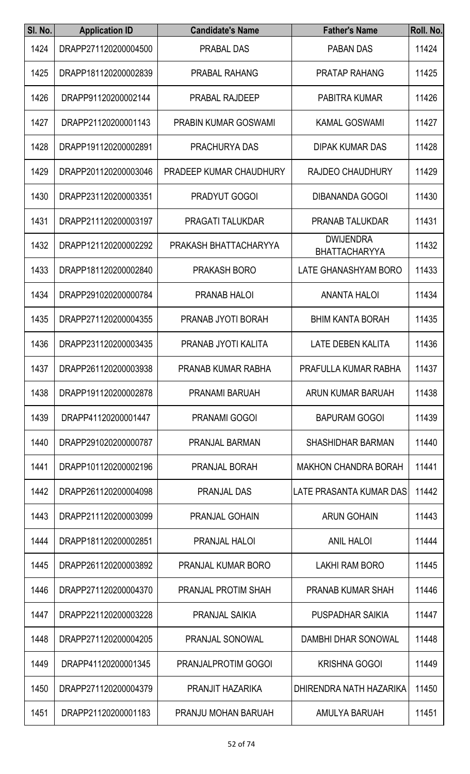| SI. No. | <b>Application ID</b> | <b>Candidate's Name</b>     | <b>Father's Name</b>                     | Roll. No. |
|---------|-----------------------|-----------------------------|------------------------------------------|-----------|
| 1424    | DRAPP271120200004500  | PRABAL DAS                  | <b>PABAN DAS</b>                         | 11424     |
| 1425    | DRAPP181120200002839  | <b>PRABAL RAHANG</b>        | <b>PRATAP RAHANG</b>                     | 11425     |
| 1426    | DRAPP91120200002144   | <b>PRABAL RAJDEEP</b>       | <b>PABITRA KUMAR</b>                     | 11426     |
| 1427    | DRAPP21120200001143   | <b>PRABIN KUMAR GOSWAMI</b> | <b>KAMAL GOSWAMI</b>                     | 11427     |
| 1428    | DRAPP191120200002891  | <b>PRACHURYA DAS</b>        | <b>DIPAK KUMAR DAS</b>                   | 11428     |
| 1429    | DRAPP201120200003046  | PRADEEP KUMAR CHAUDHURY     | <b>RAJDEO CHAUDHURY</b>                  | 11429     |
| 1430    | DRAPP231120200003351  | <b>PRADYUT GOGOI</b>        | <b>DIBANANDA GOGOI</b>                   | 11430     |
| 1431    | DRAPP211120200003197  | <b>PRAGATI TALUKDAR</b>     | <b>PRANAB TALUKDAR</b>                   | 11431     |
| 1432    | DRAPP121120200002292  | PRAKASH BHATTACHARYYA       | <b>DWIJENDRA</b><br><b>BHATTACHARYYA</b> | 11432     |
| 1433    | DRAPP181120200002840  | PRAKASH BORO                | LATE GHANASHYAM BORO                     | 11433     |
| 1434    | DRAPP291020200000784  | <b>PRANAB HALOI</b>         | <b>ANANTA HALOI</b>                      | 11434     |
| 1435    | DRAPP271120200004355  | PRANAB JYOTI BORAH          | <b>BHIM KANTA BORAH</b>                  | 11435     |
| 1436    | DRAPP231120200003435  | PRANAB JYOTI KALITA         | <b>LATE DEBEN KALITA</b>                 | 11436     |
| 1437    | DRAPP261120200003938  | PRANAB KUMAR RABHA          | PRAFULLA KUMAR RABHA                     | 11437     |
| 1438    | DRAPP191120200002878  | PRANAMI BARUAH              | ARUN KUMAR BARUAH                        | 11438     |
| 1439    | DRAPP41120200001447   | <b>PRANAMI GOGOI</b>        | <b>BAPURAM GOGOI</b>                     | 11439     |
| 1440    | DRAPP291020200000787  | PRANJAL BARMAN              | <b>SHASHIDHAR BARMAN</b>                 | 11440     |
| 1441    | DRAPP101120200002196  | PRANJAL BORAH               | <b>MAKHON CHANDRA BORAH</b>              | 11441     |
| 1442    | DRAPP261120200004098  | <b>PRANJAL DAS</b>          | LATE PRASANTA KUMAR DAS                  | 11442     |
| 1443    | DRAPP211120200003099  | <b>PRANJAL GOHAIN</b>       | <b>ARUN GOHAIN</b>                       | 11443     |
| 1444    | DRAPP181120200002851  | PRANJAL HALOI               | <b>ANIL HALOI</b>                        | 11444     |
| 1445    | DRAPP261120200003892  | <b>PRANJAL KUMAR BORO</b>   | LAKHI RAM BORO                           | 11445     |
| 1446    | DRAPP271120200004370  | PRANJAL PROTIM SHAH         | PRANAB KUMAR SHAH                        | 11446     |
| 1447    | DRAPP221120200003228  | PRANJAL SAIKIA              | PUSPADHAR SAIKIA                         | 11447     |
| 1448    | DRAPP271120200004205  | PRANJAL SONOWAL             | <b>DAMBHI DHAR SONOWAL</b>               | 11448     |
| 1449    | DRAPP41120200001345   | PRANJALPROTIM GOGOI         | <b>KRISHNA GOGOI</b>                     | 11449     |
| 1450    | DRAPP271120200004379  | PRANJIT HAZARIKA            | DHIRENDRA NATH HAZARIKA                  | 11450     |
| 1451    | DRAPP21120200001183   | PRANJU MOHAN BARUAH         | AMULYA BARUAH                            | 11451     |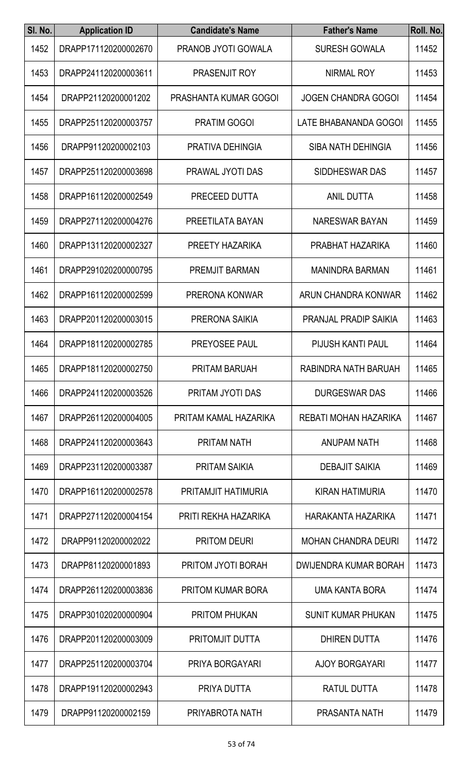| SI. No. | <b>Application ID</b> | <b>Candidate's Name</b>      | <b>Father's Name</b>         | Roll. No. |
|---------|-----------------------|------------------------------|------------------------------|-----------|
| 1452    | DRAPP171120200002670  | PRANOB JYOTI GOWALA          | <b>SURESH GOWALA</b>         | 11452     |
| 1453    | DRAPP241120200003611  | PRASENJIT ROY                | <b>NIRMAL ROY</b>            | 11453     |
| 1454    | DRAPP21120200001202   | <b>PRASHANTA KUMAR GOGOI</b> | <b>JOGEN CHANDRA GOGOI</b>   | 11454     |
| 1455    | DRAPP251120200003757  | <b>PRATIM GOGOI</b>          | LATE BHABANANDA GOGOI        | 11455     |
| 1456    | DRAPP91120200002103   | PRATIVA DEHINGIA             | <b>SIBA NATH DEHINGIA</b>    | 11456     |
| 1457    | DRAPP251120200003698  | <b>PRAWAL JYOTI DAS</b>      | SIDDHESWAR DAS               | 11457     |
| 1458    | DRAPP161120200002549  | PRECEED DUTTA                | <b>ANIL DUTTA</b>            | 11458     |
| 1459    | DRAPP271120200004276  | PREETILATA BAYAN             | NARESWAR BAYAN               | 11459     |
| 1460    | DRAPP131120200002327  | PREETY HAZARIKA              | PRABHAT HAZARIKA             | 11460     |
| 1461    | DRAPP291020200000795  | PREMJIT BARMAN               | <b>MANINDRA BARMAN</b>       | 11461     |
| 1462    | DRAPP161120200002599  | PRERONA KONWAR               | ARUN CHANDRA KONWAR          | 11462     |
| 1463    | DRAPP201120200003015  | PRERONA SAIKIA               | <b>PRANJAL PRADIP SAIKIA</b> | 11463     |
| 1464    | DRAPP181120200002785  | PREYOSEE PAUL                | PIJUSH KANTI PAUL            | 11464     |
| 1465    | DRAPP181120200002750  | PRITAM BARUAH                | RABINDRA NATH BARUAH         | 11465     |
| 1466    | DRAPP241120200003526  | PRITAM JYOTI DAS             | <b>DURGESWAR DAS</b>         | 11466     |
| 1467    | DRAPP261120200004005  | PRITAM KAMAL HAZARIKA        | REBATI MOHAN HAZARIKA        | 11467     |
| 1468    | DRAPP241120200003643  | <b>PRITAM NATH</b>           | <b>ANUPAM NATH</b>           | 11468     |
| 1469    | DRAPP231120200003387  | <b>PRITAM SAIKIA</b>         | <b>DEBAJIT SAIKIA</b>        | 11469     |
| 1470    | DRAPP161120200002578  | PRITAMJIT HATIMURIA          | KIRAN HATIMURIA              | 11470     |
| 1471    | DRAPP271120200004154  | PRITI REKHA HAZARIKA         | HARAKANTA HAZARIKA           | 11471     |
| 1472    | DRAPP91120200002022   | <b>PRITOM DEURI</b>          | <b>MOHAN CHANDRA DEURI</b>   | 11472     |
| 1473    | DRAPP81120200001893   | PRITOM JYOTI BORAH           | DWIJENDRA KUMAR BORAH        | 11473     |
| 1474    | DRAPP261120200003836  | <b>PRITOM KUMAR BORA</b>     | UMA KANTA BORA               | 11474     |
| 1475    | DRAPP301020200000904  | <b>PRITOM PHUKAN</b>         | <b>SUNIT KUMAR PHUKAN</b>    | 11475     |
| 1476    | DRAPP201120200003009  | <b>PRITOMJIT DUTTA</b>       | <b>DHIREN DUTTA</b>          | 11476     |
| 1477    | DRAPP251120200003704  | PRIYA BORGAYARI              | <b>AJOY BORGAYARI</b>        | 11477     |
| 1478    | DRAPP191120200002943  | PRIYA DUTTA                  | <b>RATUL DUTTA</b>           | 11478     |
| 1479    | DRAPP91120200002159   | PRIYABROTA NATH              | PRASANTA NATH                | 11479     |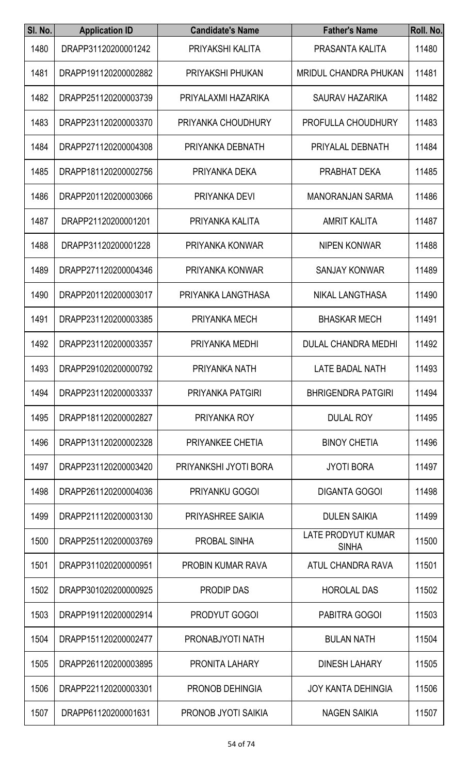| SI. No. | <b>Application ID</b> | <b>Candidate's Name</b>  | <b>Father's Name</b>                      | Roll. No. |
|---------|-----------------------|--------------------------|-------------------------------------------|-----------|
| 1480    | DRAPP31120200001242   | PRIYAKSHI KALITA         | PRASANTA KALITA                           | 11480     |
| 1481    | DRAPP191120200002882  | PRIYAKSHI PHUKAN         | <b>MRIDUL CHANDRA PHUKAN</b>              | 11481     |
| 1482    | DRAPP251120200003739  | PRIYALAXMI HAZARIKA      | <b>SAURAV HAZARIKA</b>                    | 11482     |
| 1483    | DRAPP231120200003370  | PRIYANKA CHOUDHURY       | PROFULLA CHOUDHURY                        | 11483     |
| 1484    | DRAPP271120200004308  | PRIYANKA DEBNATH         | PRIYALAL DEBNATH                          | 11484     |
| 1485    | DRAPP181120200002756  | PRIYANKA DEKA            | PRABHAT DEKA                              | 11485     |
| 1486    | DRAPP201120200003066  | PRIYANKA DEVI            | <b>MANORANJAN SARMA</b>                   | 11486     |
| 1487    | DRAPP21120200001201   | PRIYANKA KALITA          | <b>AMRIT KALITA</b>                       | 11487     |
| 1488    | DRAPP31120200001228   | PRIYANKA KONWAR          | <b>NIPEN KONWAR</b>                       | 11488     |
| 1489    | DRAPP271120200004346  | PRIYANKA KONWAR          | <b>SANJAY KONWAR</b>                      | 11489     |
| 1490    | DRAPP201120200003017  | PRIYANKA LANGTHASA       | NIKAL LANGTHASA                           | 11490     |
| 1491    | DRAPP231120200003385  | PRIYANKA MECH            | <b>BHASKAR MECH</b>                       | 11491     |
| 1492    | DRAPP231120200003357  | PRIYANKA MEDHI           | <b>DULAL CHANDRA MEDHI</b>                | 11492     |
| 1493    | DRAPP291020200000792  | PRIYANKA NATH            | LATE BADAL NATH                           | 11493     |
| 1494    | DRAPP231120200003337  | PRIYANKA PATGIRI         | <b>BHRIGENDRA PATGIRI</b>                 | 11494     |
| 1495    | DRAPP181120200002827  | PRIYANKA ROY             | <b>DULAL ROY</b>                          | 11495     |
| 1496    | DRAPP131120200002328  | PRIYANKEE CHETIA         | <b>BINOY CHETIA</b>                       | 11496     |
| 1497    | DRAPP231120200003420  | PRIYANKSHI JYOTI BORA    | <b>JYOTI BORA</b>                         | 11497     |
| 1498    | DRAPP261120200004036  | <b>PRIYANKU GOGOI</b>    | <b>DIGANTA GOGOI</b>                      | 11498     |
| 1499    | DRAPP211120200003130  | <b>PRIYASHREE SAIKIA</b> | <b>DULEN SAIKIA</b>                       | 11499     |
| 1500    | DRAPP251120200003769  | PROBAL SINHA             | <b>LATE PRODYUT KUMAR</b><br><b>SINHA</b> | 11500     |
| 1501    | DRAPP311020200000951  | <b>PROBIN KUMAR RAVA</b> | ATUL CHANDRA RAVA                         | 11501     |
| 1502    | DRAPP301020200000925  | PRODIP DAS               | <b>HOROLAL DAS</b>                        | 11502     |
| 1503    | DRAPP191120200002914  | PRODYUT GOGOI            | PABITRA GOGOI                             | 11503     |
| 1504    | DRAPP151120200002477  | PRONABJYOTI NATH         | <b>BULAN NATH</b>                         | 11504     |
| 1505    | DRAPP261120200003895  | PRONITA LAHARY           | <b>DINESH LAHARY</b>                      | 11505     |
| 1506    | DRAPP221120200003301  | PRONOB DEHINGIA          | <b>JOY KANTA DEHINGIA</b>                 | 11506     |
| 1507    | DRAPP61120200001631   | PRONOB JYOTI SAIKIA      | NAGEN SAIKIA                              | 11507     |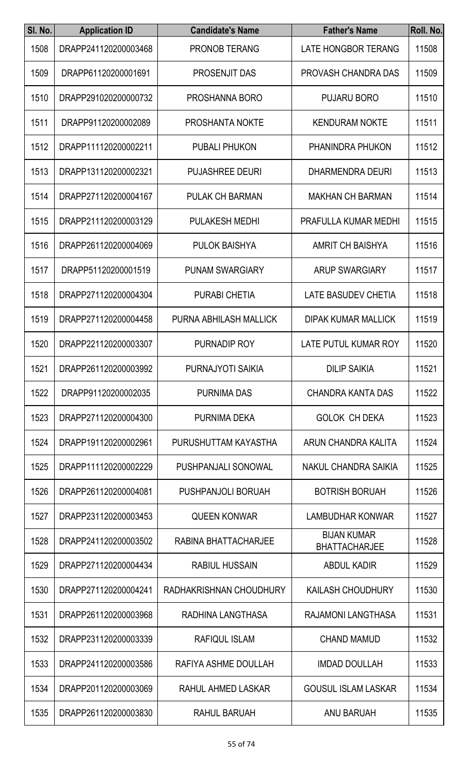| SI. No. | <b>Application ID</b> | <b>Candidate's Name</b> | <b>Father's Name</b>                       | Roll. No. |
|---------|-----------------------|-------------------------|--------------------------------------------|-----------|
| 1508    | DRAPP241120200003468  | <b>PRONOB TERANG</b>    | <b>LATE HONGBOR TERANG</b>                 | 11508     |
| 1509    | DRAPP61120200001691   | PROSENJIT DAS           | PROVASH CHANDRA DAS                        | 11509     |
| 1510    | DRAPP291020200000732  | PROSHANNA BORO          | <b>PUJARU BORO</b>                         | 11510     |
| 1511    | DRAPP91120200002089   | <b>PROSHANTA NOKTE</b>  | <b>KENDURAM NOKTE</b>                      | 11511     |
| 1512    | DRAPP111120200002211  | <b>PUBALI PHUKON</b>    | PHANINDRA PHUKON                           | 11512     |
| 1513    | DRAPP131120200002321  | <b>PUJASHREE DEURI</b>  | <b>DHARMENDRA DEURI</b>                    | 11513     |
| 1514    | DRAPP271120200004167  | PULAK CH BARMAN         | <b>MAKHAN CH BARMAN</b>                    | 11514     |
| 1515    | DRAPP211120200003129  | <b>PULAKESH MEDHI</b>   | PRAFULLA KUMAR MEDHI                       | 11515     |
| 1516    | DRAPP261120200004069  | <b>PULOK BAISHYA</b>    | <b>AMRIT CH BAISHYA</b>                    | 11516     |
| 1517    | DRAPP51120200001519   | <b>PUNAM SWARGIARY</b>  | <b>ARUP SWARGIARY</b>                      | 11517     |
| 1518    | DRAPP271120200004304  | <b>PURABI CHETIA</b>    | <b>LATE BASUDEV CHETIA</b>                 | 11518     |
| 1519    | DRAPP271120200004458  | PURNA ABHILASH MALLICK  | <b>DIPAK KUMAR MALLICK</b>                 | 11519     |
| 1520    | DRAPP221120200003307  | PURNADIP ROY            | LATE PUTUL KUMAR ROY                       | 11520     |
| 1521    | DRAPP261120200003992  | PURNAJYOTI SAIKIA       | <b>DILIP SAIKIA</b>                        | 11521     |
| 1522    | DRAPP91120200002035   | <b>PURNIMA DAS</b>      | <b>CHANDRA KANTA DAS</b>                   | 11522     |
| 1523    | DRAPP271120200004300  | PURNIMA DEKA            | <b>GOLOK CH DEKA</b>                       | 11523     |
| 1524    | DRAPP191120200002961  | PURUSHUTTAM KAYASTHA    | ARUN CHANDRA KALITA                        | 11524     |
| 1525    | DRAPP111120200002229  | PUSHPANJALI SONOWAL     | NAKUL CHANDRA SAIKIA                       | 11525     |
| 1526    | DRAPP261120200004081  | PUSHPANJOLI BORUAH      | <b>BOTRISH BORUAH</b>                      | 11526     |
| 1527    | DRAPP231120200003453  | <b>QUEEN KONWAR</b>     | <b>LAMBUDHAR KONWAR</b>                    | 11527     |
| 1528    | DRAPP241120200003502  | RABINA BHATTACHARJEE    | <b>BIJAN KUMAR</b><br><b>BHATTACHARJEE</b> | 11528     |
| 1529    | DRAPP271120200004434  | <b>RABIUL HUSSAIN</b>   | <b>ABDUL KADIR</b>                         | 11529     |
| 1530    | DRAPP271120200004241  | RADHAKRISHNAN CHOUDHURY | <b>KAILASH CHOUDHURY</b>                   | 11530     |
| 1531    | DRAPP261120200003968  | RADHINA LANGTHASA       | RAJAMONI LANGTHASA                         | 11531     |
| 1532    | DRAPP231120200003339  | <b>RAFIQUL ISLAM</b>    | <b>CHAND MAMUD</b>                         | 11532     |
| 1533    | DRAPP241120200003586  | RAFIYA ASHME DOULLAH    | <b>IMDAD DOULLAH</b>                       | 11533     |
| 1534    | DRAPP201120200003069  | RAHUL AHMED LASKAR      | <b>GOUSUL ISLAM LASKAR</b>                 | 11534     |
| 1535    | DRAPP261120200003830  | RAHUL BARUAH            | ANU BARUAH                                 | 11535     |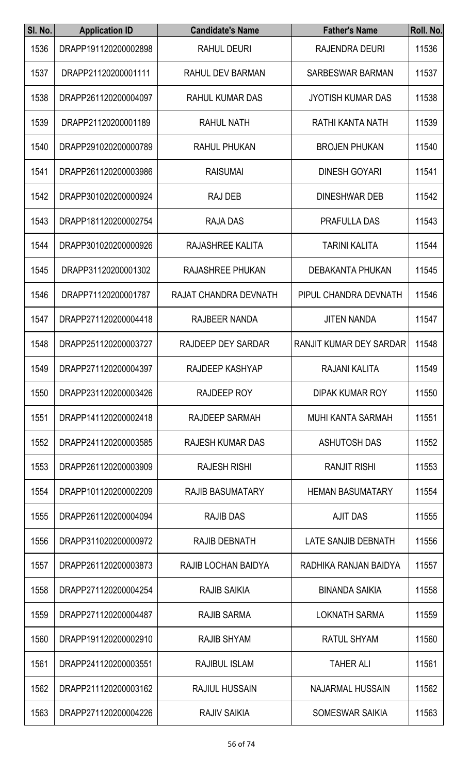| SI. No. | <b>Application ID</b> | <b>Candidate's Name</b> | <b>Father's Name</b>     | Roll. No. |
|---------|-----------------------|-------------------------|--------------------------|-----------|
| 1536    | DRAPP191120200002898  | RAHUL DEURI             | RAJENDRA DEURI           | 11536     |
| 1537    | DRAPP21120200001111   | <b>RAHUL DEV BARMAN</b> | SARBESWAR BARMAN         | 11537     |
| 1538    | DRAPP261120200004097  | <b>RAHUL KUMAR DAS</b>  | <b>JYOTISH KUMAR DAS</b> | 11538     |
| 1539    | DRAPP21120200001189   | <b>RAHUL NATH</b>       | RATHI KANTA NATH         | 11539     |
| 1540    | DRAPP291020200000789  | <b>RAHUL PHUKAN</b>     | <b>BROJEN PHUKAN</b>     | 11540     |
| 1541    | DRAPP261120200003986  | <b>RAISUMAI</b>         | <b>DINESH GOYARI</b>     | 11541     |
| 1542    | DRAPP301020200000924  | <b>RAJ DEB</b>          | <b>DINESHWAR DEB</b>     | 11542     |
| 1543    | DRAPP181120200002754  | <b>RAJA DAS</b>         | <b>PRAFULLA DAS</b>      | 11543     |
| 1544    | DRAPP301020200000926  | RAJASHREE KALITA        | <b>TARINI KALITA</b>     | 11544     |
| 1545    | DRAPP31120200001302   | <b>RAJASHREE PHUKAN</b> | <b>DEBAKANTA PHUKAN</b>  | 11545     |
| 1546    | DRAPP71120200001787   | RAJAT CHANDRA DEVNATH   | PIPUL CHANDRA DEVNATH    | 11546     |
| 1547    | DRAPP271120200004418  | <b>RAJBEER NANDA</b>    | <b>JITEN NANDA</b>       | 11547     |
| 1548    | DRAPP251120200003727  | RAJDEEP DEY SARDAR      | RANJIT KUMAR DEY SARDAR  | 11548     |
| 1549    | DRAPP271120200004397  | RAJDEEP KASHYAP         | RAJANI KALITA            | 11549     |
| 1550    | DRAPP231120200003426  | RAJDEEP ROY             | DIPAK KUMAR ROY          | 11550     |
| 1551    | DRAPP141120200002418  | RAJDEEP SARMAH          | <b>MUHI KANTA SARMAH</b> | 11551     |
| 1552    | DRAPP241120200003585  | <b>RAJESH KUMAR DAS</b> | <b>ASHUTOSH DAS</b>      | 11552     |
| 1553    | DRAPP261120200003909  | <b>RAJESH RISHI</b>     | <b>RANJIT RISHI</b>      | 11553     |
| 1554    | DRAPP101120200002209  | <b>RAJIB BASUMATARY</b> | <b>HEMAN BASUMATARY</b>  | 11554     |
| 1555    | DRAPP261120200004094  | <b>RAJIB DAS</b>        | <b>AJIT DAS</b>          | 11555     |
| 1556    | DRAPP311020200000972  | RAJIB DEBNATH           | LATE SANJIB DEBNATH      | 11556     |
| 1557    | DRAPP261120200003873  | RAJIB LOCHAN BAIDYA     | RADHIKA RANJAN BAIDYA    | 11557     |
| 1558    | DRAPP271120200004254  | <b>RAJIB SAIKIA</b>     | <b>BINANDA SAIKIA</b>    | 11558     |
| 1559    | DRAPP271120200004487  | <b>RAJIB SARMA</b>      | <b>LOKNATH SARMA</b>     | 11559     |
| 1560    | DRAPP191120200002910  | <b>RAJIB SHYAM</b>      | <b>RATUL SHYAM</b>       | 11560     |
| 1561    | DRAPP241120200003551  | <b>RAJIBUL ISLAM</b>    | <b>TAHER ALI</b>         | 11561     |
| 1562    | DRAPP211120200003162  | <b>RAJIUL HUSSAIN</b>   | <b>NAJARMAL HUSSAIN</b>  | 11562     |
| 1563    | DRAPP271120200004226  | RAJIV SAIKIA            | SOMESWAR SAIKIA          | 11563     |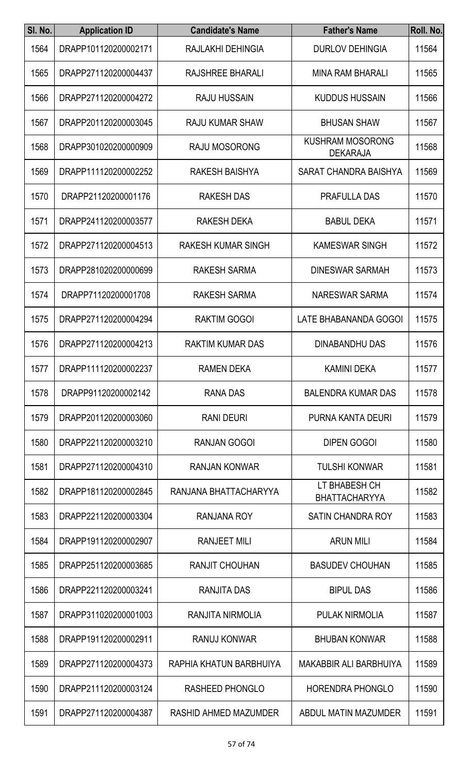| SI. No. | <b>Application ID</b> | <b>Candidate's Name</b>   | <b>Father's Name</b>                       | Roll. No. |
|---------|-----------------------|---------------------------|--------------------------------------------|-----------|
| 1564    | DRAPP101120200002171  | RAJLAKHI DEHINGIA         | <b>DURLOV DEHINGIA</b>                     | 11564     |
| 1565    | DRAPP271120200004437  | RAJSHREE BHARALI          | <b>MINA RAM BHARALI</b>                    | 11565     |
| 1566    | DRAPP271120200004272  | <b>RAJU HUSSAIN</b>       | <b>KUDDUS HUSSAIN</b>                      | 11566     |
| 1567    | DRAPP201120200003045  | <b>RAJU KUMAR SHAW</b>    | <b>BHUSAN SHAW</b>                         | 11567     |
| 1568    | DRAPP301020200000909  | RAJU MOSORONG             | <b>KUSHRAM MOSORONG</b><br><b>DEKARAJA</b> | 11568     |
| 1569    | DRAPP111120200002252  | RAKESH BAISHYA            | SARAT CHANDRA BAISHYA                      | 11569     |
| 1570    | DRAPP21120200001176   | <b>RAKESH DAS</b>         | <b>PRAFULLA DAS</b>                        | 11570     |
| 1571    | DRAPP241120200003577  | RAKESH DEKA               | <b>BABUL DEKA</b>                          | 11571     |
| 1572    | DRAPP271120200004513  | <b>RAKESH KUMAR SINGH</b> | <b>KAMESWAR SINGH</b>                      | 11572     |
| 1573    | DRAPP281020200000699  | <b>RAKESH SARMA</b>       | <b>DINESWAR SARMAH</b>                     | 11573     |
| 1574    | DRAPP71120200001708   | <b>RAKESH SARMA</b>       | NARESWAR SARMA                             | 11574     |
| 1575    | DRAPP271120200004294  | <b>RAKTIM GOGOI</b>       | LATE BHABANANDA GOGOI                      | 11575     |
| 1576    | DRAPP271120200004213  | <b>RAKTIM KUMAR DAS</b>   | <b>DINABANDHU DAS</b>                      | 11576     |
| 1577    | DRAPP111120200002237  | <b>RAMEN DEKA</b>         | <b>KAMINI DEKA</b>                         | 11577     |
| 1578    | DRAPP91120200002142   | <b>RANA DAS</b>           | <b>BALENDRA KUMAR DAS</b>                  | 11578     |
| 1579    | DRAPP201120200003060  | <b>RANI DEURI</b>         | PURNA KANTA DEURI                          | 11579     |
| 1580    | DRAPP221120200003210  | <b>RANJAN GOGOI</b>       | <b>DIPEN GOGOI</b>                         | 11580     |
| 1581    | DRAPP271120200004310  | <b>RANJAN KONWAR</b>      | <b>TULSHI KONWAR</b>                       | 11581     |
| 1582    | DRAPP181120200002845  | RANJANA BHATTACHARYYA     | LT BHABESH CH<br><b>BHATTACHARYYA</b>      | 11582     |
| 1583    | DRAPP221120200003304  | <b>RANJANA ROY</b>        | <b>SATIN CHANDRA ROY</b>                   | 11583     |
| 1584    | DRAPP191120200002907  | <b>RANJEET MILI</b>       | <b>ARUN MILI</b>                           | 11584     |
| 1585    | DRAPP251120200003685  | <b>RANJIT CHOUHAN</b>     | <b>BASUDEV CHOUHAN</b>                     | 11585     |
| 1586    | DRAPP221120200003241  | <b>RANJITA DAS</b>        | <b>BIPUL DAS</b>                           | 11586     |
| 1587    | DRAPP311020200001003  | RANJITA NIRMOLIA          | <b>PULAK NIRMOLIA</b>                      | 11587     |
| 1588    | DRAPP191120200002911  | <b>RANUJ KONWAR</b>       | <b>BHUBAN KONWAR</b>                       | 11588     |
| 1589    | DRAPP271120200004373  | RAPHIA KHATUN BARBHUIYA   | <b>MAKABBIR ALI BARBHUIYA</b>              | 11589     |
| 1590    | DRAPP211120200003124  | <b>RASHEED PHONGLO</b>    | <b>HORENDRA PHONGLO</b>                    | 11590     |
| 1591    | DRAPP271120200004387  | RASHID AHMED MAZUMDER     | ABDUL MATIN MAZUMDER                       | 11591     |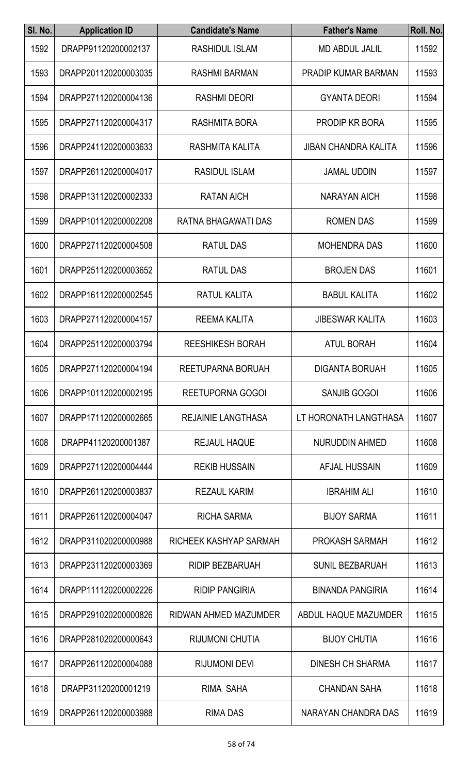| SI. No. | <b>Application ID</b> | <b>Candidate's Name</b>   | <b>Father's Name</b>        | Roll. No. |
|---------|-----------------------|---------------------------|-----------------------------|-----------|
| 1592    | DRAPP91120200002137   | RASHIDUL ISLAM            | <b>MD ABDUL JALIL</b>       | 11592     |
| 1593    | DRAPP201120200003035  | <b>RASHMI BARMAN</b>      | <b>PRADIP KUMAR BARMAN</b>  | 11593     |
| 1594    | DRAPP271120200004136  | <b>RASHMI DEORI</b>       | <b>GYANTA DEORI</b>         | 11594     |
| 1595    | DRAPP271120200004317  | <b>RASHMITA BORA</b>      | <b>PRODIP KR BORA</b>       | 11595     |
| 1596    | DRAPP241120200003633  | RASHMITA KALITA           | <b>JIBAN CHANDRA KALITA</b> | 11596     |
| 1597    | DRAPP261120200004017  | <b>RASIDUL ISLAM</b>      | <b>JAMAL UDDIN</b>          | 11597     |
| 1598    | DRAPP131120200002333  | <b>RATAN AICH</b>         | <b>NARAYAN AICH</b>         | 11598     |
| 1599    | DRAPP101120200002208  | RATNA BHAGAWATI DAS       | <b>ROMEN DAS</b>            | 11599     |
| 1600    | DRAPP271120200004508  | <b>RATUL DAS</b>          | <b>MOHENDRA DAS</b>         | 11600     |
| 1601    | DRAPP251120200003652  | <b>RATUL DAS</b>          | <b>BROJEN DAS</b>           | 11601     |
| 1602    | DRAPP161120200002545  | <b>RATUL KALITA</b>       | <b>BABUL KALITA</b>         | 11602     |
| 1603    | DRAPP271120200004157  | <b>REEMA KALITA</b>       | <b>JIBESWAR KALITA</b>      | 11603     |
| 1604    | DRAPP251120200003794  | <b>REESHIKESH BORAH</b>   | <b>ATUL BORAH</b>           | 11604     |
| 1605    | DRAPP271120200004194  | REETUPARNA BORUAH         | <b>DIGANTA BORUAH</b>       | 11605     |
| 1606    | DRAPP101120200002195  | <b>REETUPORNA GOGOI</b>   | <b>SANJIB GOGOI</b>         | 11606     |
| 1607    | DRAPP171120200002665  | <b>REJAINIE LANGTHASA</b> | LT HORONATH LANGTHASA       | 11607     |
| 1608    | DRAPP41120200001387   | <b>REJAUL HAQUE</b>       | NURUDDIN AHMED              | 11608     |
| 1609    | DRAPP271120200004444  | <b>REKIB HUSSAIN</b>      | AFJAL HUSSAIN               | 11609     |
| 1610    | DRAPP261120200003837  | <b>REZAUL KARIM</b>       | <b>IBRAHIM ALI</b>          | 11610     |
| 1611    | DRAPP261120200004047  | <b>RICHA SARMA</b>        | <b>BIJOY SARMA</b>          | 11611     |
| 1612    | DRAPP311020200000988  | RICHEEK KASHYAP SARMAH    | <b>PROKASH SARMAH</b>       | 11612     |
| 1613    | DRAPP231120200003369  | <b>RIDIP BEZBARUAH</b>    | <b>SUNIL BEZBARUAH</b>      | 11613     |
| 1614    | DRAPP111120200002226  | <b>RIDIP PANGIRIA</b>     | <b>BINANDA PANGIRIA</b>     | 11614     |
| 1615    | DRAPP291020200000826  | RIDWAN AHMED MAZUMDER     | ABDUL HAQUE MAZUMDER        | 11615     |
| 1616    | DRAPP281020200000643  | <b>RIJUMONI CHUTIA</b>    | <b>BIJOY CHUTIA</b>         | 11616     |
| 1617    | DRAPP261120200004088  | <b>RIJUMONI DEVI</b>      | <b>DINESH CH SHARMA</b>     | 11617     |
| 1618    | DRAPP31120200001219   | RIMA SAHA                 | <b>CHANDAN SAHA</b>         | 11618     |
| 1619    | DRAPP261120200003988  | <b>RIMA DAS</b>           | NARAYAN CHANDRA DAS         | 11619     |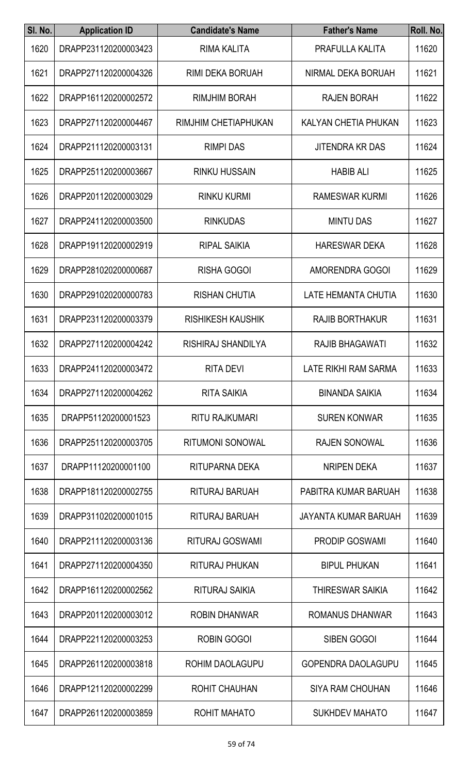| SI. No. | <b>Application ID</b> | <b>Candidate's Name</b>  | <b>Father's Name</b>        | Roll. No. |
|---------|-----------------------|--------------------------|-----------------------------|-----------|
| 1620    | DRAPP231120200003423  | <b>RIMA KALITA</b>       | PRAFULLA KALITA             | 11620     |
| 1621    | DRAPP271120200004326  | <b>RIMI DEKA BORUAH</b>  | NIRMAL DEKA BORUAH          | 11621     |
| 1622    | DRAPP161120200002572  | <b>RIMJHIM BORAH</b>     | <b>RAJEN BORAH</b>          | 11622     |
| 1623    | DRAPP271120200004467  | RIMJHIM CHETIAPHUKAN     | <b>KALYAN CHETIA PHUKAN</b> | 11623     |
| 1624    | DRAPP211120200003131  | <b>RIMPI DAS</b>         | <b>JITENDRA KR DAS</b>      | 11624     |
| 1625    | DRAPP251120200003667  | <b>RINKU HUSSAIN</b>     | <b>HABIB ALI</b>            | 11625     |
| 1626    | DRAPP201120200003029  | <b>RINKU KURMI</b>       | <b>RAMESWAR KURMI</b>       | 11626     |
| 1627    | DRAPP241120200003500  | <b>RINKUDAS</b>          | <b>MINTU DAS</b>            | 11627     |
| 1628    | DRAPP191120200002919  | <b>RIPAL SAIKIA</b>      | <b>HARESWAR DEKA</b>        | 11628     |
| 1629    | DRAPP281020200000687  | <b>RISHA GOGOI</b>       | <b>AMORENDRA GOGOI</b>      | 11629     |
| 1630    | DRAPP291020200000783  | <b>RISHAN CHUTIA</b>     | LATE HEMANTA CHUTIA         | 11630     |
| 1631    | DRAPP231120200003379  | <b>RISHIKESH KAUSHIK</b> | <b>RAJIB BORTHAKUR</b>      | 11631     |
| 1632    | DRAPP271120200004242  | RISHIRAJ SHANDILYA       | <b>RAJIB BHAGAWATI</b>      | 11632     |
| 1633    | DRAPP241120200003472  | RITA DEVI                | LATE RIKHI RAM SARMA        | 11633     |
| 1634    | DRAPP271120200004262  | <b>RITA SAIKIA</b>       | <b>BINANDA SAIKIA</b>       | 11634     |
| 1635    | DRAPP51120200001523   | <b>RITU RAJKUMARI</b>    | <b>SUREN KONWAR</b>         | 11635     |
| 1636    | DRAPP251120200003705  | <b>RITUMONI SONOWAL</b>  | <b>RAJEN SONOWAL</b>        | 11636     |
| 1637    | DRAPP11120200001100   | RITUPARNA DEKA           | <b>NRIPEN DEKA</b>          | 11637     |
| 1638    | DRAPP181120200002755  | RITURAJ BARUAH           | PABITRA KUMAR BARUAH        | 11638     |
| 1639    | DRAPP311020200001015  | RITURAJ BARUAH           | JAYANTA KUMAR BARUAH        | 11639     |
| 1640    | DRAPP211120200003136  | RITURAJ GOSWAMI          | <b>PRODIP GOSWAMI</b>       | 11640     |
| 1641    | DRAPP271120200004350  | <b>RITURAJ PHUKAN</b>    | <b>BIPUL PHUKAN</b>         | 11641     |
| 1642    | DRAPP161120200002562  | <b>RITURAJ SAIKIA</b>    | <b>THIRESWAR SAIKIA</b>     | 11642     |
| 1643    | DRAPP201120200003012  | <b>ROBIN DHANWAR</b>     | ROMANUS DHANWAR             | 11643     |
| 1644    | DRAPP221120200003253  | <b>ROBIN GOGOI</b>       | SIBEN GOGOI                 | 11644     |
| 1645    | DRAPP261120200003818  | <b>ROHIM DAOLAGUPU</b>   | <b>GOPENDRA DAOLAGUPU</b>   | 11645     |
| 1646    | DRAPP121120200002299  | <b>ROHIT CHAUHAN</b>     | <b>SIYA RAM CHOUHAN</b>     | 11646     |
| 1647    | DRAPP261120200003859  | ROHIT MAHATO             | <b>SUKHDEV MAHATO</b>       | 11647     |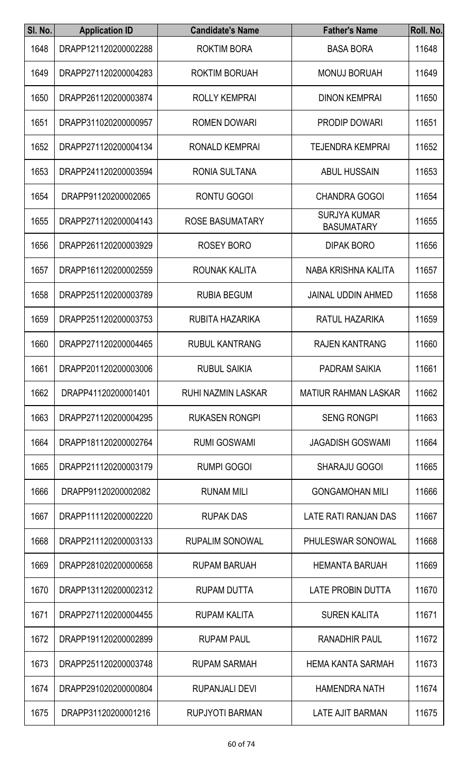| SI. No. | <b>Application ID</b> | <b>Candidate's Name</b> | <b>Father's Name</b>                     | Roll. No. |
|---------|-----------------------|-------------------------|------------------------------------------|-----------|
| 1648    | DRAPP121120200002288  | <b>ROKTIM BORA</b>      | <b>BASA BORA</b>                         | 11648     |
| 1649    | DRAPP271120200004283  | <b>ROKTIM BORUAH</b>    | <b>MONUJ BORUAH</b>                      | 11649     |
| 1650    | DRAPP261120200003874  | <b>ROLLY KEMPRAI</b>    | <b>DINON KEMPRAI</b>                     | 11650     |
| 1651    | DRAPP311020200000957  | <b>ROMEN DOWARI</b>     | PRODIP DOWARI                            | 11651     |
| 1652    | DRAPP271120200004134  | RONALD KEMPRAI          | <b>TEJENDRA KEMPRAI</b>                  | 11652     |
| 1653    | DRAPP241120200003594  | <b>RONIA SULTANA</b>    | <b>ABUL HUSSAIN</b>                      | 11653     |
| 1654    | DRAPP91120200002065   | <b>RONTU GOGOI</b>      | <b>CHANDRA GOGOI</b>                     | 11654     |
| 1655    | DRAPP271120200004143  | <b>ROSE BASUMATARY</b>  | <b>SURJYA KUMAR</b><br><b>BASUMATARY</b> | 11655     |
| 1656    | DRAPP261120200003929  | ROSEY BORO              | <b>DIPAK BORO</b>                        | 11656     |
| 1657    | DRAPP161120200002559  | ROUNAK KALITA           | NABA KRISHNA KALITA                      | 11657     |
| 1658    | DRAPP251120200003789  | <b>RUBIA BEGUM</b>      | <b>JAINAL UDDIN AHMED</b>                | 11658     |
| 1659    | DRAPP251120200003753  | RUBITA HAZARIKA         | RATUL HAZARIKA                           | 11659     |
| 1660    | DRAPP271120200004465  | <b>RUBUL KANTRANG</b>   | <b>RAJEN KANTRANG</b>                    | 11660     |
| 1661    | DRAPP201120200003006  | <b>RUBUL SAIKIA</b>     | <b>PADRAM SAIKIA</b>                     | 11661     |
| 1662    | DRAPP41120200001401   | RUHI NAZMIN LASKAR      | <b>MATIUR RAHMAN LASKAR</b>              | 11662     |
| 1663    | DRAPP271120200004295  | <b>RUKASEN RONGPI</b>   | <b>SENG RONGPI</b>                       | 11663     |
| 1664    | DRAPP181120200002764  | <b>RUMI GOSWAMI</b>     | <b>JAGADISH GOSWAMI</b>                  | 11664     |
| 1665    | DRAPP211120200003179  | <b>RUMPI GOGOI</b>      | <b>SHARAJU GOGOI</b>                     | 11665     |
| 1666    | DRAPP91120200002082   | <b>RUNAM MILI</b>       | <b>GONGAMOHAN MILI</b>                   | 11666     |
| 1667    | DRAPP111120200002220  | <b>RUPAK DAS</b>        | LATE RATI RANJAN DAS                     | 11667     |
| 1668    | DRAPP211120200003133  | <b>RUPALIM SONOWAL</b>  | PHULESWAR SONOWAL                        | 11668     |
| 1669    | DRAPP281020200000658  | <b>RUPAM BARUAH</b>     | <b>HEMANTA BARUAH</b>                    | 11669     |
| 1670    | DRAPP131120200002312  | <b>RUPAM DUTTA</b>      | LATE PROBIN DUTTA                        | 11670     |
| 1671    | DRAPP271120200004455  | <b>RUPAM KALITA</b>     | <b>SUREN KALITA</b>                      | 11671     |
| 1672    | DRAPP191120200002899  | <b>RUPAM PAUL</b>       | <b>RANADHIR PAUL</b>                     | 11672     |
| 1673    | DRAPP251120200003748  | <b>RUPAM SARMAH</b>     | <b>HEMA KANTA SARMAH</b>                 | 11673     |
| 1674    | DRAPP291020200000804  | <b>RUPANJALI DEVI</b>   | <b>HAMENDRA NATH</b>                     | 11674     |
| 1675    | DRAPP31120200001216   | RUPJYOTI BARMAN         | LATE AJIT BARMAN                         | 11675     |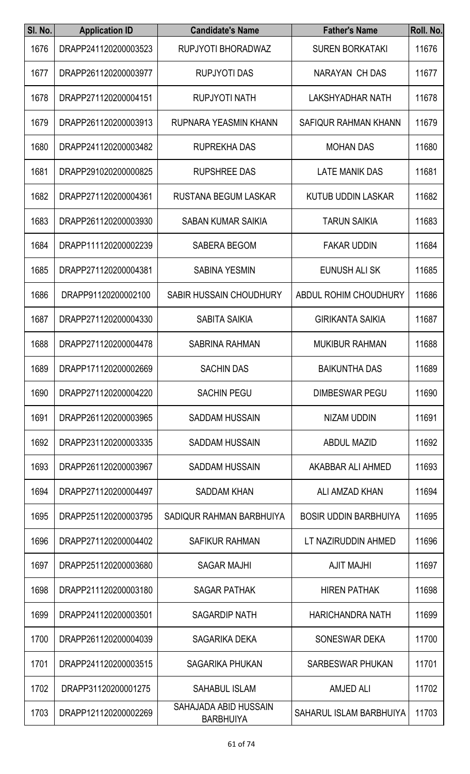| SI. No. | <b>Application ID</b> | <b>Candidate's Name</b>                   | <b>Father's Name</b>         | Roll. No. |
|---------|-----------------------|-------------------------------------------|------------------------------|-----------|
| 1676    | DRAPP241120200003523  | RUPJYOTI BHORADWAZ                        | <b>SUREN BORKATAKI</b>       | 11676     |
| 1677    | DRAPP261120200003977  | <b>RUPJYOTI DAS</b>                       | NARAYAN CH DAS               | 11677     |
| 1678    | DRAPP271120200004151  | <b>RUPJYOTI NATH</b>                      | <b>LAKSHYADHAR NATH</b>      | 11678     |
| 1679    | DRAPP261120200003913  | RUPNARA YEASMIN KHANN                     | SAFIQUR RAHMAN KHANN         | 11679     |
| 1680    | DRAPP241120200003482  | <b>RUPREKHA DAS</b>                       | <b>MOHAN DAS</b>             | 11680     |
| 1681    | DRAPP291020200000825  | <b>RUPSHREE DAS</b>                       | <b>LATE MANIK DAS</b>        | 11681     |
| 1682    | DRAPP271120200004361  | RUSTANA BEGUM LASKAR                      | <b>KUTUB UDDIN LASKAR</b>    | 11682     |
| 1683    | DRAPP261120200003930  | <b>SABAN KUMAR SAIKIA</b>                 | <b>TARUN SAIKIA</b>          | 11683     |
| 1684    | DRAPP111120200002239  | <b>SABERA BEGOM</b>                       | <b>FAKAR UDDIN</b>           | 11684     |
| 1685    | DRAPP271120200004381  | <b>SABINA YESMIN</b>                      | EUNUSH ALI SK                | 11685     |
| 1686    | DRAPP91120200002100   | SABIR HUSSAIN CHOUDHURY                   | ABDUL ROHIM CHOUDHURY        | 11686     |
| 1687    | DRAPP271120200004330  | <b>SABITA SAIKIA</b>                      | <b>GIRIKANTA SAIKIA</b>      | 11687     |
| 1688    | DRAPP271120200004478  | <b>SABRINA RAHMAN</b>                     | <b>MUKIBUR RAHMAN</b>        | 11688     |
| 1689    | DRAPP171120200002669  | <b>SACHIN DAS</b>                         | <b>BAIKUNTHA DAS</b>         | 11689     |
| 1690    | DRAPP271120200004220  | <b>SACHIN PEGU</b>                        | <b>DIMBESWAR PEGU</b>        | 11690     |
| 1691    | DRAPP261120200003965  | <b>SADDAM HUSSAIN</b>                     | <b>NIZAM UDDIN</b>           | 11691     |
| 1692    | DRAPP231120200003335  | <b>SADDAM HUSSAIN</b>                     | <b>ABDUL MAZID</b>           | 11692     |
| 1693    | DRAPP261120200003967  | <b>SADDAM HUSSAIN</b>                     | AKABBAR ALI AHMED            | 11693     |
| 1694    | DRAPP271120200004497  | <b>SADDAM KHAN</b>                        | ALI AMZAD KHAN               | 11694     |
| 1695    | DRAPP251120200003795  | SADIQUR RAHMAN BARBHUIYA                  | <b>BOSIR UDDIN BARBHUIYA</b> | 11695     |
| 1696    | DRAPP271120200004402  | <b>SAFIKUR RAHMAN</b>                     | LT NAZIRUDDIN AHMED          | 11696     |
| 1697    | DRAPP251120200003680  | <b>SAGAR MAJHI</b>                        | <b>AJIT MAJHI</b>            | 11697     |
| 1698    | DRAPP211120200003180  | <b>SAGAR PATHAK</b>                       | <b>HIREN PATHAK</b>          | 11698     |
| 1699    | DRAPP241120200003501  | <b>SAGARDIP NATH</b>                      | <b>HARICHANDRA NATH</b>      | 11699     |
| 1700    | DRAPP261120200004039  | SAGARIKA DEKA                             | SONESWAR DEKA                | 11700     |
| 1701    | DRAPP241120200003515  | <b>SAGARIKA PHUKAN</b>                    | <b>SARBESWAR PHUKAN</b>      | 11701     |
| 1702    | DRAPP31120200001275   | <b>SAHABUL ISLAM</b>                      | <b>AMJED ALI</b>             | 11702     |
| 1703    | DRAPP121120200002269  | SAHAJADA ABID HUSSAIN<br><b>BARBHUIYA</b> | SAHARUL ISLAM BARBHUIYA      | 11703     |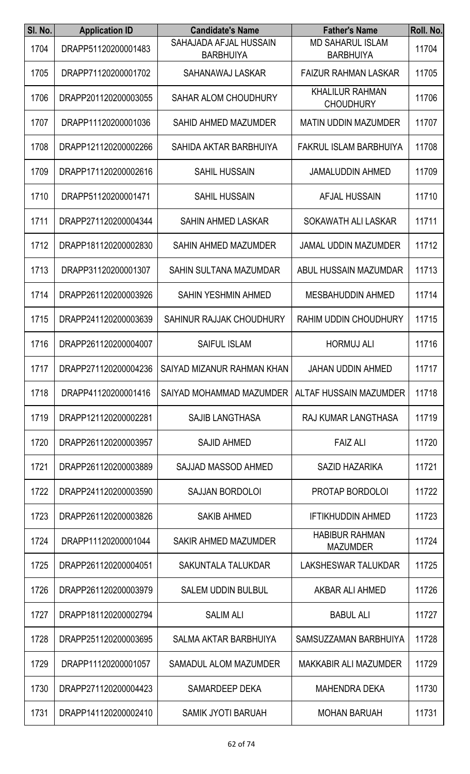| SI. No. | <b>Application ID</b> | <b>Candidate's Name</b>                           | <b>Father's Name</b>                        | Roll. No. |
|---------|-----------------------|---------------------------------------------------|---------------------------------------------|-----------|
| 1704    | DRAPP51120200001483   | SAHAJADA AFJAL HUSSAIN<br><b>BARBHUIYA</b>        | <b>MD SAHARUL ISLAM</b><br><b>BARBHUIYA</b> | 11704     |
| 1705    | DRAPP71120200001702   | SAHANAWAJ LASKAR                                  | <b>FAIZUR RAHMAN LASKAR</b>                 | 11705     |
| 1706    | DRAPP201120200003055  | <b>SAHAR ALOM CHOUDHURY</b>                       | <b>KHALILUR RAHMAN</b><br><b>CHOUDHURY</b>  | 11706     |
| 1707    | DRAPP11120200001036   | <b>SAHID AHMED MAZUMDER</b>                       | <b>MATIN UDDIN MAZUMDER</b>                 | 11707     |
| 1708    | DRAPP121120200002266  | SAHIDA AKTAR BARBHUIYA                            | FAKRUL ISLAM BARBHUIYA                      | 11708     |
| 1709    | DRAPP171120200002616  | <b>SAHIL HUSSAIN</b>                              | <b>JAMALUDDIN AHMED</b>                     | 11709     |
| 1710    | DRAPP51120200001471   | <b>SAHIL HUSSAIN</b>                              | AFJAL HUSSAIN                               | 11710     |
| 1711    | DRAPP271120200004344  | SAHIN AHMED LASKAR                                | SOKAWATH ALI LASKAR                         | 11711     |
| 1712    | DRAPP181120200002830  | <b>SAHIN AHMED MAZUMDER</b>                       | <b>JAMAL UDDIN MAZUMDER</b>                 | 11712     |
| 1713    | DRAPP31120200001307   | SAHIN SULTANA MAZUMDAR                            | <b>ABUL HUSSAIN MAZUMDAR</b>                | 11713     |
| 1714    | DRAPP261120200003926  | SAHIN YESHMIN AHMED                               | <b>MESBAHUDDIN AHMED</b>                    | 11714     |
| 1715    | DRAPP241120200003639  | SAHINUR RAJJAK CHOUDHURY                          | <b>RAHIM UDDIN CHOUDHURY</b>                | 11715     |
| 1716    | DRAPP261120200004007  | <b>SAIFUL ISLAM</b>                               | <b>HORMUJ ALI</b>                           | 11716     |
| 1717    |                       | DRAPP271120200004236   SAIYAD MIZANUR RAHMAN KHAN | <b>JAHAN UDDIN AHMED</b>                    | 11717     |
| 1718    | DRAPP41120200001416   | SAIYAD MOHAMMAD MAZUMDER                          | ALTAF HUSSAIN MAZUMDER                      | 11718     |
| 1719    | DRAPP121120200002281  | <b>SAJIB LANGTHASA</b>                            | RAJ KUMAR LANGTHASA                         | 11719     |
| 1720    | DRAPP261120200003957  | <b>SAJID AHMED</b>                                | <b>FAIZ ALI</b>                             | 11720     |
| 1721    | DRAPP261120200003889  | SAJJAD MASSOD AHMED                               | <b>SAZID HAZARIKA</b>                       | 11721     |
| 1722    | DRAPP241120200003590  | <b>SAJJAN BORDOLOI</b>                            | PROTAP BORDOLOI                             | 11722     |
| 1723    | DRAPP261120200003826  | <b>SAKIB AHMED</b>                                | <b>IFTIKHUDDIN AHMED</b>                    | 11723     |
| 1724    | DRAPP11120200001044   | <b>SAKIR AHMED MAZUMDER</b>                       | <b>HABIBUR RAHMAN</b><br><b>MAZUMDER</b>    | 11724     |
| 1725    | DRAPP261120200004051  | SAKUNTALA TALUKDAR                                | <b>LAKSHESWAR TALUKDAR</b>                  | 11725     |
| 1726    | DRAPP261120200003979  | <b>SALEM UDDIN BULBUL</b>                         | AKBAR ALI AHMED                             | 11726     |
| 1727    | DRAPP181120200002794  | <b>SALIM ALI</b>                                  | <b>BABUL ALI</b>                            | 11727     |
| 1728    | DRAPP251120200003695  | <b>SALMA AKTAR BARBHUIYA</b>                      | SAMSUZZAMAN BARBHUIYA                       | 11728     |
| 1729    | DRAPP11120200001057   | <b>SAMADUL ALOM MAZUMDER</b>                      | <b>MAKKABIR ALI MAZUMDER</b>                | 11729     |
| 1730    | DRAPP271120200004423  | SAMARDEEP DEKA                                    | <b>MAHENDRA DEKA</b>                        | 11730     |
| 1731    | DRAPP141120200002410  | SAMIK JYOTI BARUAH                                | <b>MOHAN BARUAH</b>                         | 11731     |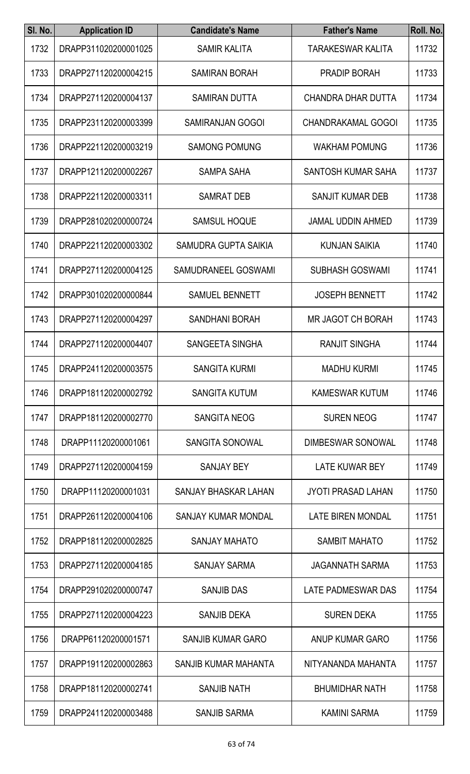| SI. No. | <b>Application ID</b> | <b>Candidate's Name</b>    | <b>Father's Name</b>      | Roll. No. |
|---------|-----------------------|----------------------------|---------------------------|-----------|
| 1732    | DRAPP311020200001025  | <b>SAMIR KALITA</b>        | <b>TARAKESWAR KALITA</b>  | 11732     |
| 1733    | DRAPP271120200004215  | <b>SAMIRAN BORAH</b>       | PRADIP BORAH              | 11733     |
| 1734    | DRAPP271120200004137  | <b>SAMIRAN DUTTA</b>       | CHANDRA DHAR DUTTA        | 11734     |
| 1735    | DRAPP231120200003399  | <b>SAMIRANJAN GOGOI</b>    | <b>CHANDRAKAMAL GOGOI</b> | 11735     |
| 1736    | DRAPP221120200003219  | <b>SAMONG POMUNG</b>       | <b>WAKHAM POMUNG</b>      | 11736     |
| 1737    | DRAPP121120200002267  | <b>SAMPA SAHA</b>          | SANTOSH KUMAR SAHA        | 11737     |
| 1738    | DRAPP221120200003311  | <b>SAMRAT DEB</b>          | <b>SANJIT KUMAR DEB</b>   | 11738     |
| 1739    | DRAPP281020200000724  | <b>SAMSUL HOQUE</b>        | <b>JAMAL UDDIN AHMED</b>  | 11739     |
| 1740    | DRAPP221120200003302  | SAMUDRA GUPTA SAIKIA       | <b>KUNJAN SAIKIA</b>      | 11740     |
| 1741    | DRAPP271120200004125  | SAMUDRANEEL GOSWAMI        | <b>SUBHASH GOSWAMI</b>    | 11741     |
| 1742    | DRAPP301020200000844  | <b>SAMUEL BENNETT</b>      | <b>JOSEPH BENNETT</b>     | 11742     |
| 1743    | DRAPP271120200004297  | <b>SANDHANI BORAH</b>      | <b>MR JAGOT CH BORAH</b>  | 11743     |
| 1744    | DRAPP271120200004407  | SANGEETA SINGHA            | <b>RANJIT SINGHA</b>      | 11744     |
| 1745    | DRAPP241120200003575  | <b>SANGITA KURMI</b>       | <b>MADHU KURMI</b>        | 11745     |
| 1746    | DRAPP181120200002792  | <b>SANGITA KUTUM</b>       | <b>KAMESWAR KUTUM</b>     | 11746     |
| 1747    | DRAPP181120200002770  | <b>SANGITA NEOG</b>        | <b>SUREN NEOG</b>         | 11747     |
| 1748    | DRAPP11120200001061   | <b>SANGITA SONOWAL</b>     | <b>DIMBESWAR SONOWAL</b>  | 11748     |
| 1749    | DRAPP271120200004159  | <b>SANJAY BEY</b>          | LATE KUWAR BEY            | 11749     |
| 1750    | DRAPP11120200001031   | SANJAY BHASKAR LAHAN       | <b>JYOTI PRASAD LAHAN</b> | 11750     |
| 1751    | DRAPP261120200004106  | <b>SANJAY KUMAR MONDAL</b> | <b>LATE BIREN MONDAL</b>  | 11751     |
| 1752    | DRAPP181120200002825  | <b>SANJAY MAHATO</b>       | <b>SAMBIT MAHATO</b>      | 11752     |
| 1753    | DRAPP271120200004185  | <b>SANJAY SARMA</b>        | <b>JAGANNATH SARMA</b>    | 11753     |
| 1754    | DRAPP291020200000747  | <b>SANJIB DAS</b>          | LATE PADMESWAR DAS        | 11754     |
| 1755    | DRAPP271120200004223  | SANJIB DEKA                | <b>SUREN DEKA</b>         | 11755     |
| 1756    | DRAPP61120200001571   | <b>SANJIB KUMAR GARO</b>   | ANUP KUMAR GARO           | 11756     |
| 1757    | DRAPP191120200002863  | SANJIB KUMAR MAHANTA       | NITYANANDA MAHANTA        | 11757     |
| 1758    | DRAPP181120200002741  | <b>SANJIB NATH</b>         | <b>BHUMIDHAR NATH</b>     | 11758     |
| 1759    | DRAPP241120200003488  | SANJIB SARMA               | <b>KAMINI SARMA</b>       | 11759     |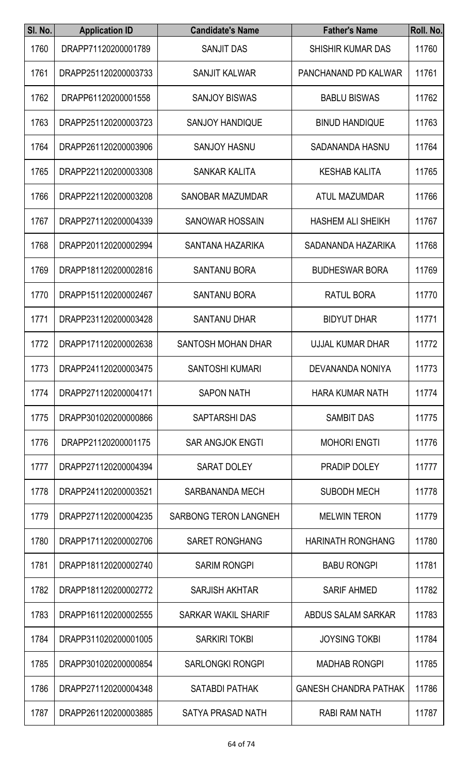| SI. No. | <b>Application ID</b> | <b>Candidate's Name</b>      | <b>Father's Name</b>         | Roll. No. |
|---------|-----------------------|------------------------------|------------------------------|-----------|
| 1760    | DRAPP71120200001789   | <b>SANJIT DAS</b>            | <b>SHISHIR KUMAR DAS</b>     | 11760     |
| 1761    | DRAPP251120200003733  | <b>SANJIT KALWAR</b>         | PANCHANAND PD KALWAR         | 11761     |
| 1762    | DRAPP61120200001558   | <b>SANJOY BISWAS</b>         | <b>BABLU BISWAS</b>          | 11762     |
| 1763    | DRAPP251120200003723  | <b>SANJOY HANDIQUE</b>       | <b>BINUD HANDIQUE</b>        | 11763     |
| 1764    | DRAPP261120200003906  | <b>SANJOY HASNU</b>          | SADANANDA HASNU              | 11764     |
| 1765    | DRAPP221120200003308  | <b>SANKAR KALITA</b>         | <b>KESHAB KALITA</b>         | 11765     |
| 1766    | DRAPP221120200003208  | <b>SANOBAR MAZUMDAR</b>      | ATUL MAZUMDAR                | 11766     |
| 1767    | DRAPP271120200004339  | <b>SANOWAR HOSSAIN</b>       | <b>HASHEM ALI SHEIKH</b>     | 11767     |
| 1768    | DRAPP201120200002994  | SANTANA HAZARIKA             | SADANANDA HAZARIKA           | 11768     |
| 1769    | DRAPP181120200002816  | <b>SANTANU BORA</b>          | <b>BUDHESWAR BORA</b>        | 11769     |
| 1770    | DRAPP151120200002467  | <b>SANTANU BORA</b>          | RATUL BORA                   | 11770     |
| 1771    | DRAPP231120200003428  | <b>SANTANU DHAR</b>          | <b>BIDYUT DHAR</b>           | 11771     |
| 1772    | DRAPP171120200002638  | <b>SANTOSH MOHAN DHAR</b>    | <b>UJJAL KUMAR DHAR</b>      | 11772     |
| 1773    | DRAPP241120200003475  | <b>SANTOSHI KUMARI</b>       | <b>DEVANANDA NONIYA</b>      | 11773     |
| 1774    | DRAPP271120200004171  | <b>SAPON NATH</b>            | <b>HARA KUMAR NATH</b>       | 11774     |
| 1775    | DRAPP301020200000866  | <b>SAPTARSHIDAS</b>          | <b>SAMBIT DAS</b>            | 11775     |
| 1776    | DRAPP21120200001175   | <b>SAR ANGJOK ENGTI</b>      | <b>MOHORI ENGTI</b>          | 11776     |
| 1777    | DRAPP271120200004394  | <b>SARAT DOLEY</b>           | PRADIP DOLEY                 | 11777     |
| 1778    | DRAPP241120200003521  | SARBANANDA MECH              | <b>SUBODH MECH</b>           | 11778     |
| 1779    | DRAPP271120200004235  | <b>SARBONG TERON LANGNEH</b> | <b>MELWIN TERON</b>          | 11779     |
| 1780    | DRAPP171120200002706  | <b>SARET RONGHANG</b>        | <b>HARINATH RONGHANG</b>     | 11780     |
| 1781    | DRAPP181120200002740  | <b>SARIM RONGPI</b>          | <b>BABU RONGPI</b>           | 11781     |
| 1782    | DRAPP181120200002772  | <b>SARJISH AKHTAR</b>        | <b>SARIF AHMED</b>           | 11782     |
| 1783    | DRAPP161120200002555  | <b>SARKAR WAKIL SHARIF</b>   | ABDUS SALAM SARKAR           | 11783     |
| 1784    | DRAPP311020200001005  | <b>SARKIRI TOKBI</b>         | <b>JOYSING TOKBI</b>         | 11784     |
| 1785    | DRAPP301020200000854  | <b>SARLONGKI RONGPI</b>      | <b>MADHAB RONGPI</b>         | 11785     |
| 1786    | DRAPP271120200004348  | <b>SATABDI PATHAK</b>        | <b>GANESH CHANDRA PATHAK</b> | 11786     |
| 1787    | DRAPP261120200003885  | SATYA PRASAD NATH            | RABI RAM NATH                | 11787     |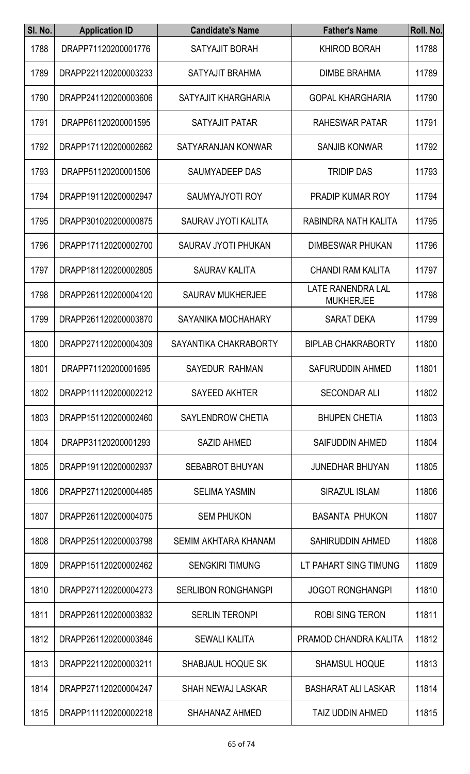| SI. No. | <b>Application ID</b> | <b>Candidate's Name</b>    | <b>Father's Name</b>                         | Roll. No. |
|---------|-----------------------|----------------------------|----------------------------------------------|-----------|
| 1788    | DRAPP71120200001776   | SATYAJIT BORAH             | <b>KHIROD BORAH</b>                          | 11788     |
| 1789    | DRAPP221120200003233  | SATYAJIT BRAHMA            | <b>DIMBE BRAHMA</b>                          | 11789     |
| 1790    | DRAPP241120200003606  | SATYAJIT KHARGHARIA        | <b>GOPAL KHARGHARIA</b>                      | 11790     |
| 1791    | DRAPP61120200001595   | <b>SATYAJIT PATAR</b>      | RAHESWAR PATAR                               | 11791     |
| 1792    | DRAPP171120200002662  | SATYARANJAN KONWAR         | <b>SANJIB KONWAR</b>                         | 11792     |
| 1793    | DRAPP51120200001506   | SAUMYADEEP DAS             | <b>TRIDIP DAS</b>                            | 11793     |
| 1794    | DRAPP191120200002947  | <b>SAUMYAJYOTI ROY</b>     | <b>PRADIP KUMAR ROY</b>                      | 11794     |
| 1795    | DRAPP301020200000875  | SAURAV JYOTI KALITA        | RABINDRA NATH KALITA                         | 11795     |
| 1796    | DRAPP171120200002700  | <b>SAURAV JYOTI PHUKAN</b> | <b>DIMBESWAR PHUKAN</b>                      | 11796     |
| 1797    | DRAPP181120200002805  | <b>SAURAV KALITA</b>       | <b>CHANDI RAM KALITA</b>                     | 11797     |
| 1798    | DRAPP261120200004120  | <b>SAURAV MUKHERJEE</b>    | <b>LATE RANENDRA LAL</b><br><b>MUKHERJEE</b> | 11798     |
| 1799    | DRAPP261120200003870  | SAYANIKA MOCHAHARY         | <b>SARAT DEKA</b>                            | 11799     |
| 1800    | DRAPP271120200004309  | SAYANTIKA CHAKRABORTY      | <b>BIPLAB CHAKRABORTY</b>                    | 11800     |
| 1801    | DRAPP71120200001695   | SAYEDUR RAHMAN             | <b>SAFURUDDIN AHMED</b>                      | 11801     |
| 1802    | DRAPP111120200002212  | SAYEED AKHTER              | <b>SECONDAR ALI</b>                          | 11802     |
| 1803    | DRAPP151120200002460  | <b>SAYLENDROW CHETIA</b>   | <b>BHUPEN CHETIA</b>                         | 11803     |
| 1804    | DRAPP31120200001293   | <b>SAZID AHMED</b>         | <b>SAIFUDDIN AHMED</b>                       | 11804     |
| 1805    | DRAPP191120200002937  | <b>SEBABROT BHUYAN</b>     | <b>JUNEDHAR BHUYAN</b>                       | 11805     |
| 1806    | DRAPP271120200004485  | <b>SELIMA YASMIN</b>       | <b>SIRAZUL ISLAM</b>                         | 11806     |
| 1807    | DRAPP261120200004075  | <b>SEM PHUKON</b>          | <b>BASANTA PHUKON</b>                        | 11807     |
| 1808    | DRAPP251120200003798  | SEMIM AKHTARA KHANAM       | <b>SAHIRUDDIN AHMED</b>                      | 11808     |
| 1809    | DRAPP151120200002462  | <b>SENGKIRI TIMUNG</b>     | LT PAHART SING TIMUNG                        | 11809     |
| 1810    | DRAPP271120200004273  | <b>SERLIBON RONGHANGPI</b> | <b>JOGOT RONGHANGPI</b>                      | 11810     |
| 1811    | DRAPP261120200003832  | <b>SERLIN TERONPI</b>      | <b>ROBI SING TERON</b>                       | 11811     |
| 1812    | DRAPP261120200003846  | <b>SEWALI KALITA</b>       | PRAMOD CHANDRA KALITA                        | 11812     |
| 1813    | DRAPP221120200003211  | <b>SHABJAUL HOQUE SK</b>   | <b>SHAMSUL HOQUE</b>                         | 11813     |
| 1814    | DRAPP271120200004247  | <b>SHAH NEWAJ LASKAR</b>   | <b>BASHARAT ALI LASKAR</b>                   | 11814     |
| 1815    | DRAPP111120200002218  | SHAHANAZ AHMED             | TAIZ UDDIN AHMED                             | 11815     |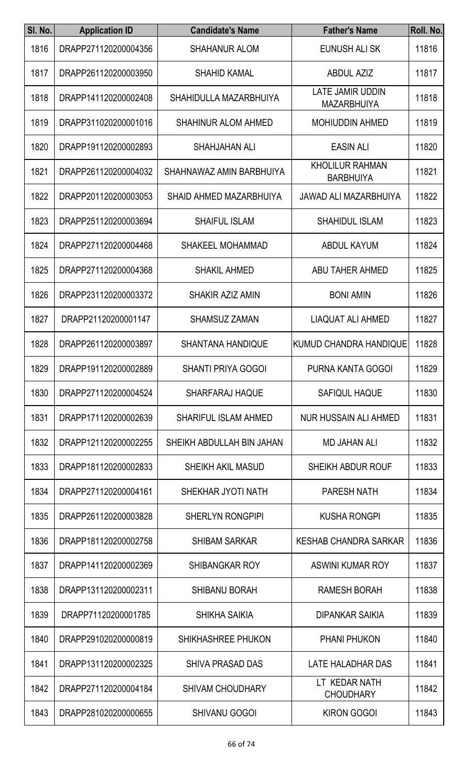| SI. No. | <b>Application ID</b> | <b>Candidate's Name</b>     | <b>Father's Name</b>                          | Roll. No. |
|---------|-----------------------|-----------------------------|-----------------------------------------------|-----------|
| 1816    | DRAPP271120200004356  | <b>SHAHANUR ALOM</b>        | EUNUSH ALI SK                                 | 11816     |
| 1817    | DRAPP261120200003950  | <b>SHAHID KAMAL</b>         | <b>ABDUL AZIZ</b>                             | 11817     |
| 1818    | DRAPP141120200002408  | SHAHIDULLA MAZARBHUIYA      | <b>LATE JAMIR UDDIN</b><br><b>MAZARBHUIYA</b> | 11818     |
| 1819    | DRAPP311020200001016  | <b>SHAHINUR ALOM AHMED</b>  | <b>MOHIUDDIN AHMED</b>                        | 11819     |
| 1820    | DRAPP191120200002893  | <b>SHAHJAHAN ALI</b>        | <b>EASIN ALI</b>                              | 11820     |
| 1821    | DRAPP261120200004032  | SHAHNAWAZ AMIN BARBHUIYA    | <b>KHOLILUR RAHMAN</b><br><b>BARBHUIYA</b>    | 11821     |
| 1822    | DRAPP201120200003053  | SHAID AHMED MAZARBHUIYA     | <b>JAWAD ALI MAZARBHUIYA</b>                  | 11822     |
| 1823    | DRAPP251120200003694  | <b>SHAIFUL ISLAM</b>        | <b>SHAHIDUL ISLAM</b>                         | 11823     |
| 1824    | DRAPP271120200004468  | <b>SHAKEEL MOHAMMAD</b>     | <b>ABDUL KAYUM</b>                            | 11824     |
| 1825    | DRAPP271120200004368  | <b>SHAKIL AHMED</b>         | <b>ABU TAHER AHMED</b>                        | 11825     |
| 1826    | DRAPP231120200003372  | <b>SHAKIR AZIZ AMIN</b>     | <b>BONI AMIN</b>                              | 11826     |
| 1827    | DRAPP21120200001147   | <b>SHAMSUZ ZAMAN</b>        | LIAQUAT ALI AHMED                             | 11827     |
| 1828    | DRAPP261120200003897  | <b>SHANTANA HANDIQUE</b>    | <b>KUMUD CHANDRA HANDIQUE</b>                 | 11828     |
| 1829    | DRAPP191120200002889  | <b>SHANTI PRIYA GOGOI</b>   | PURNA KANTA GOGOI                             | 11829     |
| 1830    | DRAPP271120200004524  | <b>SHARFARAJ HAQUE</b>      | <b>SAFIQUL HAQUE</b>                          | 11830     |
| 1831    | DRAPP171120200002639  | <b>SHARIFUL ISLAM AHMED</b> | NUR HUSSAIN ALI AHMED                         | 11831     |
| 1832    | DRAPP121120200002255  | SHEIKH ABDULLAH BIN JAHAN   | <b>MD JAHAN ALI</b>                           | 11832     |
| 1833    | DRAPP181120200002833  | <b>SHEIKH AKIL MASUD</b>    | SHEIKH ABDUR ROUF                             | 11833     |
| 1834    | DRAPP271120200004161  | SHEKHAR JYOTI NATH          | <b>PARESH NATH</b>                            | 11834     |
| 1835    | DRAPP261120200003828  | <b>SHERLYN RONGPIPI</b>     | <b>KUSHA RONGPI</b>                           | 11835     |
| 1836    | DRAPP181120200002758  | <b>SHIBAM SARKAR</b>        | <b>KESHAB CHANDRA SARKAR</b>                  | 11836     |
| 1837    | DRAPP141120200002369  | <b>SHIBANGKAR ROY</b>       | ASWINI KUMAR ROY                              | 11837     |
| 1838    | DRAPP131120200002311  | <b>SHIBANU BORAH</b>        | <b>RAMESH BORAH</b>                           | 11838     |
| 1839    | DRAPP71120200001785   | <b>SHIKHA SAIKIA</b>        | <b>DIPANKAR SAIKIA</b>                        | 11839     |
| 1840    | DRAPP291020200000819  | <b>SHIKHASHREE PHUKON</b>   | <b>PHANI PHUKON</b>                           | 11840     |
| 1841    | DRAPP131120200002325  | <b>SHIVA PRASAD DAS</b>     | LATE HALADHAR DAS                             | 11841     |
| 1842    | DRAPP271120200004184  | <b>SHIVAM CHOUDHARY</b>     | LT KEDAR NATH<br><b>CHOUDHARY</b>             | 11842     |
| 1843    | DRAPP281020200000655  | SHIVANU GOGOI               | <b>KIRON GOGOI</b>                            | 11843     |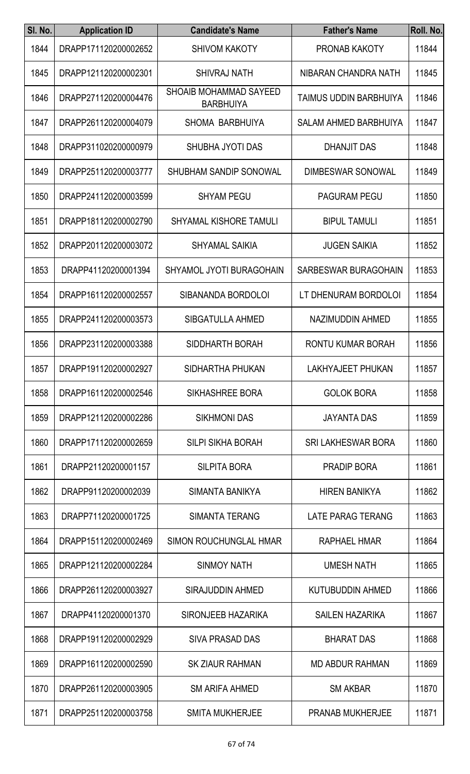| SI. No. | <b>Application ID</b> | <b>Candidate's Name</b>                    | <b>Father's Name</b>         | Roll. No. |
|---------|-----------------------|--------------------------------------------|------------------------------|-----------|
| 1844    | DRAPP171120200002652  | <b>SHIVOM KAKOTY</b>                       | <b>PRONAB KAKOTY</b>         | 11844     |
| 1845    | DRAPP121120200002301  | <b>SHIVRAJ NATH</b>                        | NIBARAN CHANDRA NATH         | 11845     |
| 1846    | DRAPP271120200004476  | SHOAIB MOHAMMAD SAYEED<br><b>BARBHUIYA</b> | TAIMUS UDDIN BARBHUIYA       | 11846     |
| 1847    | DRAPP261120200004079  | SHOMA BARBHUIYA                            | <b>SALAM AHMED BARBHUIYA</b> | 11847     |
| 1848    | DRAPP311020200000979  | SHUBHA JYOTI DAS                           | <b>DHANJIT DAS</b>           | 11848     |
| 1849    | DRAPP251120200003777  | <b>SHUBHAM SANDIP SONOWAL</b>              | <b>DIMBESWAR SONOWAL</b>     | 11849     |
| 1850    | DRAPP241120200003599  | <b>SHYAM PEGU</b>                          | <b>PAGURAM PEGU</b>          | 11850     |
| 1851    | DRAPP181120200002790  | <b>SHYAMAL KISHORE TAMULI</b>              | <b>BIPUL TAMULI</b>          | 11851     |
| 1852    | DRAPP201120200003072  | <b>SHYAMAL SAIKIA</b>                      | <b>JUGEN SAIKIA</b>          | 11852     |
| 1853    | DRAPP41120200001394   | SHYAMOL JYOTI BURAGOHAIN                   | SARBESWAR BURAGOHAIN         | 11853     |
| 1854    | DRAPP161120200002557  | SIBANANDA BORDOLOI                         | LT DHENURAM BORDOLOI         | 11854     |
| 1855    | DRAPP241120200003573  | <b>SIBGATULLA AHMED</b>                    | NAZIMUDDIN AHMED             | 11855     |
| 1856    | DRAPP231120200003388  | SIDDHARTH BORAH                            | RONTU KUMAR BORAH            | 11856     |
| 1857    | DRAPP191120200002927  | SIDHARTHA PHUKAN                           | LAKHYAJEET PHUKAN            | 11857     |
| 1858    | DRAPP161120200002546  | SIKHASHREE BORA                            | <b>GOLOK BORA</b>            | 11858     |
| 1859    | DRAPP121120200002286  | <b>SIKHMONI DAS</b>                        | <b>JAYANTA DAS</b>           | 11859     |
| 1860    | DRAPP171120200002659  | <b>SILPI SIKHA BORAH</b>                   | <b>SRI LAKHESWAR BORA</b>    | 11860     |
| 1861    | DRAPP21120200001157   | <b>SILPITA BORA</b>                        | <b>PRADIP BORA</b>           | 11861     |
| 1862    | DRAPP91120200002039   | SIMANTA BANIKYA                            | <b>HIREN BANIKYA</b>         | 11862     |
| 1863    | DRAPP71120200001725   | SIMANTA TERANG                             | LATE PARAG TERANG            | 11863     |
| 1864    | DRAPP151120200002469  | SIMON ROUCHUNGLAL HMAR                     | RAPHAEL HMAR                 | 11864     |
| 1865    | DRAPP121120200002284  | <b>SINMOY NATH</b>                         | <b>UMESH NATH</b>            | 11865     |
| 1866    | DRAPP261120200003927  | <b>SIRAJUDDIN AHMED</b>                    | <b>KUTUBUDDIN AHMED</b>      | 11866     |
| 1867    | DRAPP41120200001370   | SIRONJEEB HAZARIKA                         | <b>SAILEN HAZARIKA</b>       | 11867     |
| 1868    | DRAPP191120200002929  | <b>SIVA PRASAD DAS</b>                     | <b>BHARAT DAS</b>            | 11868     |
| 1869    | DRAPP161120200002590  | <b>SK ZIAUR RAHMAN</b>                     | <b>MD ABDUR RAHMAN</b>       | 11869     |
| 1870    | DRAPP261120200003905  | <b>SM ARIFA AHMED</b>                      | <b>SM AKBAR</b>              | 11870     |
| 1871    | DRAPP251120200003758  | <b>SMITA MUKHERJEE</b>                     | PRANAB MUKHERJEE             | 11871     |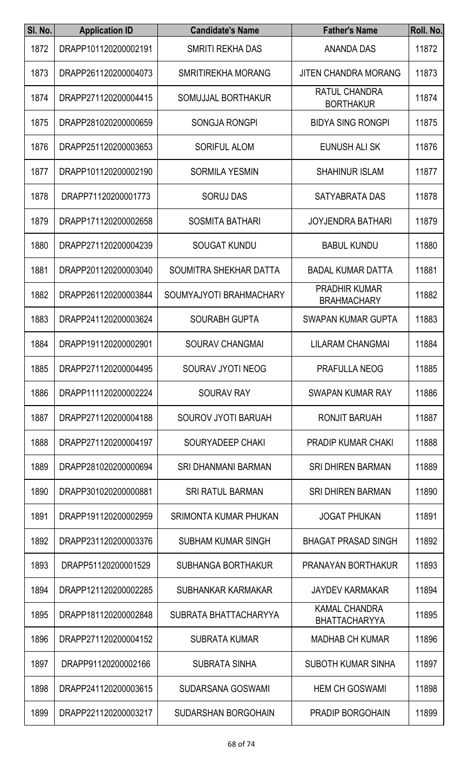| SI. No. | <b>Application ID</b> | <b>Candidate's Name</b>    | <b>Father's Name</b>                         | Roll. No. |
|---------|-----------------------|----------------------------|----------------------------------------------|-----------|
| 1872    | DRAPP101120200002191  | <b>SMRITI REKHA DAS</b>    | <b>ANANDA DAS</b>                            | 11872     |
| 1873    | DRAPP261120200004073  | SMRITIREKHA MORANG         | <b>JITEN CHANDRA MORANG</b>                  | 11873     |
| 1874    | DRAPP271120200004415  | SOMUJJAL BORTHAKUR         | <b>RATUL CHANDRA</b><br><b>BORTHAKUR</b>     | 11874     |
| 1875    | DRAPP281020200000659  | <b>SONGJA RONGPI</b>       | <b>BIDYA SING RONGPI</b>                     | 11875     |
| 1876    | DRAPP251120200003653  | <b>SORIFUL ALOM</b>        | EUNUSH ALI SK                                | 11876     |
| 1877    | DRAPP101120200002190  | <b>SORMILA YESMIN</b>      | <b>SHAHINUR ISLAM</b>                        | 11877     |
| 1878    | DRAPP71120200001773   | <b>SORUJ DAS</b>           | SATYABRATA DAS                               | 11878     |
| 1879    | DRAPP171120200002658  | <b>SOSMITA BATHARI</b>     | <b>JOYJENDRA BATHARI</b>                     | 11879     |
| 1880    | DRAPP271120200004239  | <b>SOUGAT KUNDU</b>        | <b>BABUL KUNDU</b>                           | 11880     |
| 1881    | DRAPP201120200003040  | SOUMITRA SHEKHAR DATTA     | <b>BADAL KUMAR DATTA</b>                     | 11881     |
| 1882    | DRAPP261120200003844  | SOUMYAJYOTI BRAHMACHARY    | <b>PRADHIR KUMAR</b><br><b>BRAHMACHARY</b>   | 11882     |
| 1883    | DRAPP241120200003624  | <b>SOURABH GUPTA</b>       | <b>SWAPAN KUMAR GUPTA</b>                    | 11883     |
| 1884    | DRAPP191120200002901  | <b>SOURAV CHANGMAI</b>     | <b>LILARAM CHANGMAI</b>                      | 11884     |
| 1885    | DRAPP271120200004495  | <b>SOURAV JYOTI NEOG</b>   | <b>PRAFULLA NEOG</b>                         | 11885     |
| 1886    | DRAPP111120200002224  | <b>SOURAV RAY</b>          | <b>SWAPAN KUMAR RAY</b>                      | 11886     |
| 1887    | DRAPP271120200004188  | SOUROV JYOTI BARUAH        | RONJIT BARUAH                                | 11887     |
| 1888    | DRAPP271120200004197  | SOURYADEEP CHAKI           | <b>PRADIP KUMAR CHAKI</b>                    | 11888     |
| 1889    | DRAPP281020200000694  | <b>SRI DHANMANI BARMAN</b> | <b>SRI DHIREN BARMAN</b>                     | 11889     |
| 1890    | DRAPP301020200000881  | <b>SRI RATUL BARMAN</b>    | <b>SRI DHIREN BARMAN</b>                     | 11890     |
| 1891    | DRAPP191120200002959  | SRIMONTA KUMAR PHUKAN      | <b>JOGAT PHUKAN</b>                          | 11891     |
| 1892    | DRAPP231120200003376  | <b>SUBHAM KUMAR SINGH</b>  | <b>BHAGAT PRASAD SINGH</b>                   | 11892     |
| 1893    | DRAPP51120200001529   | <b>SUBHANGA BORTHAKUR</b>  | PRANAYAN BORTHAKUR                           | 11893     |
| 1894    | DRAPP121120200002285  | SUBHANKAR KARMAKAR         | <b>JAYDEV KARMAKAR</b>                       | 11894     |
| 1895    | DRAPP181120200002848  | SUBRATA BHATTACHARYYA      | <b>KAMAL CHANDRA</b><br><b>BHATTACHARYYA</b> | 11895     |
| 1896    | DRAPP271120200004152  | <b>SUBRATA KUMAR</b>       | <b>MADHAB CH KUMAR</b>                       | 11896     |
| 1897    | DRAPP91120200002166   | <b>SUBRATA SINHA</b>       | <b>SUBOTH KUMAR SINHA</b>                    | 11897     |
| 1898    | DRAPP241120200003615  | <b>SUDARSANA GOSWAMI</b>   | <b>HEM CH GOSWAMI</b>                        | 11898     |
| 1899    | DRAPP221120200003217  | SUDARSHAN BORGOHAIN        | PRADIP BORGOHAIN                             | 11899     |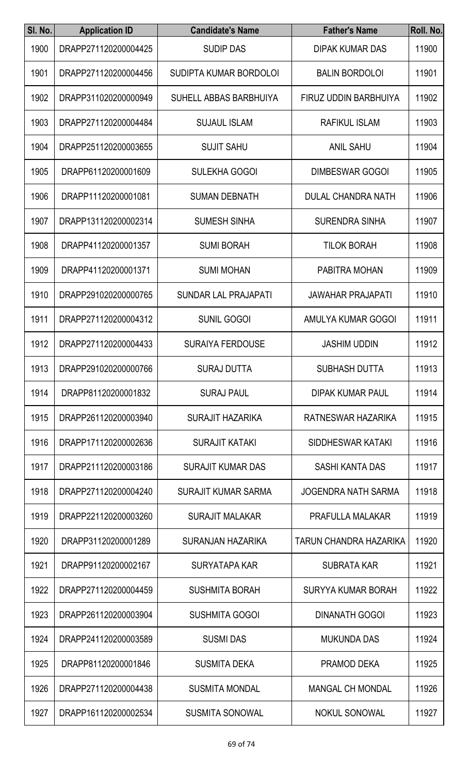| SI. No. | <b>Application ID</b> | <b>Candidate's Name</b>     | <b>Father's Name</b>       | Roll. No. |
|---------|-----------------------|-----------------------------|----------------------------|-----------|
| 1900    | DRAPP271120200004425  | <b>SUDIP DAS</b>            | <b>DIPAK KUMAR DAS</b>     | 11900     |
| 1901    | DRAPP271120200004456  | SUDIPTA KUMAR BORDOLOI      | <b>BALIN BORDOLOI</b>      | 11901     |
| 1902    | DRAPP311020200000949  | SUHELL ABBAS BARBHUIYA      | FIRUZ UDDIN BARBHUIYA      | 11902     |
| 1903    | DRAPP271120200004484  | <b>SUJAUL ISLAM</b>         | <b>RAFIKUL ISLAM</b>       | 11903     |
| 1904    | DRAPP251120200003655  | <b>SUJIT SAHU</b>           | <b>ANIL SAHU</b>           | 11904     |
| 1905    | DRAPP61120200001609   | <b>SULEKHA GOGOI</b>        | <b>DIMBESWAR GOGOI</b>     | 11905     |
| 1906    | DRAPP11120200001081   | <b>SUMAN DEBNATH</b>        | <b>DULAL CHANDRA NATH</b>  | 11906     |
| 1907    | DRAPP131120200002314  | <b>SUMESH SINHA</b>         | <b>SURENDRA SINHA</b>      | 11907     |
| 1908    | DRAPP41120200001357   | <b>SUMI BORAH</b>           | <b>TILOK BORAH</b>         | 11908     |
| 1909    | DRAPP41120200001371   | <b>SUMI MOHAN</b>           | PABITRA MOHAN              | 11909     |
| 1910    | DRAPP291020200000765  | <b>SUNDAR LAL PRAJAPATI</b> | <b>JAWAHAR PRAJAPATI</b>   | 11910     |
| 1911    | DRAPP271120200004312  | <b>SUNIL GOGOI</b>          | AMULYA KUMAR GOGOI         | 11911     |
| 1912    | DRAPP271120200004433  | <b>SURAIYA FERDOUSE</b>     | <b>JASHIM UDDIN</b>        | 11912     |
| 1913    | DRAPP291020200000766  | <b>SURAJ DUTTA</b>          | <b>SUBHASH DUTTA</b>       | 11913     |
| 1914    | DRAPP81120200001832   | <b>SURAJ PAUL</b>           | <b>DIPAK KUMAR PAUL</b>    | 11914     |
| 1915    | DRAPP261120200003940  | <b>SURAJIT HAZARIKA</b>     | RATNESWAR HAZARIKA         | 11915     |
| 1916    | DRAPP171120200002636  | <b>SURAJIT KATAKI</b>       | SIDDHESWAR KATAKI          | 11916     |
| 1917    | DRAPP211120200003186  | <b>SURAJIT KUMAR DAS</b>    | SASHI KANTA DAS            | 11917     |
| 1918    | DRAPP271120200004240  | <b>SURAJIT KUMAR SARMA</b>  | <b>JOGENDRA NATH SARMA</b> | 11918     |
| 1919    | DRAPP221120200003260  | <b>SURAJIT MALAKAR</b>      | PRAFULLA MALAKAR           | 11919     |
| 1920    | DRAPP31120200001289   | SURANJAN HAZARIKA           | TARUN CHANDRA HAZARIKA     | 11920     |
| 1921    | DRAPP91120200002167   | SURYATAPA KAR               | <b>SUBRATA KAR</b>         | 11921     |
| 1922    | DRAPP271120200004459  | <b>SUSHMITA BORAH</b>       | <b>SURYYA KUMAR BORAH</b>  | 11922     |
| 1923    | DRAPP261120200003904  | <b>SUSHMITA GOGOI</b>       | <b>DINANATH GOGOI</b>      | 11923     |
| 1924    | DRAPP241120200003589  | <b>SUSMI DAS</b>            | <b>MUKUNDA DAS</b>         | 11924     |
| 1925    | DRAPP81120200001846   | <b>SUSMITA DEKA</b>         | PRAMOD DEKA                | 11925     |
| 1926    | DRAPP271120200004438  | <b>SUSMITA MONDAL</b>       | <b>MANGAL CH MONDAL</b>    | 11926     |
| 1927    | DRAPP161120200002534  | SUSMITA SONOWAL             | NOKUL SONOWAL              | 11927     |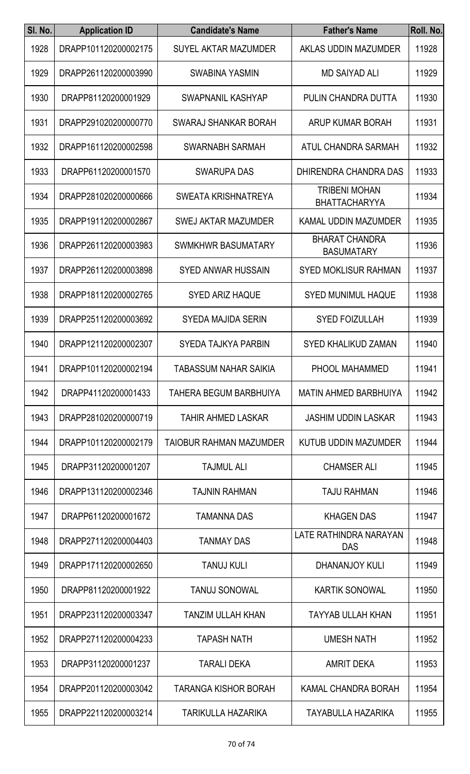| SI. No. | <b>Application ID</b> | <b>Candidate's Name</b>       | <b>Father's Name</b>                         | Roll. No. |
|---------|-----------------------|-------------------------------|----------------------------------------------|-----------|
| 1928    | DRAPP101120200002175  | <b>SUYEL AKTAR MAZUMDER</b>   | AKLAS UDDIN MAZUMDER                         | 11928     |
| 1929    | DRAPP261120200003990  | <b>SWABINA YASMIN</b>         | <b>MD SAIYAD ALI</b>                         | 11929     |
| 1930    | DRAPP81120200001929   | SWAPNANIL KASHYAP             | PULIN CHANDRA DUTTA                          | 11930     |
| 1931    | DRAPP291020200000770  | SWARAJ SHANKAR BORAH          | ARUP KUMAR BORAH                             | 11931     |
| 1932    | DRAPP161120200002598  | SWARNABH SARMAH               | ATUL CHANDRA SARMAH                          | 11932     |
| 1933    | DRAPP61120200001570   | <b>SWARUPA DAS</b>            | DHIRENDRA CHANDRA DAS                        | 11933     |
| 1934    | DRAPP281020200000666  | SWEATA KRISHNATREYA           | <b>TRIBENI MOHAN</b><br><b>BHATTACHARYYA</b> | 11934     |
| 1935    | DRAPP191120200002867  | <b>SWEJ AKTAR MAZUMDER</b>    | KAMAL UDDIN MAZUMDER                         | 11935     |
| 1936    | DRAPP261120200003983  | <b>SWMKHWR BASUMATARY</b>     | <b>BHARAT CHANDRA</b><br><b>BASUMATARY</b>   | 11936     |
| 1937    | DRAPP261120200003898  | <b>SYED ANWAR HUSSAIN</b>     | <b>SYED MOKLISUR RAHMAN</b>                  | 11937     |
| 1938    | DRAPP181120200002765  | <b>SYED ARIZ HAQUE</b>        | <b>SYED MUNIMUL HAQUE</b>                    | 11938     |
| 1939    | DRAPP251120200003692  | <b>SYEDA MAJIDA SERIN</b>     | <b>SYED FOIZULLAH</b>                        | 11939     |
| 1940    | DRAPP121120200002307  | <b>SYEDA TAJKYA PARBIN</b>    | <b>SYED KHALIKUD ZAMAN</b>                   | 11940     |
| 1941    | DRAPP101120200002194  | <b>TABASSUM NAHAR SAIKIA</b>  | PHOOL MAHAMMED                               | 11941     |
| 1942    | DRAPP41120200001433   | <b>TAHERA BEGUM BARBHUIYA</b> | <b>MATIN AHMED BARBHUIYA</b>                 | 11942     |
| 1943    | DRAPP281020200000719  | <b>TAHIR AHMED LASKAR</b>     | <b>JASHIM UDDIN LASKAR</b>                   | 11943     |
| 1944    | DRAPP101120200002179  | TAIOBUR RAHMAN MAZUMDER       | KUTUB UDDIN MAZUMDER                         | 11944     |
| 1945    | DRAPP31120200001207   | <b>TAJMUL ALI</b>             | <b>CHAMSER ALI</b>                           | 11945     |
| 1946    | DRAPP131120200002346  | <b>TAJNIN RAHMAN</b>          | <b>TAJU RAHMAN</b>                           | 11946     |
| 1947    | DRAPP61120200001672   | <b>TAMANNA DAS</b>            | <b>KHAGEN DAS</b>                            | 11947     |
| 1948    | DRAPP271120200004403  | <b>TANMAY DAS</b>             | LATE RATHINDRA NARAYAN<br><b>DAS</b>         | 11948     |
| 1949    | DRAPP171120200002650  | <b>TANUJ KULI</b>             | DHANANJOY KULI                               | 11949     |
| 1950    | DRAPP81120200001922   | <b>TANUJ SONOWAL</b>          | <b>KARTIK SONOWAL</b>                        | 11950     |
| 1951    | DRAPP231120200003347  | <b>TANZIM ULLAH KHAN</b>      | <b>TAYYAB ULLAH KHAN</b>                     | 11951     |
| 1952    | DRAPP271120200004233  | <b>TAPASH NATH</b>            | <b>UMESH NATH</b>                            | 11952     |
| 1953    | DRAPP31120200001237   | <b>TARALI DEKA</b>            | <b>AMRIT DEKA</b>                            | 11953     |
| 1954    | DRAPP201120200003042  | <b>TARANGA KISHOR BORAH</b>   | <b>KAMAL CHANDRA BORAH</b>                   | 11954     |
| 1955    | DRAPP221120200003214  | TARIKULLA HAZARIKA            | <b>TAYABULLA HAZARIKA</b>                    | 11955     |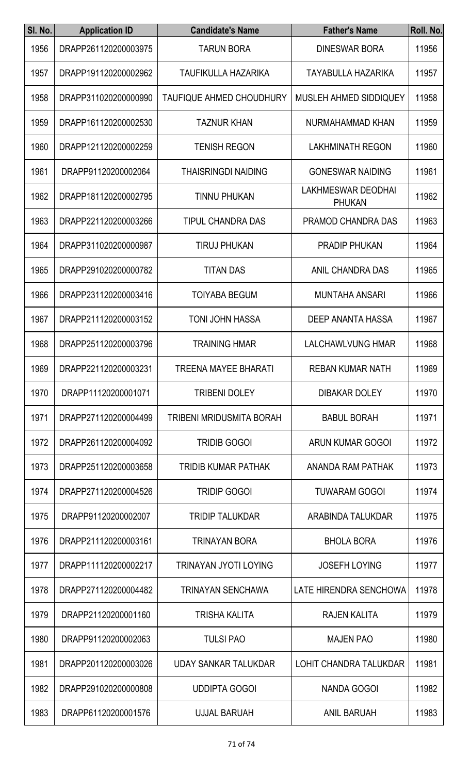| SI. No. | <b>Application ID</b> | <b>Candidate's Name</b>         | <b>Father's Name</b>                       | Roll. No. |
|---------|-----------------------|---------------------------------|--------------------------------------------|-----------|
| 1956    | DRAPP261120200003975  | <b>TARUN BORA</b>               | <b>DINESWAR BORA</b>                       | 11956     |
| 1957    | DRAPP191120200002962  | TAUFIKULLA HAZARIKA             | <b>TAYABULLA HAZARIKA</b>                  | 11957     |
| 1958    | DRAPP311020200000990  | <b>TAUFIQUE AHMED CHOUDHURY</b> | MUSLEH AHMED SIDDIQUEY                     | 11958     |
| 1959    | DRAPP161120200002530  | <b>TAZNUR KHAN</b>              | NURMAHAMMAD KHAN                           | 11959     |
| 1960    | DRAPP121120200002259  | <b>TENISH REGON</b>             | <b>LAKHMINATH REGON</b>                    | 11960     |
| 1961    | DRAPP91120200002064   | <b>THAISRINGDI NAIDING</b>      | <b>GONESWAR NAIDING</b>                    | 11961     |
| 1962    | DRAPP181120200002795  | <b>TINNU PHUKAN</b>             | <b>LAKHMESWAR DEODHAI</b><br><b>PHUKAN</b> | 11962     |
| 1963    | DRAPP221120200003266  | <b>TIPUL CHANDRA DAS</b>        | PRAMOD CHANDRA DAS                         | 11963     |
| 1964    | DRAPP311020200000987  | <b>TIRUJ PHUKAN</b>             | <b>PRADIP PHUKAN</b>                       | 11964     |
| 1965    | DRAPP291020200000782  | <b>TITAN DAS</b>                | ANIL CHANDRA DAS                           | 11965     |
| 1966    | DRAPP231120200003416  | <b>TOIYABA BEGUM</b>            | <b>MUNTAHA ANSARI</b>                      | 11966     |
| 1967    | DRAPP211120200003152  | <b>TONI JOHN HASSA</b>          | <b>DEEP ANANTA HASSA</b>                   | 11967     |
| 1968    | DRAPP251120200003796  | <b>TRAINING HMAR</b>            | LALCHAWLVUNG HMAR                          | 11968     |
| 1969    | DRAPP221120200003231  | <b>TREENA MAYEE BHARATI</b>     | <b>REBAN KUMAR NATH</b>                    | 11969     |
| 1970    | DRAPP11120200001071   | <b>TRIBENI DOLEY</b>            | <b>DIBAKAR DOLEY</b>                       | 11970     |
| 1971    | DRAPP271120200004499  | TRIBENI MRIDUSMITA BORAH        | <b>BABUL BORAH</b>                         | 11971     |
| 1972    | DRAPP261120200004092  | <b>TRIDIB GOGOI</b>             | ARUN KUMAR GOGOI                           | 11972     |
| 1973    | DRAPP251120200003658  | <b>TRIDIB KUMAR PATHAK</b>      | ANANDA RAM PATHAK                          | 11973     |
| 1974    | DRAPP271120200004526  | <b>TRIDIP GOGOI</b>             | <b>TUWARAM GOGOI</b>                       | 11974     |
| 1975    | DRAPP91120200002007   | <b>TRIDIP TALUKDAR</b>          | ARABINDA TALUKDAR                          | 11975     |
| 1976    | DRAPP211120200003161  | <b>TRINAYAN BORA</b>            | <b>BHOLA BORA</b>                          | 11976     |
| 1977    | DRAPP111120200002217  | TRINAYAN JYOTI LOYING           | <b>JOSEFH LOYING</b>                       | 11977     |
| 1978    | DRAPP271120200004482  | <b>TRINAYAN SENCHAWA</b>        | LATE HIRENDRA SENCHOWA                     | 11978     |
| 1979    | DRAPP21120200001160   | <b>TRISHA KALITA</b>            | <b>RAJEN KALITA</b>                        | 11979     |
| 1980    | DRAPP91120200002063   | <b>TULSI PAO</b>                | <b>MAJEN PAO</b>                           | 11980     |
| 1981    | DRAPP201120200003026  | <b>UDAY SANKAR TALUKDAR</b>     | LOHIT CHANDRA TALUKDAR                     | 11981     |
| 1982    | DRAPP291020200000808  | <b>UDDIPTA GOGOI</b>            | <b>NANDA GOGOI</b>                         | 11982     |
| 1983    | DRAPP61120200001576   | <b>UJJAL BARUAH</b>             | <b>ANIL BARUAH</b>                         | 11983     |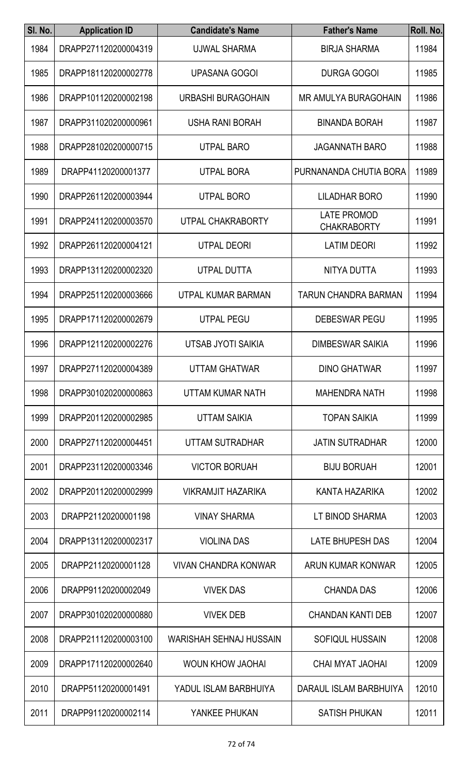| SI. No. | <b>Application ID</b> | <b>Candidate's Name</b>     | <b>Father's Name</b>                     | Roll. No. |
|---------|-----------------------|-----------------------------|------------------------------------------|-----------|
| 1984    | DRAPP271120200004319  | <b>UJWAL SHARMA</b>         | <b>BIRJA SHARMA</b>                      | 11984     |
| 1985    | DRAPP181120200002778  | <b>UPASANA GOGOI</b>        | <b>DURGA GOGOI</b>                       | 11985     |
| 1986    | DRAPP101120200002198  | URBASHI BURAGOHAIN          | <b>MR AMULYA BURAGOHAIN</b>              | 11986     |
| 1987    | DRAPP311020200000961  | USHA RANI BORAH             | <b>BINANDA BORAH</b>                     | 11987     |
| 1988    | DRAPP281020200000715  | <b>UTPAL BARO</b>           | <b>JAGANNATH BARO</b>                    | 11988     |
| 1989    | DRAPP41120200001377   | <b>UTPAL BORA</b>           | PURNANANDA CHUTIA BORA                   | 11989     |
| 1990    | DRAPP261120200003944  | <b>UTPAL BORO</b>           | <b>LILADHAR BORO</b>                     | 11990     |
| 1991    | DRAPP241120200003570  | UTPAL CHAKRABORTY           | <b>LATE PROMOD</b><br><b>CHAKRABORTY</b> | 11991     |
| 1992    | DRAPP261120200004121  | <b>UTPAL DEORI</b>          | <b>LATIM DEORI</b>                       | 11992     |
| 1993    | DRAPP131120200002320  | <b>UTPAL DUTTA</b>          | <b>NITYA DUTTA</b>                       | 11993     |
| 1994    | DRAPP251120200003666  | UTPAL KUMAR BARMAN          | <b>TARUN CHANDRA BARMAN</b>              | 11994     |
| 1995    | DRAPP171120200002679  | <b>UTPAL PEGU</b>           | <b>DEBESWAR PEGU</b>                     | 11995     |
| 1996    | DRAPP121120200002276  | UTSAB JYOTI SAIKIA          | <b>DIMBESWAR SAIKIA</b>                  | 11996     |
| 1997    | DRAPP271120200004389  | <b>UTTAM GHATWAR</b>        | <b>DINO GHATWAR</b>                      | 11997     |
| 1998    | DRAPP301020200000863  | UTTAM KUMAR NATH            | <b>MAHENDRA NATH</b>                     | 11998     |
| 1999    | DRAPP201120200002985  | <b>UTTAM SAIKIA</b>         | <b>TOPAN SAIKIA</b>                      | 11999     |
| 2000    | DRAPP271120200004451  | UTTAM SUTRADHAR             | <b>JATIN SUTRADHAR</b>                   | 12000     |
| 2001    | DRAPP231120200003346  | <b>VICTOR BORUAH</b>        | <b>BIJU BORUAH</b>                       | 12001     |
| 2002    | DRAPP201120200002999  | <b>VIKRAMJIT HAZARIKA</b>   | KANTA HAZARIKA                           | 12002     |
| 2003    | DRAPP21120200001198   | <b>VINAY SHARMA</b>         | LT BINOD SHARMA                          | 12003     |
| 2004    | DRAPP131120200002317  | <b>VIOLINA DAS</b>          | <b>LATE BHUPESH DAS</b>                  | 12004     |
| 2005    | DRAPP21120200001128   | <b>VIVAN CHANDRA KONWAR</b> | ARUN KUMAR KONWAR                        | 12005     |
| 2006    | DRAPP91120200002049   | <b>VIVEK DAS</b>            | <b>CHANDA DAS</b>                        | 12006     |
| 2007    | DRAPP301020200000880  | <b>VIVEK DEB</b>            | <b>CHANDAN KANTI DEB</b>                 | 12007     |
| 2008    | DRAPP211120200003100  | WARISHAH SEHNAJ HUSSAIN     | SOFIQUL HUSSAIN                          | 12008     |
| 2009    | DRAPP171120200002640  | WOUN KHOW JAOHAI            | CHAI MYAT JAOHAI                         | 12009     |
| 2010    | DRAPP51120200001491   | YADUL ISLAM BARBHUIYA       | DARAUL ISLAM BARBHUIYA                   | 12010     |
| 2011    | DRAPP91120200002114   | YANKEE PHUKAN               | SATISH PHUKAN                            | 12011     |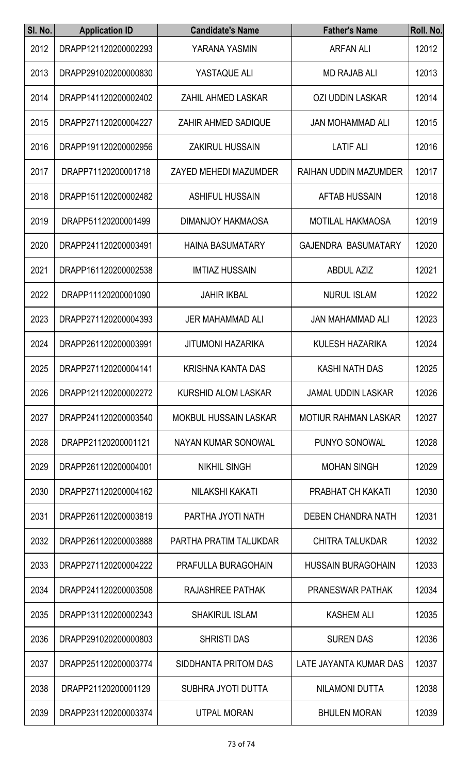| SI. No. | <b>Application ID</b> | <b>Candidate's Name</b>      | <b>Father's Name</b>        | Roll. No. |
|---------|-----------------------|------------------------------|-----------------------------|-----------|
| 2012    | DRAPP121120200002293  | YARANA YASMIN                | <b>ARFAN ALI</b>            | 12012     |
| 2013    | DRAPP291020200000830  | YASTAQUE ALI                 | <b>MD RAJAB ALI</b>         | 12013     |
| 2014    | DRAPP141120200002402  | ZAHIL AHMED LASKAR           | <b>OZI UDDIN LASKAR</b>     | 12014     |
| 2015    | DRAPP271120200004227  | <b>ZAHIR AHMED SADIQUE</b>   | <b>JAN MOHAMMAD ALI</b>     | 12015     |
| 2016    | DRAPP191120200002956  | <b>ZAKIRUL HUSSAIN</b>       | <b>LATIF ALI</b>            | 12016     |
| 2017    | DRAPP71120200001718   | ZAYED MEHEDI MAZUMDER        | RAIHAN UDDIN MAZUMDER       | 12017     |
| 2018    | DRAPP151120200002482  | <b>ASHIFUL HUSSAIN</b>       | <b>AFTAB HUSSAIN</b>        | 12018     |
| 2019    | DRAPP51120200001499   | <b>DIMANJOY HAKMAOSA</b>     | <b>MOTILAL HAKMAOSA</b>     | 12019     |
| 2020    | DRAPP241120200003491  | <b>HAINA BASUMATARY</b>      | <b>GAJENDRA BASUMATARY</b>  | 12020     |
| 2021    | DRAPP161120200002538  | <b>IMTIAZ HUSSAIN</b>        | <b>ABDUL AZIZ</b>           | 12021     |
| 2022    | DRAPP11120200001090   | <b>JAHIR IKBAL</b>           | <b>NURUL ISLAM</b>          | 12022     |
| 2023    | DRAPP271120200004393  | <b>JER MAHAMMAD ALI</b>      | <b>JAN MAHAMMAD ALI</b>     | 12023     |
| 2024    | DRAPP261120200003991  | <b>JITUMONI HAZARIKA</b>     | <b>KULESH HAZARIKA</b>      | 12024     |
| 2025    | DRAPP271120200004141  | <b>KRISHNA KANTA DAS</b>     | <b>KASHI NATH DAS</b>       | 12025     |
| 2026    | DRAPP121120200002272  | <b>KURSHID ALOM LASKAR</b>   | <b>JAMAL UDDIN LASKAR</b>   | 12026     |
| 2027    | DRAPP241120200003540  | <b>MOKBUL HUSSAIN LASKAR</b> | <b>MOTIUR RAHMAN LASKAR</b> | 12027     |
| 2028    | DRAPP21120200001121   | NAYAN KUMAR SONOWAL          | PUNYO SONOWAL               | 12028     |
| 2029    | DRAPP261120200004001  | <b>NIKHIL SINGH</b>          | <b>MOHAN SINGH</b>          | 12029     |
| 2030    | DRAPP271120200004162  | NILAKSHI KAKATI              | PRABHAT CH KAKATI           | 12030     |
| 2031    | DRAPP261120200003819  | PARTHA JYOTI NATH            | DEBEN CHANDRA NATH          | 12031     |
| 2032    | DRAPP261120200003888  | PARTHA PRATIM TALUKDAR       | <b>CHITRA TALUKDAR</b>      | 12032     |
| 2033    | DRAPP271120200004222  | PRAFULLA BURAGOHAIN          | <b>HUSSAIN BURAGOHAIN</b>   | 12033     |
| 2034    | DRAPP241120200003508  | RAJASHREE PATHAK             | <b>PRANESWAR PATHAK</b>     | 12034     |
| 2035    | DRAPP131120200002343  | <b>SHAKIRUL ISLAM</b>        | <b>KASHEM ALI</b>           | 12035     |
| 2036    | DRAPP291020200000803  | <b>SHRISTI DAS</b>           | <b>SUREN DAS</b>            | 12036     |
| 2037    | DRAPP251120200003774  | SIDDHANTA PRITOM DAS         | LATE JAYANTA KUMAR DAS      | 12037     |
| 2038    | DRAPP21120200001129   | SUBHRA JYOTI DUTTA           | <b>NILAMONI DUTTA</b>       | 12038     |
| 2039    | DRAPP231120200003374  | UTPAL MORAN                  | <b>BHULEN MORAN</b>         | 12039     |